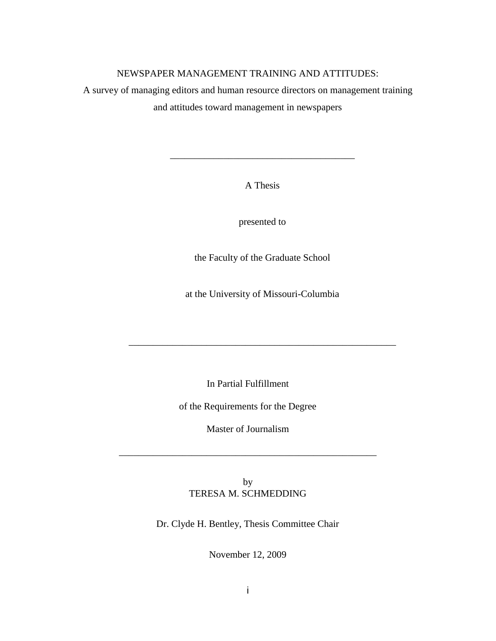## NEWSPAPER MANAGEMENT TRAINING AND ATTITUDES:

A survey of managing editors and human resource directors on management training and attitudes toward management in newspapers

A Thesis

\_\_\_\_\_\_\_\_\_\_\_\_\_\_\_\_\_\_\_\_\_\_\_\_\_\_\_\_\_\_\_\_\_\_\_\_\_\_

presented to

the Faculty of the Graduate School

at the University of Missouri-Columbia

\_\_\_\_\_\_\_\_\_\_\_\_\_\_\_\_\_\_\_\_\_\_\_\_\_\_\_\_\_\_\_\_\_\_\_\_\_\_\_\_\_\_\_\_\_\_\_\_\_\_\_\_\_\_\_

In Partial Fulfillment

of the Requirements for the Degree

Master of Journalism

\_\_\_\_\_\_\_\_\_\_\_\_\_\_\_\_\_\_\_\_\_\_\_\_\_\_\_\_\_\_\_\_\_\_\_\_\_\_\_\_\_\_\_\_\_\_\_\_\_\_\_\_\_

by TERESA M. SCHMEDDING

Dr. Clyde H. Bentley, Thesis Committee Chair

November 12, 2009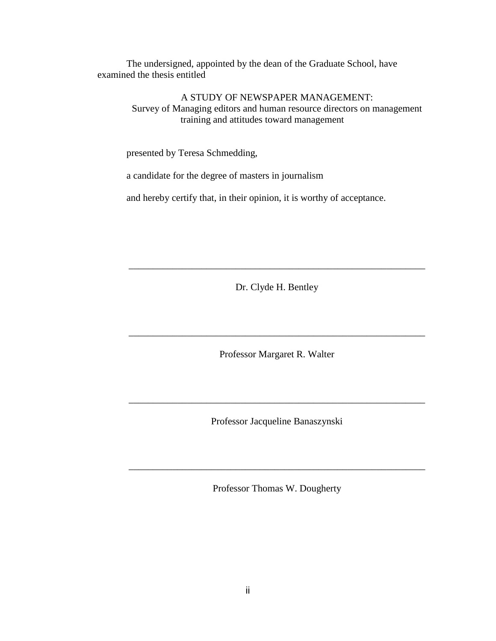The undersigned, appointed by the dean of the Graduate School, have examined the thesis entitled

> A STUDY OF NEWSPAPER MANAGEMENT: Survey of Managing editors and human resource directors on management training and attitudes toward management

presented by Teresa Schmedding,

a candidate for the degree of masters in journalism

and hereby certify that, in their opinion, it is worthy of acceptance.

Dr. Clyde H. Bentley

\_\_\_\_\_\_\_\_\_\_\_\_\_\_\_\_\_\_\_\_\_\_\_\_\_\_\_\_\_\_\_\_\_\_\_\_\_\_\_\_\_\_\_\_\_\_\_\_\_\_\_\_\_\_\_\_\_\_\_\_\_

Professor Margaret R. Walter

\_\_\_\_\_\_\_\_\_\_\_\_\_\_\_\_\_\_\_\_\_\_\_\_\_\_\_\_\_\_\_\_\_\_\_\_\_\_\_\_\_\_\_\_\_\_\_\_\_\_\_\_\_\_\_\_\_\_\_\_\_

Professor Jacqueline Banaszynski

\_\_\_\_\_\_\_\_\_\_\_\_\_\_\_\_\_\_\_\_\_\_\_\_\_\_\_\_\_\_\_\_\_\_\_\_\_\_\_\_\_\_\_\_\_\_\_\_\_\_\_\_\_\_\_\_\_\_\_\_\_

Professor Thomas W. Dougherty

\_\_\_\_\_\_\_\_\_\_\_\_\_\_\_\_\_\_\_\_\_\_\_\_\_\_\_\_\_\_\_\_\_\_\_\_\_\_\_\_\_\_\_\_\_\_\_\_\_\_\_\_\_\_\_\_\_\_\_\_\_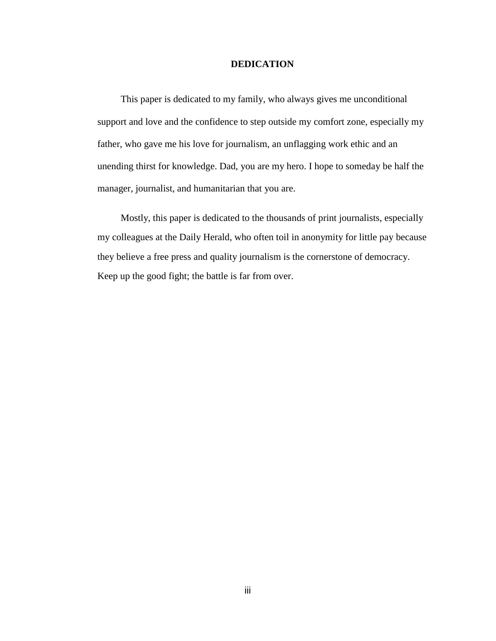## **DEDICATION**

This paper is dedicated to my family, who always gives me unconditional support and love and the confidence to step outside my comfort zone, especially my father, who gave me his love for journalism, an unflagging work ethic and an unending thirst for knowledge. Dad, you are my hero. I hope to someday be half the manager, journalist, and humanitarian that you are.

Mostly, this paper is dedicated to the thousands of print journalists, especially my colleagues at the Daily Herald, who often toil in anonymity for little pay because they believe a free press and quality journalism is the cornerstone of democracy. Keep up the good fight; the battle is far from over.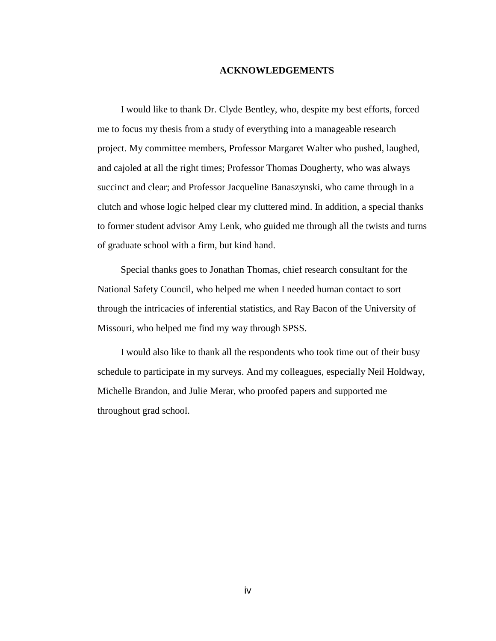### **ACKNOWLEDGEMENTS**

I would like to thank Dr. Clyde Bentley, who, despite my best efforts, forced me to focus my thesis from a study of everything into a manageable research project. My committee members, Professor Margaret Walter who pushed, laughed, and cajoled at all the right times; Professor Thomas Dougherty, who was always succinct and clear; and Professor Jacqueline Banaszynski, who came through in a clutch and whose logic helped clear my cluttered mind. In addition, a special thanks to former student advisor Amy Lenk, who guided me through all the twists and turns of graduate school with a firm, but kind hand.

Special thanks goes to Jonathan Thomas, chief research consultant for the National Safety Council, who helped me when I needed human contact to sort through the intricacies of inferential statistics, and Ray Bacon of the University of Missouri, who helped me find my way through SPSS.

I would also like to thank all the respondents who took time out of their busy schedule to participate in my surveys. And my colleagues, especially Neil Holdway, Michelle Brandon, and Julie Merar, who proofed papers and supported me throughout grad school.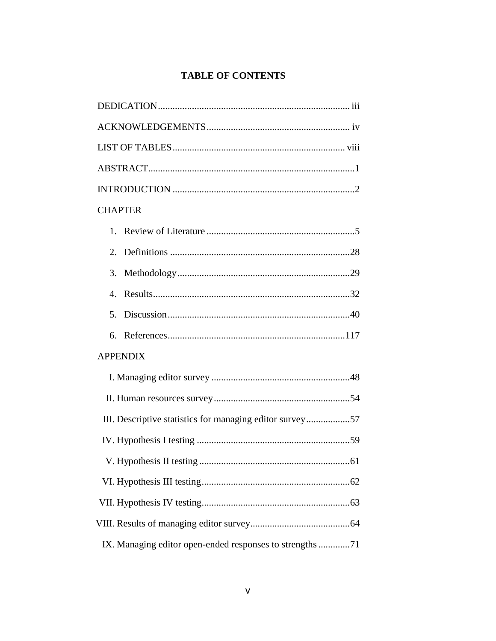# **TABLE OF CONTENTS**

| <b>CHAPTER</b>                                           |
|----------------------------------------------------------|
|                                                          |
|                                                          |
|                                                          |
|                                                          |
| 5.                                                       |
|                                                          |
| <b>APPENDIX</b>                                          |
|                                                          |
|                                                          |
| III. Descriptive statistics for managing editor survey57 |
|                                                          |
|                                                          |
|                                                          |
|                                                          |
|                                                          |
| IX. Managing editor open-ended responses to strengths 71 |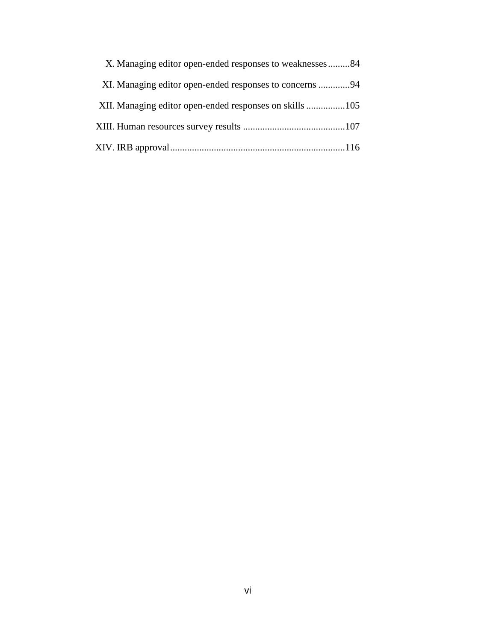| X. Managing editor open-ended responses to weaknesses84 |  |  |  |  |
|---------------------------------------------------------|--|--|--|--|
| XI. Managing editor open-ended responses to concerns 94 |  |  |  |  |
|                                                         |  |  |  |  |
|                                                         |  |  |  |  |
|                                                         |  |  |  |  |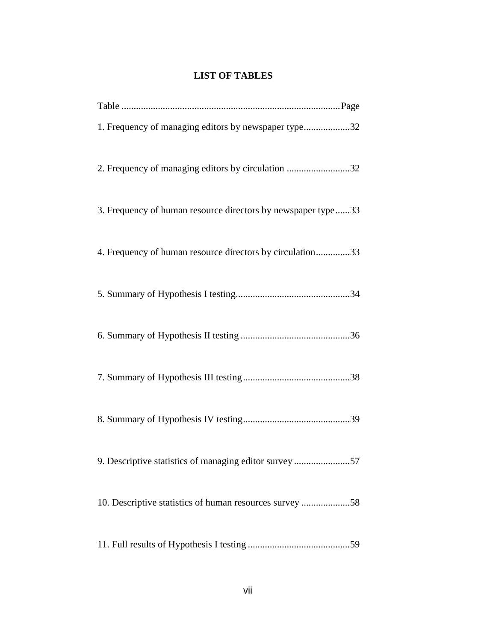## **LIST OF TABLES**

| 1. Frequency of managing editors by newspaper type32         |
|--------------------------------------------------------------|
| 2. Frequency of managing editors by circulation 32           |
| 3. Frequency of human resource directors by newspaper type33 |
| 4. Frequency of human resource directors by circulation33    |
|                                                              |
|                                                              |
|                                                              |
|                                                              |
| 9. Descriptive statistics of managing editor survey 57       |
| 10. Descriptive statistics of human resources survey 58      |
|                                                              |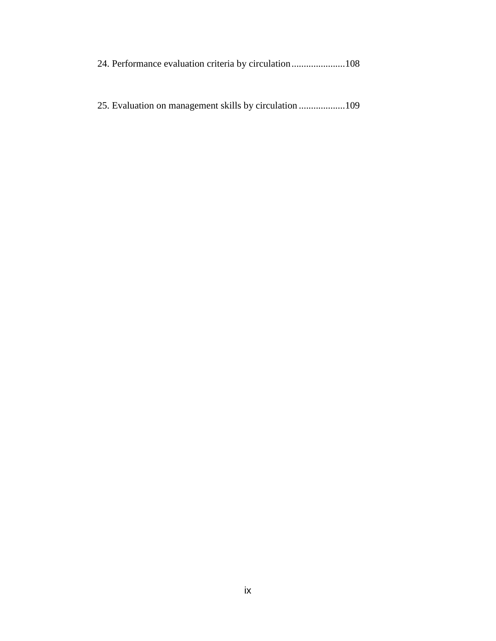25. Evaluation on management skills by circulation ...................109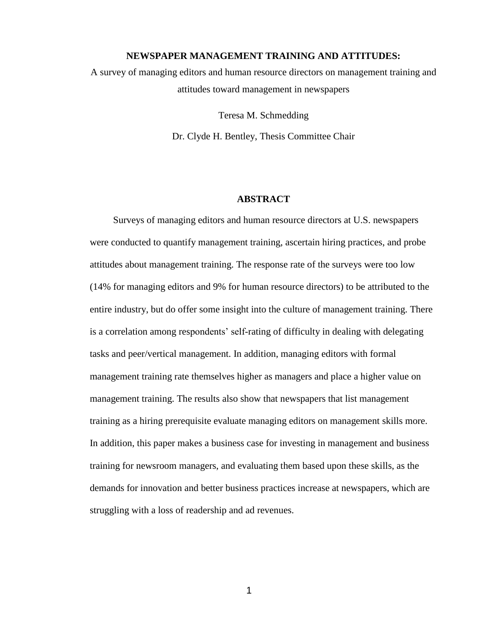#### **NEWSPAPER MANAGEMENT TRAINING AND ATTITUDES:**

A survey of managing editors and human resource directors on management training and attitudes toward management in newspapers

> Teresa M. Schmedding Dr. Clyde H. Bentley, Thesis Committee Chair

#### **ABSTRACT**

Surveys of managing editors and human resource directors at U.S. newspapers were conducted to quantify management training, ascertain hiring practices, and probe attitudes about management training. The response rate of the surveys were too low (14% for managing editors and 9% for human resource directors) to be attributed to the entire industry, but do offer some insight into the culture of management training. There is a correlation among respondents' self-rating of difficulty in dealing with delegating tasks and peer/vertical management. In addition, managing editors with formal management training rate themselves higher as managers and place a higher value on management training. The results also show that newspapers that list management training as a hiring prerequisite evaluate managing editors on management skills more. In addition, this paper makes a business case for investing in management and business training for newsroom managers, and evaluating them based upon these skills, as the demands for innovation and better business practices increase at newspapers, which are struggling with a loss of readership and ad revenues.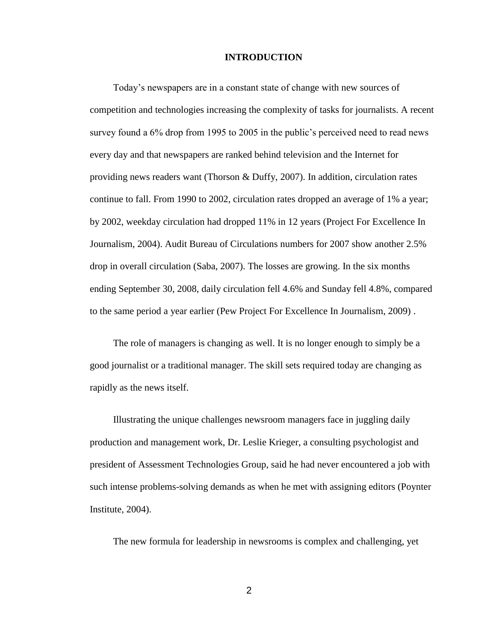#### **INTRODUCTION**

Today's newspapers are in a constant state of change with new sources of competition and technologies increasing the complexity of tasks for journalists. A recent survey found a 6% drop from 1995 to 2005 in the public's perceived need to read news every day and that newspapers are ranked behind television and the Internet for providing news readers want (Thorson & Duffy, 2007). In addition, circulation rates continue to fall. From 1990 to 2002, circulation rates dropped an average of 1% a year; by 2002, weekday circulation had dropped 11% in 12 years (Project For Excellence In Journalism, 2004). Audit Bureau of Circulations numbers for 2007 show another 2.5% drop in overall circulation (Saba, 2007). The losses are growing. In the six months ending September 30, 2008, daily circulation fell 4.6% and Sunday fell 4.8%, compared to the same period a year earlier (Pew Project For Excellence In Journalism, 2009) .

The role of managers is changing as well. It is no longer enough to simply be a good journalist or a traditional manager. The skill sets required today are changing as rapidly as the news itself.

Illustrating the unique challenges newsroom managers face in juggling daily production and management work, Dr. Leslie Krieger, a consulting psychologist and president of Assessment Technologies Group, said he had never encountered a job with such intense problems-solving demands as when he met with assigning editors (Poynter Institute, 2004).

The new formula for leadership in newsrooms is complex and challenging, yet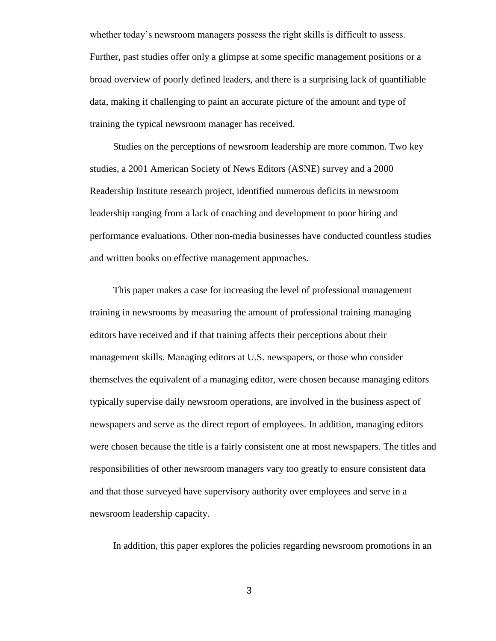whether today's newsroom managers possess the right skills is difficult to assess. Further, past studies offer only a glimpse at some specific management positions or a broad overview of poorly defined leaders, and there is a surprising lack of quantifiable data, making it challenging to paint an accurate picture of the amount and type of training the typical newsroom manager has received.

Studies on the perceptions of newsroom leadership are more common. Two key studies, a 2001 American Society of News Editors (ASNE) survey and a 2000 Readership Institute research project, identified numerous deficits in newsroom leadership ranging from a lack of coaching and development to poor hiring and performance evaluations. Other non-media businesses have conducted countless studies and written books on effective management approaches.

This paper makes a case for increasing the level of professional management training in newsrooms by measuring the amount of professional training managing editors have received and if that training affects their perceptions about their management skills. Managing editors at U.S. newspapers, or those who consider themselves the equivalent of a managing editor, were chosen because managing editors typically supervise daily newsroom operations, are involved in the business aspect of newspapers and serve as the direct report of employees. In addition, managing editors were chosen because the title is a fairly consistent one at most newspapers. The titles and responsibilities of other newsroom managers vary too greatly to ensure consistent data and that those surveyed have supervisory authority over employees and serve in a newsroom leadership capacity.

In addition, this paper explores the policies regarding newsroom promotions in an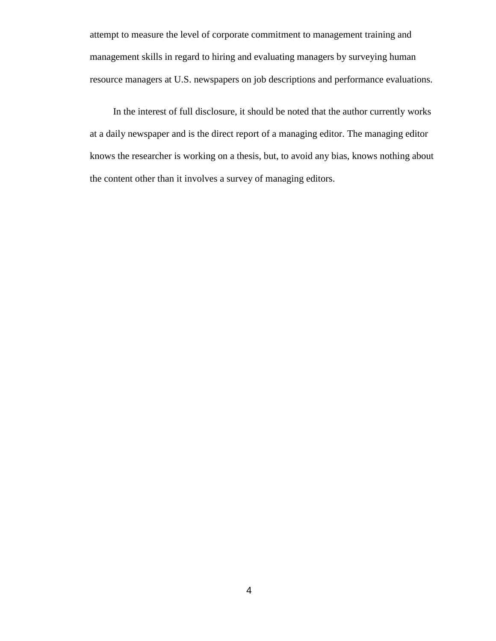attempt to measure the level of corporate commitment to management training and management skills in regard to hiring and evaluating managers by surveying human resource managers at U.S. newspapers on job descriptions and performance evaluations.

In the interest of full disclosure, it should be noted that the author currently works at a daily newspaper and is the direct report of a managing editor. The managing editor knows the researcher is working on a thesis, but, to avoid any bias, knows nothing about the content other than it involves a survey of managing editors.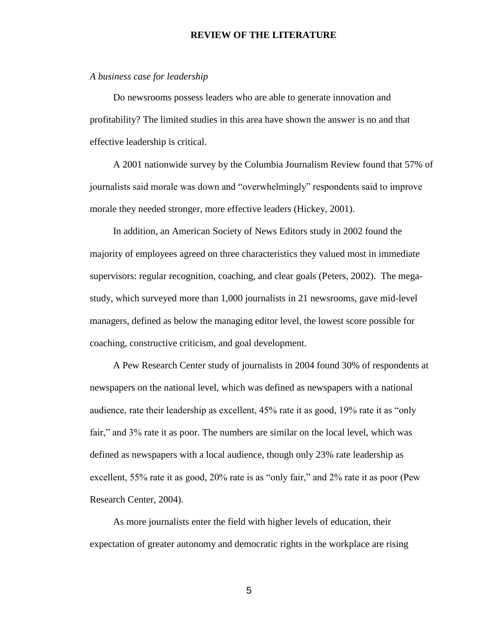#### **REVIEW OF THE LITERATURE**

#### *A business case for leadership*

Do newsrooms possess leaders who are able to generate innovation and profitability? The limited studies in this area have shown the answer is no and that effective leadership is critical.

A 2001 nationwide survey by the Columbia Journalism Review found that 57% of journalists said morale was down and "overwhelmingly" respondents said to improve morale they needed stronger, more effective leaders (Hickey, 2001).

In addition, an American Society of News Editors study in 2002 found the majority of employees agreed on three characteristics they valued most in immediate supervisors: regular recognition, coaching, and clear goals (Peters, 2002). The megastudy, which surveyed more than 1,000 journalists in 21 newsrooms, gave mid-level managers, defined as below the managing editor level, the lowest score possible for coaching, constructive criticism, and goal development.

A Pew Research Center study of journalists in 2004 found 30% of respondents at newspapers on the national level, which was defined as newspapers with a national audience, rate their leadership as excellent, 45% rate it as good, 19% rate it as "only fair," and 3% rate it as poor. The numbers are similar on the local level, which was defined as newspapers with a local audience, though only 23% rate leadership as excellent, 55% rate it as good, 20% rate is as "only fair," and 2% rate it as poor (Pew Research Center, 2004).

As more journalists enter the field with higher levels of education, their expectation of greater autonomy and democratic rights in the workplace are rising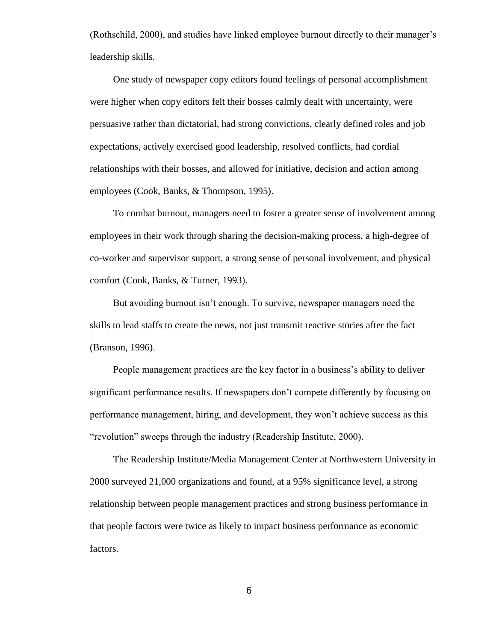(Rothschild, 2000), and studies have linked employee burnout directly to their manager's leadership skills.

One study of newspaper copy editors found feelings of personal accomplishment were higher when copy editors felt their bosses calmly dealt with uncertainty, were persuasive rather than dictatorial, had strong convictions, clearly defined roles and job expectations, actively exercised good leadership, resolved conflicts, had cordial relationships with their bosses, and allowed for initiative, decision and action among employees (Cook, Banks, & Thompson, 1995).

To combat burnout, managers need to foster a greater sense of involvement among employees in their work through sharing the decision-making process, a high-degree of co-worker and supervisor support, a strong sense of personal involvement, and physical comfort (Cook, Banks, & Turner, 1993).

But avoiding burnout isn't enough. To survive, newspaper managers need the skills to lead staffs to create the news, not just transmit reactive stories after the fact (Branson, 1996).

People management practices are the key factor in a business's ability to deliver significant performance results. If newspapers don't compete differently by focusing on performance management, hiring, and development, they won't achieve success as this "revolution" sweeps through the industry (Readership Institute, 2000).

The Readership Institute/Media Management Center at Northwestern University in 2000 surveyed 21,000 organizations and found, at a 95% significance level, a strong relationship between people management practices and strong business performance in that people factors were twice as likely to impact business performance as economic factors.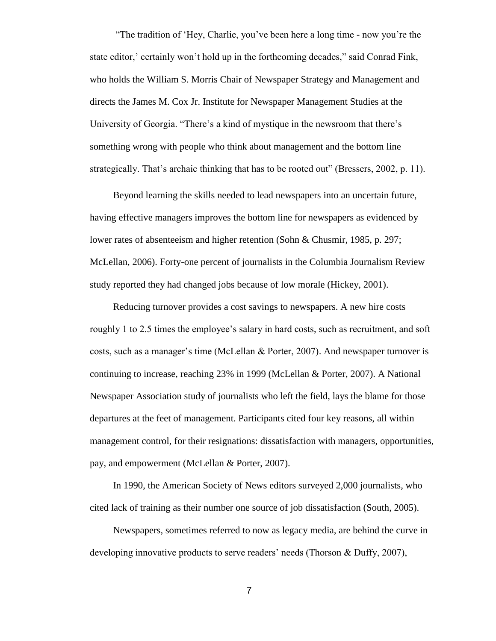"The tradition of 'Hey, Charlie, you've been here a long time - now you're the state editor,' certainly won't hold up in the forthcoming decades," said Conrad Fink, who holds the William S. Morris Chair of Newspaper Strategy and Management and directs the James M. Cox Jr. Institute for Newspaper Management Studies at the University of Georgia. "There's a kind of mystique in the newsroom that there's something wrong with people who think about management and the bottom line strategically. That's archaic thinking that has to be rooted out" (Bressers, 2002, p. 11).

Beyond learning the skills needed to lead newspapers into an uncertain future, having effective managers improves the bottom line for newspapers as evidenced by lower rates of absenteeism and higher retention (Sohn & Chusmir, 1985, p. 297; McLellan, 2006). Forty-one percent of journalists in the Columbia Journalism Review study reported they had changed jobs because of low morale (Hickey, 2001).

Reducing turnover provides a cost savings to newspapers. A new hire costs roughly 1 to 2.5 times the employee's salary in hard costs, such as recruitment, and soft costs, such as a manager's time (McLellan & Porter, 2007). And newspaper turnover is continuing to increase, reaching 23% in 1999 (McLellan & Porter, 2007). A National Newspaper Association study of journalists who left the field, lays the blame for those departures at the feet of management. Participants cited four key reasons, all within management control, for their resignations: dissatisfaction with managers, opportunities, pay, and empowerment (McLellan & Porter, 2007).

In 1990, the American Society of News editors surveyed 2,000 journalists, who cited lack of training as their number one source of job dissatisfaction (South, 2005).

Newspapers, sometimes referred to now as legacy media, are behind the curve in developing innovative products to serve readers' needs (Thorson & Duffy, 2007),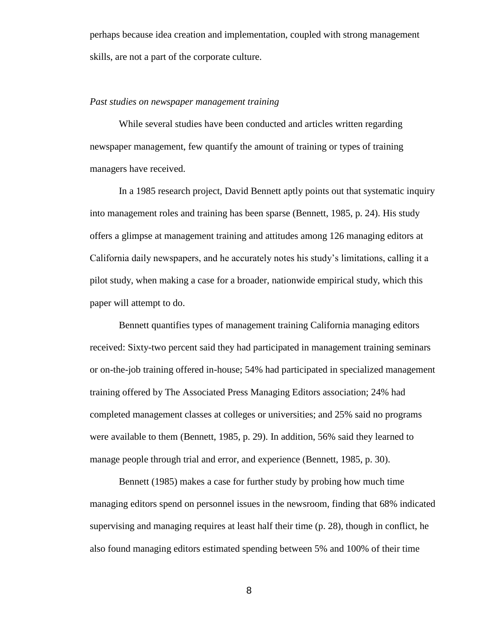perhaps because idea creation and implementation, coupled with strong management skills, are not a part of the corporate culture.

## *Past studies on newspaper management training*

While several studies have been conducted and articles written regarding newspaper management, few quantify the amount of training or types of training managers have received.

In a 1985 research project, David Bennett aptly points out that systematic inquiry into management roles and training has been sparse (Bennett, 1985, p. 24). His study offers a glimpse at management training and attitudes among 126 managing editors at California daily newspapers, and he accurately notes his study's limitations, calling it a pilot study, when making a case for a broader, nationwide empirical study, which this paper will attempt to do.

Bennett quantifies types of management training California managing editors received: Sixty-two percent said they had participated in management training seminars or on-the-job training offered in-house; 54% had participated in specialized management training offered by The Associated Press Managing Editors association; 24% had completed management classes at colleges or universities; and 25% said no programs were available to them (Bennett, 1985, p. 29). In addition, 56% said they learned to manage people through trial and error, and experience (Bennett, 1985, p. 30).

Bennett (1985) makes a case for further study by probing how much time managing editors spend on personnel issues in the newsroom, finding that 68% indicated supervising and managing requires at least half their time (p. 28), though in conflict, he also found managing editors estimated spending between 5% and 100% of their time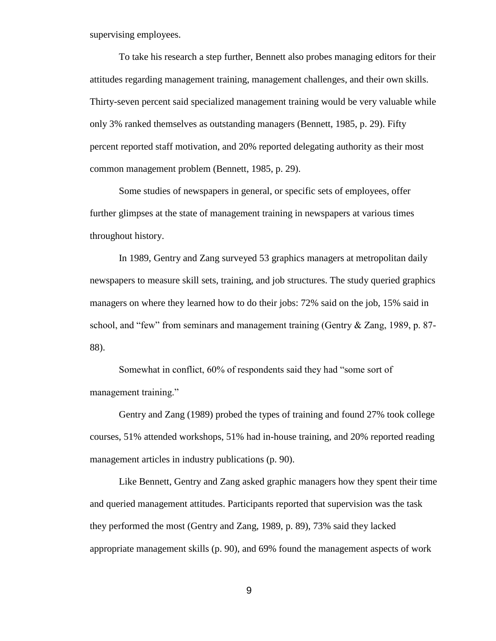supervising employees.

To take his research a step further, Bennett also probes managing editors for their attitudes regarding management training, management challenges, and their own skills. Thirty-seven percent said specialized management training would be very valuable while only 3% ranked themselves as outstanding managers (Bennett, 1985, p. 29). Fifty percent reported staff motivation, and 20% reported delegating authority as their most common management problem (Bennett, 1985, p. 29).

Some studies of newspapers in general, or specific sets of employees, offer further glimpses at the state of management training in newspapers at various times throughout history.

In 1989, Gentry and Zang surveyed 53 graphics managers at metropolitan daily newspapers to measure skill sets, training, and job structures. The study queried graphics managers on where they learned how to do their jobs: 72% said on the job, 15% said in school, and "few" from seminars and management training (Gentry  $\&$  Zang, 1989, p. 87-88).

Somewhat in conflict, 60% of respondents said they had "some sort of management training."

Gentry and Zang (1989) probed the types of training and found 27% took college courses, 51% attended workshops, 51% had in-house training, and 20% reported reading management articles in industry publications (p. 90).

Like Bennett, Gentry and Zang asked graphic managers how they spent their time and queried management attitudes. Participants reported that supervision was the task they performed the most (Gentry and Zang, 1989, p. 89), 73% said they lacked appropriate management skills (p. 90), and 69% found the management aspects of work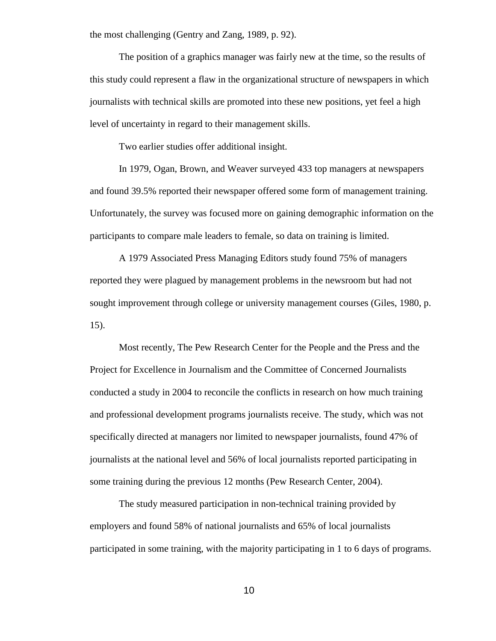the most challenging (Gentry and Zang, 1989, p. 92).

The position of a graphics manager was fairly new at the time, so the results of this study could represent a flaw in the organizational structure of newspapers in which journalists with technical skills are promoted into these new positions, yet feel a high level of uncertainty in regard to their management skills.

Two earlier studies offer additional insight.

In 1979, Ogan, Brown, and Weaver surveyed 433 top managers at newspapers and found 39.5% reported their newspaper offered some form of management training. Unfortunately, the survey was focused more on gaining demographic information on the participants to compare male leaders to female, so data on training is limited.

A 1979 Associated Press Managing Editors study found 75% of managers reported they were plagued by management problems in the newsroom but had not sought improvement through college or university management courses (Giles, 1980, p. 15).

Most recently, The Pew Research Center for the People and the Press and the Project for Excellence in Journalism and the Committee of Concerned Journalists conducted a study in 2004 to reconcile the conflicts in research on how much training and professional development programs journalists receive. The study, which was not specifically directed at managers nor limited to newspaper journalists, found 47% of journalists at the national level and 56% of local journalists reported participating in some training during the previous 12 months (Pew Research Center, 2004).

The study measured participation in non-technical training provided by employers and found 58% of national journalists and 65% of local journalists participated in some training, with the majority participating in 1 to 6 days of programs.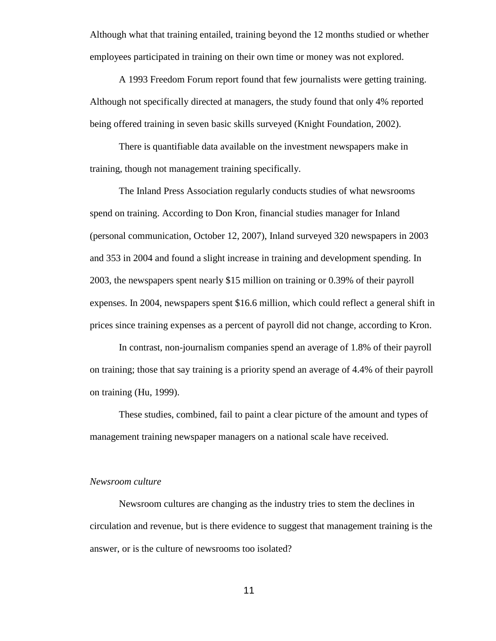Although what that training entailed, training beyond the 12 months studied or whether employees participated in training on their own time or money was not explored.

A 1993 Freedom Forum report found that few journalists were getting training. Although not specifically directed at managers, the study found that only 4% reported being offered training in seven basic skills surveyed (Knight Foundation, 2002).

There is quantifiable data available on the investment newspapers make in training, though not management training specifically.

The Inland Press Association regularly conducts studies of what newsrooms spend on training. According to Don Kron, financial studies manager for Inland (personal communication, October 12, 2007), Inland surveyed 320 newspapers in 2003 and 353 in 2004 and found a slight increase in training and development spending. In 2003, the newspapers spent nearly \$15 million on training or 0.39% of their payroll expenses. In 2004, newspapers spent \$16.6 million, which could reflect a general shift in prices since training expenses as a percent of payroll did not change, according to Kron.

In contrast, non-journalism companies spend an average of 1.8% of their payroll on training; those that say training is a priority spend an average of 4.4% of their payroll on training (Hu, 1999).

These studies, combined, fail to paint a clear picture of the amount and types of management training newspaper managers on a national scale have received.

### *Newsroom culture*

Newsroom cultures are changing as the industry tries to stem the declines in circulation and revenue, but is there evidence to suggest that management training is the answer, or is the culture of newsrooms too isolated?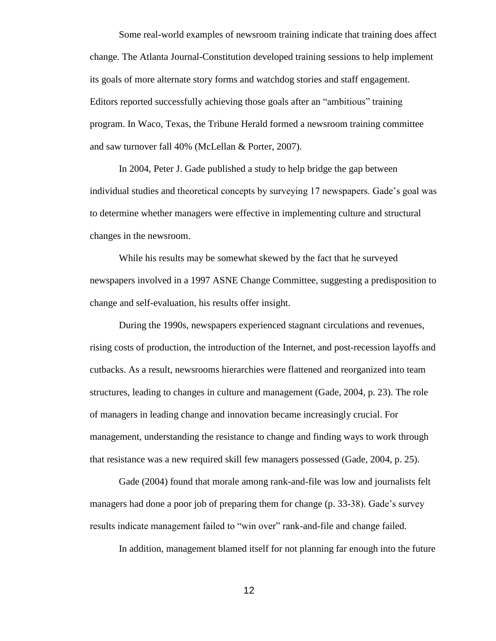Some real-world examples of newsroom training indicate that training does affect change. The Atlanta Journal-Constitution developed training sessions to help implement its goals of more alternate story forms and watchdog stories and staff engagement. Editors reported successfully achieving those goals after an "ambitious" training program. In Waco, Texas, the Tribune Herald formed a newsroom training committee and saw turnover fall 40% (McLellan & Porter, 2007).

In 2004, Peter J. Gade published a study to help bridge the gap between individual studies and theoretical concepts by surveying 17 newspapers. Gade's goal was to determine whether managers were effective in implementing culture and structural changes in the newsroom.

While his results may be somewhat skewed by the fact that he surveyed newspapers involved in a 1997 ASNE Change Committee, suggesting a predisposition to change and self-evaluation, his results offer insight.

During the 1990s, newspapers experienced stagnant circulations and revenues, rising costs of production, the introduction of the Internet, and post-recession layoffs and cutbacks. As a result, newsrooms hierarchies were flattened and reorganized into team structures, leading to changes in culture and management (Gade, 2004, p. 23). The role of managers in leading change and innovation became increasingly crucial. For management, understanding the resistance to change and finding ways to work through that resistance was a new required skill few managers possessed (Gade, 2004, p. 25).

Gade (2004) found that morale among rank-and-file was low and journalists felt managers had done a poor job of preparing them for change (p. 33-38). Gade's survey results indicate management failed to "win over" rank-and-file and change failed.

In addition, management blamed itself for not planning far enough into the future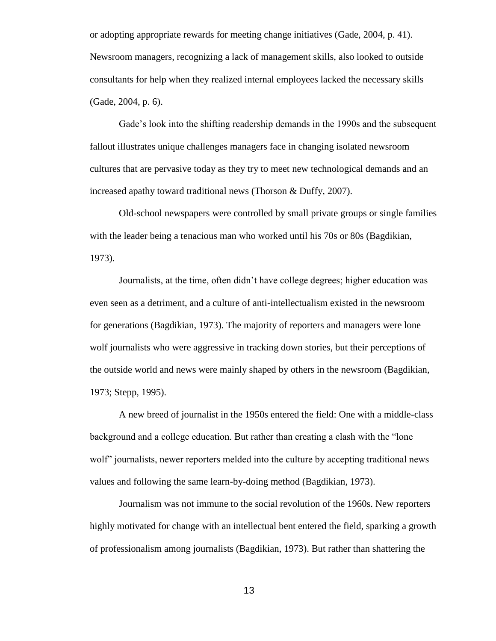or adopting appropriate rewards for meeting change initiatives (Gade, 2004, p. 41). Newsroom managers, recognizing a lack of management skills, also looked to outside consultants for help when they realized internal employees lacked the necessary skills (Gade, 2004, p. 6).

Gade's look into the shifting readership demands in the 1990s and the subsequent fallout illustrates unique challenges managers face in changing isolated newsroom cultures that are pervasive today as they try to meet new technological demands and an increased apathy toward traditional news (Thorson & Duffy, 2007).

Old-school newspapers were controlled by small private groups or single families with the leader being a tenacious man who worked until his 70s or 80s (Bagdikian, 1973).

Journalists, at the time, often didn't have college degrees; higher education was even seen as a detriment, and a culture of anti-intellectualism existed in the newsroom for generations (Bagdikian, 1973). The majority of reporters and managers were lone wolf journalists who were aggressive in tracking down stories, but their perceptions of the outside world and news were mainly shaped by others in the newsroom (Bagdikian, 1973; Stepp, 1995).

A new breed of journalist in the 1950s entered the field: One with a middle-class background and a college education. But rather than creating a clash with the "lone wolf" journalists, newer reporters melded into the culture by accepting traditional news values and following the same learn-by-doing method (Bagdikian, 1973).

Journalism was not immune to the social revolution of the 1960s. New reporters highly motivated for change with an intellectual bent entered the field, sparking a growth of professionalism among journalists (Bagdikian, 1973). But rather than shattering the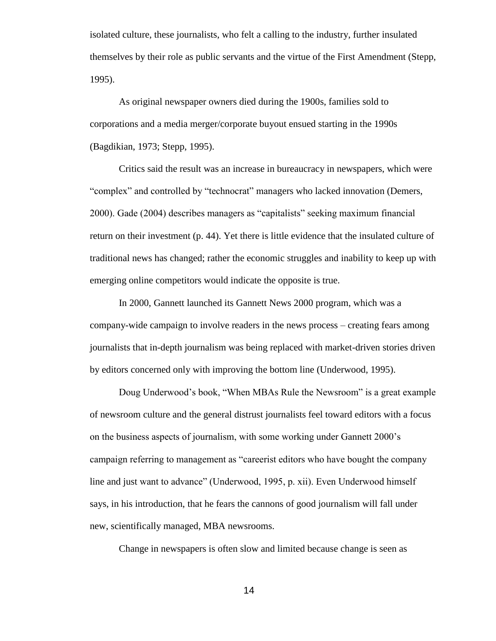isolated culture, these journalists, who felt a calling to the industry, further insulated themselves by their role as public servants and the virtue of the First Amendment (Stepp, 1995).

As original newspaper owners died during the 1900s, families sold to corporations and a media merger/corporate buyout ensued starting in the 1990s (Bagdikian, 1973; Stepp, 1995).

Critics said the result was an increase in bureaucracy in newspapers, which were "complex" and controlled by "technocrat" managers who lacked innovation (Demers, 2000). Gade (2004) describes managers as "capitalists" seeking maximum financial return on their investment (p. 44). Yet there is little evidence that the insulated culture of traditional news has changed; rather the economic struggles and inability to keep up with emerging online competitors would indicate the opposite is true.

In 2000, Gannett launched its Gannett News 2000 program, which was a company-wide campaign to involve readers in the news process – creating fears among journalists that in-depth journalism was being replaced with market-driven stories driven by editors concerned only with improving the bottom line (Underwood, 1995).

Doug Underwood's book, "When MBAs Rule the Newsroom" is a great example of newsroom culture and the general distrust journalists feel toward editors with a focus on the business aspects of journalism, with some working under Gannett 2000's campaign referring to management as "careerist editors who have bought the company line and just want to advance" (Underwood, 1995, p. xii). Even Underwood himself says, in his introduction, that he fears the cannons of good journalism will fall under new, scientifically managed, MBA newsrooms.

Change in newspapers is often slow and limited because change is seen as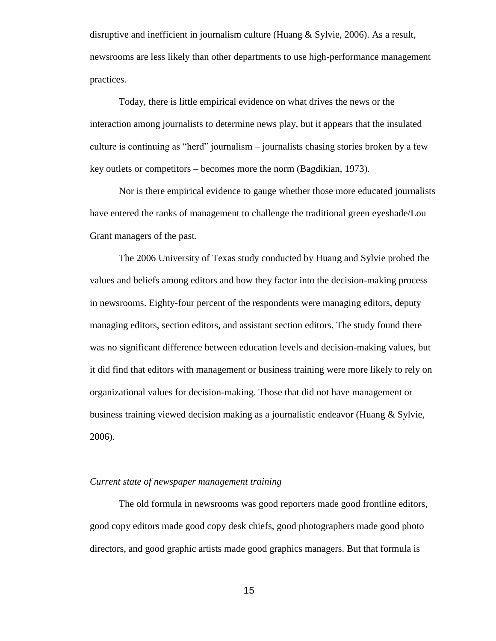disruptive and inefficient in journalism culture (Huang & Sylvie, 2006). As a result, newsrooms are less likely than other departments to use high-performance management practices.

Today, there is little empirical evidence on what drives the news or the interaction among journalists to determine news play, but it appears that the insulated culture is continuing as "herd" journalism – journalists chasing stories broken by a few key outlets or competitors – becomes more the norm (Bagdikian, 1973).

Nor is there empirical evidence to gauge whether those more educated journalists have entered the ranks of management to challenge the traditional green eyeshade/Lou Grant managers of the past.

The 2006 University of Texas study conducted by Huang and Sylvie probed the values and beliefs among editors and how they factor into the decision-making process in newsrooms. Eighty-four percent of the respondents were managing editors, deputy managing editors, section editors, and assistant section editors. The study found there was no significant difference between education levels and decision-making values, but it did find that editors with management or business training were more likely to rely on organizational values for decision-making. Those that did not have management or business training viewed decision making as a journalistic endeavor (Huang & Sylvie, 2006).

## *Current state of newspaper management training*

The old formula in newsrooms was good reporters made good frontline editors, good copy editors made good copy desk chiefs, good photographers made good photo directors, and good graphic artists made good graphics managers. But that formula is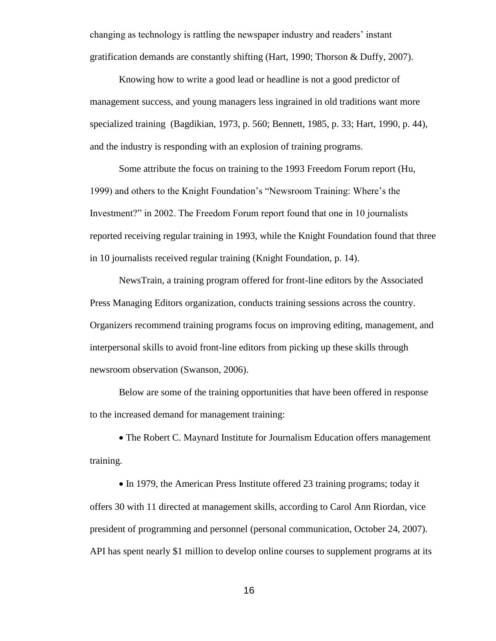changing as technology is rattling the newspaper industry and readers' instant gratification demands are constantly shifting (Hart, 1990; Thorson & Duffy, 2007).

Knowing how to write a good lead or headline is not a good predictor of management success, and young managers less ingrained in old traditions want more specialized training (Bagdikian, 1973, p. 560; Bennett, 1985, p. 33; Hart, 1990, p. 44), and the industry is responding with an explosion of training programs.

Some attribute the focus on training to the 1993 Freedom Forum report (Hu, 1999) and others to the Knight Foundation's "Newsroom Training: Where's the Investment?" in 2002. The Freedom Forum report found that one in 10 journalists reported receiving regular training in 1993, while the Knight Foundation found that three in 10 journalists received regular training (Knight Foundation, p. 14).

NewsTrain, a training program offered for front-line editors by the Associated Press Managing Editors organization, conducts training sessions across the country. Organizers recommend training programs focus on improving editing, management, and interpersonal skills to avoid front-line editors from picking up these skills through newsroom observation (Swanson, 2006).

Below are some of the training opportunities that have been offered in response to the increased demand for management training:

• The Robert C. Maynard Institute for Journalism Education offers management training.

• In 1979, the American Press Institute offered 23 training programs; today it offers 30 with 11 directed at management skills, according to Carol Ann Riordan, vice president of programming and personnel (personal communication, October 24, 2007). API has spent nearly \$1 million to develop online courses to supplement programs at its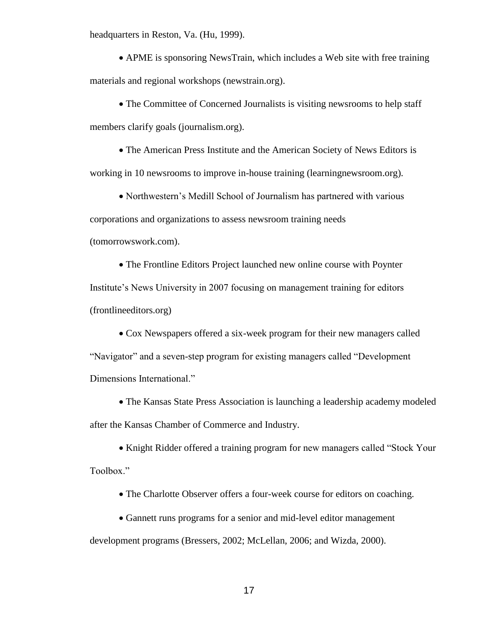headquarters in Reston, Va. (Hu, 1999).

 APME is sponsoring NewsTrain, which includes a Web site with free training materials and regional workshops (newstrain.org).

• The Committee of Concerned Journalists is visiting newsrooms to help staff members clarify goals (journalism.org).

 The American Press Institute and the American Society of News Editors is working in 10 newsrooms to improve in-house training (learningnewsroom.org).

• Northwestern's Medill School of Journalism has partnered with various corporations and organizations to assess newsroom training needs (tomorrowswork.com).

 The Frontline Editors Project launched new online course with Poynter Institute's News University in 2007 focusing on management training for editors (frontlineeditors.org)

• Cox Newspapers offered a six-week program for their new managers called "Navigator" and a seven-step program for existing managers called "Development Dimensions International."

 The Kansas State Press Association is launching a leadership academy modeled after the Kansas Chamber of Commerce and Industry.

• Knight Ridder offered a training program for new managers called "Stock Your Toolbox."

The Charlotte Observer offers a four-week course for editors on coaching.

 Gannett runs programs for a senior and mid-level editor management development programs (Bressers, 2002; McLellan, 2006; and Wizda, 2000).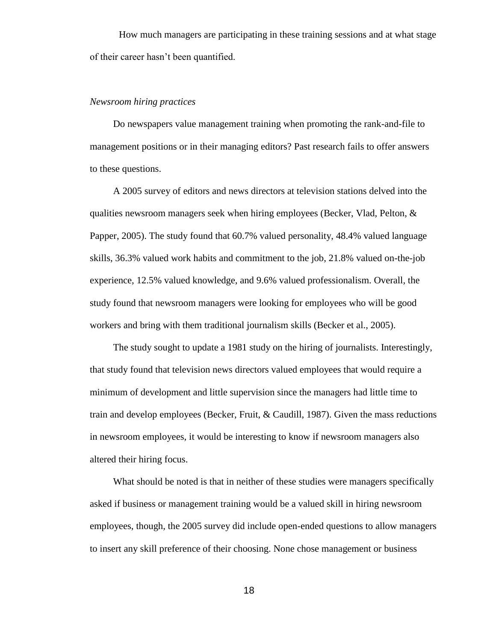How much managers are participating in these training sessions and at what stage of their career hasn't been quantified.

### *Newsroom hiring practices*

Do newspapers value management training when promoting the rank-and-file to management positions or in their managing editors? Past research fails to offer answers to these questions.

A 2005 survey of editors and news directors at television stations delved into the qualities newsroom managers seek when hiring employees (Becker, Vlad, Pelton, & Papper, 2005). The study found that 60.7% valued personality, 48.4% valued language skills, 36.3% valued work habits and commitment to the job, 21.8% valued on-the-job experience, 12.5% valued knowledge, and 9.6% valued professionalism. Overall, the study found that newsroom managers were looking for employees who will be good workers and bring with them traditional journalism skills (Becker et al., 2005).

The study sought to update a 1981 study on the hiring of journalists. Interestingly, that study found that television news directors valued employees that would require a minimum of development and little supervision since the managers had little time to train and develop employees (Becker, Fruit, & Caudill, 1987). Given the mass reductions in newsroom employees, it would be interesting to know if newsroom managers also altered their hiring focus.

What should be noted is that in neither of these studies were managers specifically asked if business or management training would be a valued skill in hiring newsroom employees, though, the 2005 survey did include open-ended questions to allow managers to insert any skill preference of their choosing. None chose management or business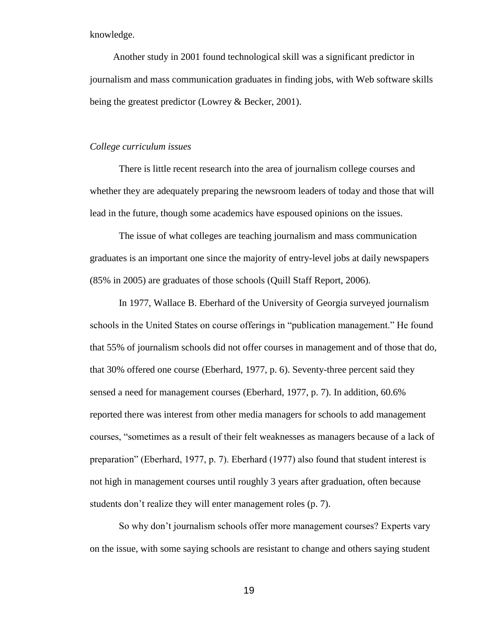knowledge.

Another study in 2001 found technological skill was a significant predictor in journalism and mass communication graduates in finding jobs, with Web software skills being the greatest predictor (Lowrey & Becker, 2001).

#### *College curriculum issues*

There is little recent research into the area of journalism college courses and whether they are adequately preparing the newsroom leaders of today and those that will lead in the future, though some academics have espoused opinions on the issues.

The issue of what colleges are teaching journalism and mass communication graduates is an important one since the majority of entry-level jobs at daily newspapers (85% in 2005) are graduates of those schools (Quill Staff Report, 2006).

In 1977, Wallace B. Eberhard of the University of Georgia surveyed journalism schools in the United States on course offerings in "publication management." He found that 55% of journalism schools did not offer courses in management and of those that do, that 30% offered one course (Eberhard, 1977, p. 6). Seventy-three percent said they sensed a need for management courses (Eberhard, 1977, p. 7). In addition, 60.6% reported there was interest from other media managers for schools to add management courses, "sometimes as a result of their felt weaknesses as managers because of a lack of preparation" (Eberhard, 1977, p. 7). Eberhard (1977) also found that student interest is not high in management courses until roughly 3 years after graduation, often because students don't realize they will enter management roles (p. 7).

So why don't journalism schools offer more management courses? Experts vary on the issue, with some saying schools are resistant to change and others saying student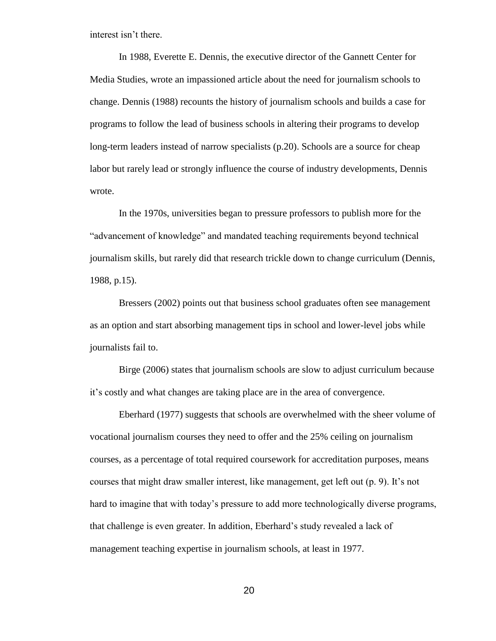interest isn't there.

In 1988, Everette E. Dennis, the executive director of the Gannett Center for Media Studies, wrote an impassioned article about the need for journalism schools to change. Dennis (1988) recounts the history of journalism schools and builds a case for programs to follow the lead of business schools in altering their programs to develop long-term leaders instead of narrow specialists (p.20). Schools are a source for cheap labor but rarely lead or strongly influence the course of industry developments, Dennis wrote.

In the 1970s, universities began to pressure professors to publish more for the "advancement of knowledge" and mandated teaching requirements beyond technical journalism skills, but rarely did that research trickle down to change curriculum (Dennis, 1988, p.15).

Bressers (2002) points out that business school graduates often see management as an option and start absorbing management tips in school and lower-level jobs while journalists fail to.

Birge (2006) states that journalism schools are slow to adjust curriculum because it's costly and what changes are taking place are in the area of convergence.

Eberhard (1977) suggests that schools are overwhelmed with the sheer volume of vocational journalism courses they need to offer and the 25% ceiling on journalism courses, as a percentage of total required coursework for accreditation purposes, means courses that might draw smaller interest, like management, get left out (p. 9). It's not hard to imagine that with today's pressure to add more technologically diverse programs, that challenge is even greater. In addition, Eberhard's study revealed a lack of management teaching expertise in journalism schools, at least in 1977.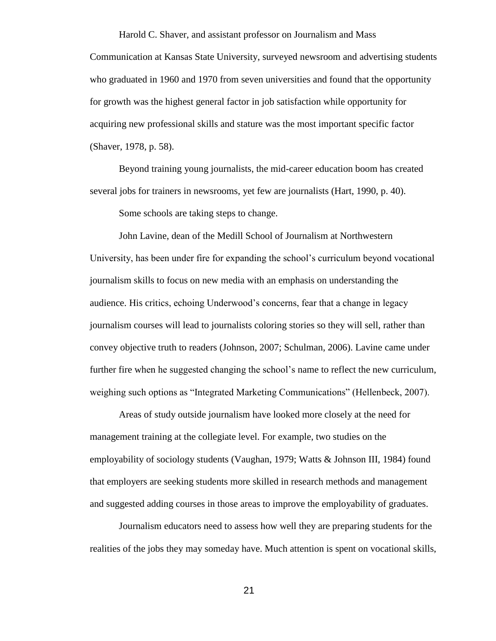#### Harold C. Shaver, and assistant professor on Journalism and Mass

Communication at Kansas State University, surveyed newsroom and advertising students who graduated in 1960 and 1970 from seven universities and found that the opportunity for growth was the highest general factor in job satisfaction while opportunity for acquiring new professional skills and stature was the most important specific factor (Shaver, 1978, p. 58).

Beyond training young journalists, the mid-career education boom has created several jobs for trainers in newsrooms, yet few are journalists (Hart, 1990, p. 40).

Some schools are taking steps to change.

John Lavine, dean of the Medill School of Journalism at Northwestern University, has been under fire for expanding the school's curriculum beyond vocational journalism skills to focus on new media with an emphasis on understanding the audience. His critics, echoing Underwood's concerns, fear that a change in legacy journalism courses will lead to journalists coloring stories so they will sell, rather than convey objective truth to readers (Johnson, 2007; Schulman, 2006). Lavine came under further fire when he suggested changing the school's name to reflect the new curriculum, weighing such options as "Integrated Marketing Communications" (Hellenbeck, 2007).

Areas of study outside journalism have looked more closely at the need for management training at the collegiate level. For example, two studies on the employability of sociology students (Vaughan, 1979; Watts & Johnson III, 1984) found that employers are seeking students more skilled in research methods and management and suggested adding courses in those areas to improve the employability of graduates.

Journalism educators need to assess how well they are preparing students for the realities of the jobs they may someday have. Much attention is spent on vocational skills,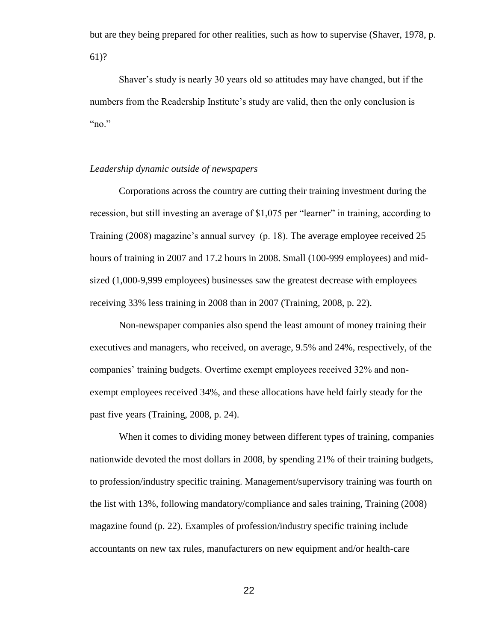but are they being prepared for other realities, such as how to supervise (Shaver, 1978, p. 61)?

Shaver's study is nearly 30 years old so attitudes may have changed, but if the numbers from the Readership Institute's study are valid, then the only conclusion is " $no."$ 

## *Leadership dynamic outside of newspapers*

Corporations across the country are cutting their training investment during the recession, but still investing an average of \$1,075 per "learner" in training, according to Training (2008) magazine's annual survey (p. 18). The average employee received 25 hours of training in 2007 and 17.2 hours in 2008. Small (100-999 employees) and midsized (1,000-9,999 employees) businesses saw the greatest decrease with employees receiving 33% less training in 2008 than in 2007 (Training, 2008, p. 22).

Non-newspaper companies also spend the least amount of money training their executives and managers, who received, on average, 9.5% and 24%, respectively, of the companies' training budgets. Overtime exempt employees received 32% and nonexempt employees received 34%, and these allocations have held fairly steady for the past five years (Training, 2008, p. 24).

When it comes to dividing money between different types of training, companies nationwide devoted the most dollars in 2008, by spending 21% of their training budgets, to profession/industry specific training. Management/supervisory training was fourth on the list with 13%, following mandatory/compliance and sales training, Training (2008) magazine found (p. 22). Examples of profession/industry specific training include accountants on new tax rules, manufacturers on new equipment and/or health-care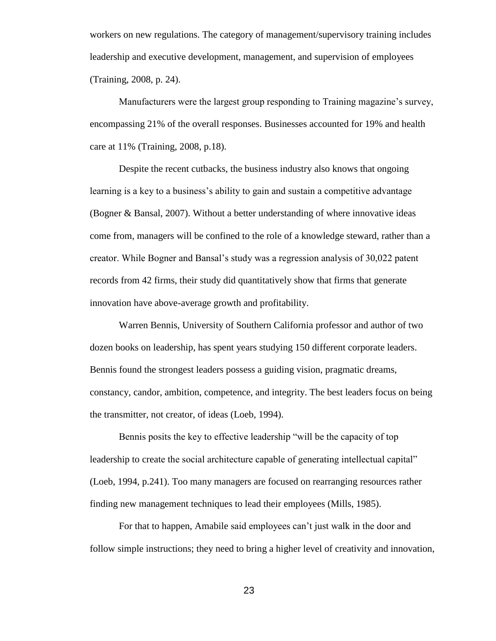workers on new regulations. The category of management/supervisory training includes leadership and executive development, management, and supervision of employees (Training, 2008, p. 24).

Manufacturers were the largest group responding to Training magazine's survey, encompassing 21% of the overall responses. Businesses accounted for 19% and health care at 11% (Training, 2008, p.18).

Despite the recent cutbacks, the business industry also knows that ongoing learning is a key to a business's ability to gain and sustain a competitive advantage (Bogner & Bansal, 2007). Without a better understanding of where innovative ideas come from, managers will be confined to the role of a knowledge steward, rather than a creator. While Bogner and Bansal's study was a regression analysis of 30,022 patent records from 42 firms, their study did quantitatively show that firms that generate innovation have above-average growth and profitability.

Warren Bennis, University of Southern California professor and author of two dozen books on leadership, has spent years studying 150 different corporate leaders. Bennis found the strongest leaders possess a guiding vision, pragmatic dreams, constancy, candor, ambition, competence, and integrity. The best leaders focus on being the transmitter, not creator, of ideas (Loeb, 1994).

Bennis posits the key to effective leadership "will be the capacity of top leadership to create the social architecture capable of generating intellectual capital" (Loeb, 1994, p.241). Too many managers are focused on rearranging resources rather finding new management techniques to lead their employees (Mills, 1985).

For that to happen, Amabile said employees can't just walk in the door and follow simple instructions; they need to bring a higher level of creativity and innovation,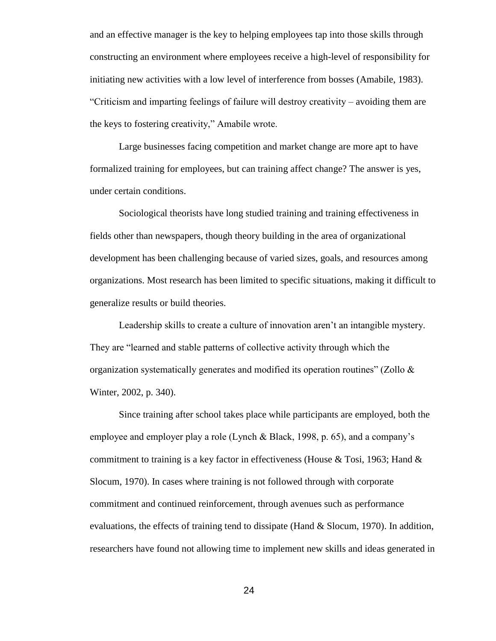and an effective manager is the key to helping employees tap into those skills through constructing an environment where employees receive a high-level of responsibility for initiating new activities with a low level of interference from bosses (Amabile, 1983). "Criticism and imparting feelings of failure will destroy creativity – avoiding them are the keys to fostering creativity," Amabile wrote.

Large businesses facing competition and market change are more apt to have formalized training for employees, but can training affect change? The answer is yes, under certain conditions.

Sociological theorists have long studied training and training effectiveness in fields other than newspapers, though theory building in the area of organizational development has been challenging because of varied sizes, goals, and resources among organizations. Most research has been limited to specific situations, making it difficult to generalize results or build theories.

Leadership skills to create a culture of innovation aren't an intangible mystery. They are "learned and stable patterns of collective activity through which the organization systematically generates and modified its operation routines" (Zollo & Winter, 2002, p. 340).

Since training after school takes place while participants are employed, both the employee and employer play a role (Lynch & Black, 1998, p. 65), and a company's commitment to training is a key factor in effectiveness (House & Tosi, 1963; Hand  $\&$ Slocum, 1970). In cases where training is not followed through with corporate commitment and continued reinforcement, through avenues such as performance evaluations, the effects of training tend to dissipate (Hand & Slocum, 1970). In addition, researchers have found not allowing time to implement new skills and ideas generated in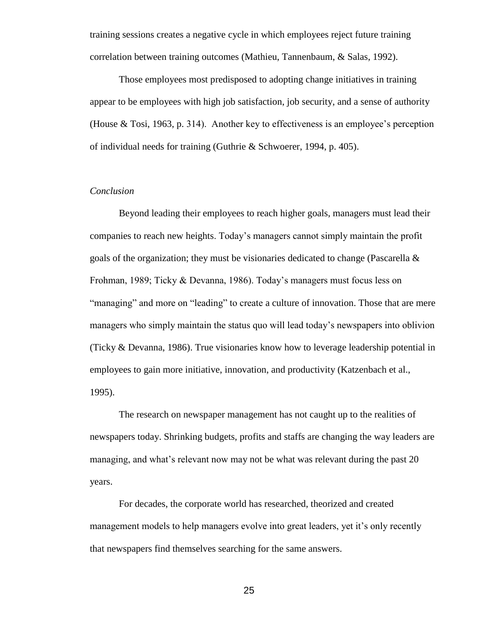training sessions creates a negative cycle in which employees reject future training correlation between training outcomes (Mathieu, Tannenbaum, & Salas, 1992).

Those employees most predisposed to adopting change initiatives in training appear to be employees with high job satisfaction, job security, and a sense of authority (House & Tosi, 1963, p. 314). Another key to effectiveness is an employee's perception of individual needs for training (Guthrie & Schwoerer, 1994, p. 405).

### *Conclusion*

Beyond leading their employees to reach higher goals, managers must lead their companies to reach new heights. Today's managers cannot simply maintain the profit goals of the organization; they must be visionaries dedicated to change (Pascarella  $\&$ Frohman, 1989; Ticky & Devanna, 1986). Today's managers must focus less on "managing" and more on "leading" to create a culture of innovation. Those that are mere managers who simply maintain the status quo will lead today's newspapers into oblivion (Ticky & Devanna, 1986). True visionaries know how to leverage leadership potential in employees to gain more initiative, innovation, and productivity (Katzenbach et al., 1995).

The research on newspaper management has not caught up to the realities of newspapers today. Shrinking budgets, profits and staffs are changing the way leaders are managing, and what's relevant now may not be what was relevant during the past 20 years.

For decades, the corporate world has researched, theorized and created management models to help managers evolve into great leaders, yet it's only recently that newspapers find themselves searching for the same answers.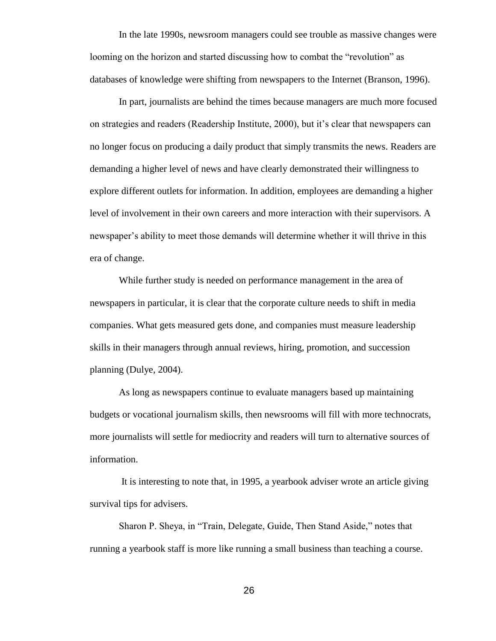In the late 1990s, newsroom managers could see trouble as massive changes were looming on the horizon and started discussing how to combat the "revolution" as databases of knowledge were shifting from newspapers to the Internet (Branson, 1996).

In part, journalists are behind the times because managers are much more focused on strategies and readers (Readership Institute, 2000), but it's clear that newspapers can no longer focus on producing a daily product that simply transmits the news. Readers are demanding a higher level of news and have clearly demonstrated their willingness to explore different outlets for information. In addition, employees are demanding a higher level of involvement in their own careers and more interaction with their supervisors. A newspaper's ability to meet those demands will determine whether it will thrive in this era of change.

While further study is needed on performance management in the area of newspapers in particular, it is clear that the corporate culture needs to shift in media companies. What gets measured gets done, and companies must measure leadership skills in their managers through annual reviews, hiring, promotion, and succession planning (Dulye, 2004).

As long as newspapers continue to evaluate managers based up maintaining budgets or vocational journalism skills, then newsrooms will fill with more technocrats, more journalists will settle for mediocrity and readers will turn to alternative sources of information.

It is interesting to note that, in 1995, a yearbook adviser wrote an article giving survival tips for advisers.

Sharon P. Sheya, in "Train, Delegate, Guide, Then Stand Aside," notes that running a yearbook staff is more like running a small business than teaching a course.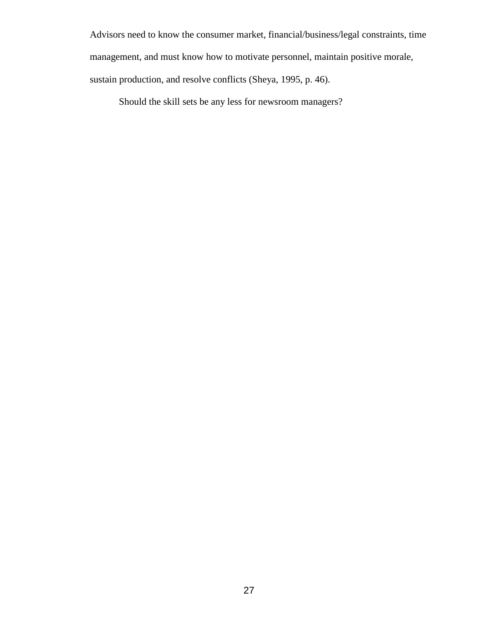Advisors need to know the consumer market, financial/business/legal constraints, time management, and must know how to motivate personnel, maintain positive morale, sustain production, and resolve conflicts (Sheya, 1995, p. 46).

Should the skill sets be any less for newsroom managers?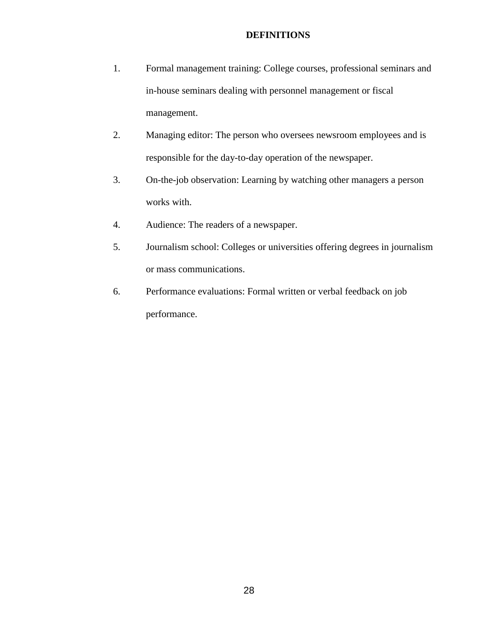### **DEFINITIONS**

- 1. Formal management training: College courses, professional seminars and in-house seminars dealing with personnel management or fiscal management.
- 2. Managing editor: The person who oversees newsroom employees and is responsible for the day-to-day operation of the newspaper.
- 3. On-the-job observation: Learning by watching other managers a person works with.
- 4. Audience: The readers of a newspaper.
- 5. Journalism school: Colleges or universities offering degrees in journalism or mass communications.
- 6. Performance evaluations: Formal written or verbal feedback on job performance.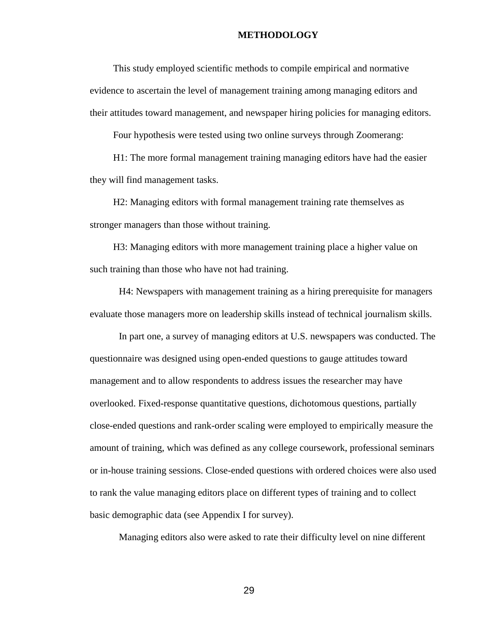#### **METHODOLOGY**

This study employed scientific methods to compile empirical and normative evidence to ascertain the level of management training among managing editors and their attitudes toward management, and newspaper hiring policies for managing editors.

Four hypothesis were tested using two online surveys through Zoomerang:

H1: The more formal management training managing editors have had the easier they will find management tasks.

H2: Managing editors with formal management training rate themselves as stronger managers than those without training.

H3: Managing editors with more management training place a higher value on such training than those who have not had training.

H4: Newspapers with management training as a hiring prerequisite for managers evaluate those managers more on leadership skills instead of technical journalism skills.

In part one, a survey of managing editors at U.S. newspapers was conducted. The questionnaire was designed using open-ended questions to gauge attitudes toward management and to allow respondents to address issues the researcher may have overlooked. Fixed-response quantitative questions, dichotomous questions, partially close-ended questions and rank-order scaling were employed to empirically measure the amount of training, which was defined as any college coursework, professional seminars or in-house training sessions. Close-ended questions with ordered choices were also used to rank the value managing editors place on different types of training and to collect basic demographic data (see Appendix I for survey).

Managing editors also were asked to rate their difficulty level on nine different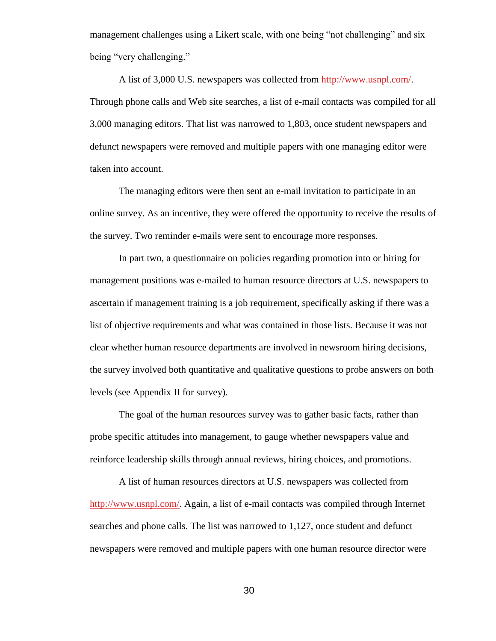management challenges using a Likert scale, with one being "not challenging" and six being "very challenging."

A list of 3,000 U.S. newspapers was collected from [http://www.usnpl.com/.](http://www.usnpl.com/) Through phone calls and Web site searches, a list of e-mail contacts was compiled for all 3,000 managing editors. That list was narrowed to 1,803, once student newspapers and defunct newspapers were removed and multiple papers with one managing editor were taken into account.

The managing editors were then sent an e-mail invitation to participate in an online survey. As an incentive, they were offered the opportunity to receive the results of the survey. Two reminder e-mails were sent to encourage more responses.

In part two, a questionnaire on policies regarding promotion into or hiring for management positions was e-mailed to human resource directors at U.S. newspapers to ascertain if management training is a job requirement, specifically asking if there was a list of objective requirements and what was contained in those lists. Because it was not clear whether human resource departments are involved in newsroom hiring decisions, the survey involved both quantitative and qualitative questions to probe answers on both levels (see Appendix II for survey).

The goal of the human resources survey was to gather basic facts, rather than probe specific attitudes into management, to gauge whether newspapers value and reinforce leadership skills through annual reviews, hiring choices, and promotions.

A list of human resources directors at U.S. newspapers was collected from [http://www.usnpl.com/.](http://www.usnpl.com/) Again, a list of e-mail contacts was compiled through Internet searches and phone calls. The list was narrowed to 1,127, once student and defunct newspapers were removed and multiple papers with one human resource director were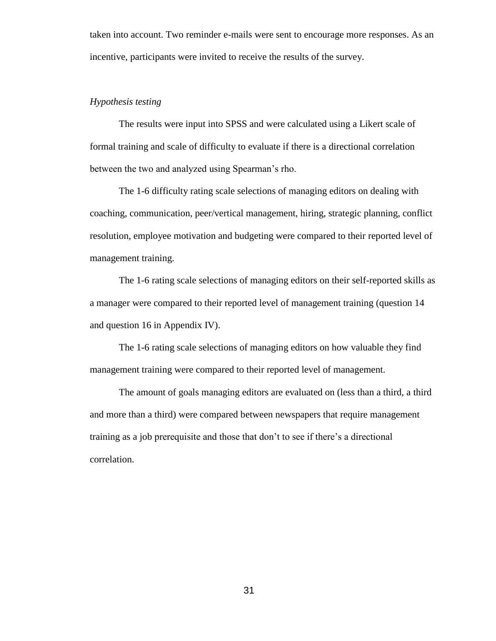taken into account. Two reminder e-mails were sent to encourage more responses. As an incentive, participants were invited to receive the results of the survey.

### *Hypothesis testing*

The results were input into SPSS and were calculated using a Likert scale of formal training and scale of difficulty to evaluate if there is a directional correlation between the two and analyzed using Spearman's rho.

The 1-6 difficulty rating scale selections of managing editors on dealing with coaching, communication, peer/vertical management, hiring, strategic planning, conflict resolution, employee motivation and budgeting were compared to their reported level of management training.

The 1-6 rating scale selections of managing editors on their self-reported skills as a manager were compared to their reported level of management training (question 14 and question 16 in Appendix IV).

The 1-6 rating scale selections of managing editors on how valuable they find management training were compared to their reported level of management.

The amount of goals managing editors are evaluated on (less than a third, a third and more than a third) were compared between newspapers that require management training as a job prerequisite and those that don't to see if there's a directional correlation.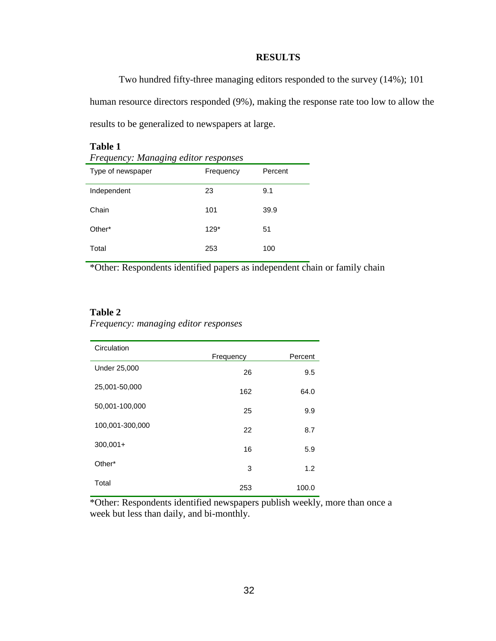### **RESULTS**

Two hundred fifty-three managing editors responded to the survey (14%); 101 human resource directors responded (9%), making the response rate too low to allow the results to be generalized to newspapers at large.

| Table 1<br>Frequency: Managing editor responses |           |         |  |  |  |
|-------------------------------------------------|-----------|---------|--|--|--|
| Type of newspaper                               | Frequency | Percent |  |  |  |
| Independent                                     | 23        | 9.1     |  |  |  |
| Chain                                           | 101       | 39.9    |  |  |  |
| Other*                                          | $129*$    | 51      |  |  |  |
| Total                                           | 253       | 100     |  |  |  |

\*Other: Respondents identified papers as independent chain or family chain

### **Table 2**

*Frequency: managing editor responses*

| Circulation     | Frequency | Percent |
|-----------------|-----------|---------|
| Under 25,000    | 26        | 9.5     |
| 25,001-50,000   | 162       | 64.0    |
| 50,001-100,000  | 25        | 9.9     |
| 100,001-300,000 | 22        | 8.7     |
| $300,001+$      | 16        | 5.9     |
| Other*          | 3         | 1.2     |
| Total           | 253       | 100.0   |

\*Other: Respondents identified newspapers publish weekly, more than once a week but less than daily, and bi-monthly.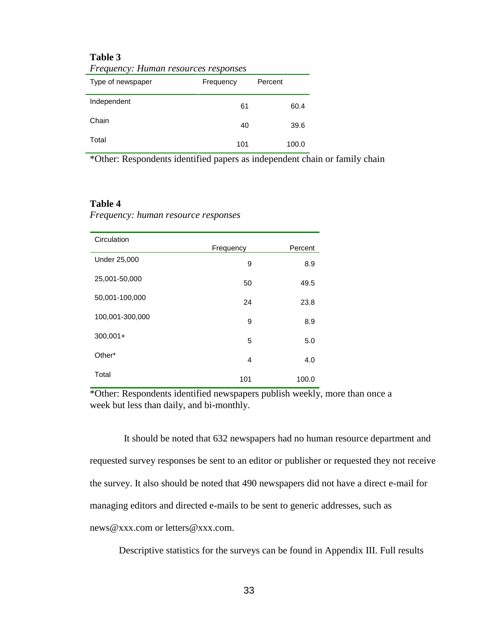### **Table 3**

|                   | $\ldots$  |         |       |  |  |  |  |
|-------------------|-----------|---------|-------|--|--|--|--|
| Type of newspaper | Frequency | Percent |       |  |  |  |  |
| Independent       | 61        |         | 60.4  |  |  |  |  |
| Chain             | 40        |         | 39.6  |  |  |  |  |
| Total             | 101       |         | 100.0 |  |  |  |  |

*Frequency: Human resources responses*

\*Other: Respondents identified papers as independent chain or family chain

#### **Table 4**

*Frequency: human resource responses*

| Circulation         |           |         |
|---------------------|-----------|---------|
|                     | Frequency | Percent |
| <b>Under 25,000</b> | 9         | 8.9     |
| 25,001-50,000       | 50        | 49.5    |
| 50,001-100,000      | 24        | 23.8    |
| 100,001-300,000     | 9         | 8.9     |
| $300,001+$          | 5         | 5.0     |
| Other*              | 4         | 4.0     |
| Total               | 101       | 100.0   |

\*Other: Respondents identified newspapers publish weekly, more than once a week but less than daily, and bi-monthly.

 It should be noted that 632 newspapers had no human resource department and requested survey responses be sent to an editor or publisher or requested they not receive the survey. It also should be noted that 490 newspapers did not have a direct e-mail for managing editors and directed e-mails to be sent to generic addresses, such as [news@xxx.com](mailto:news@xxx.com) or [letters@xxx.com.](mailto:letters@xxx.com)

Descriptive statistics for the surveys can be found in Appendix III. Full results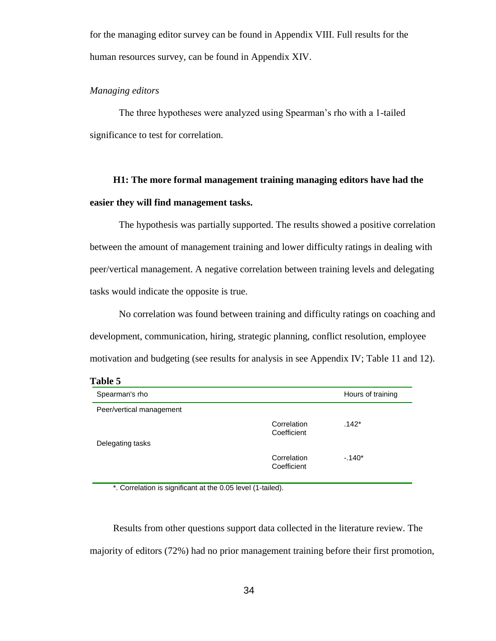for the managing editor survey can be found in Appendix VIII. Full results for the human resources survey, can be found in Appendix XIV.

### *Managing editors*

The three hypotheses were analyzed using Spearman's rho with a 1-tailed significance to test for correlation.

# **H1: The more formal management training managing editors have had the easier they will find management tasks.**

The hypothesis was partially supported. The results showed a positive correlation between the amount of management training and lower difficulty ratings in dealing with peer/vertical management. A negative correlation between training levels and delegating tasks would indicate the opposite is true.

No correlation was found between training and difficulty ratings on coaching and development, communication, hiring, strategic planning, conflict resolution, employee motivation and budgeting (see results for analysis in see Appendix IV; Table 11 and 12).

#### **Table 5**

| Spearman's rho           |                            | Hours of training |
|--------------------------|----------------------------|-------------------|
| Peer/vertical management |                            |                   |
|                          | Correlation<br>Coefficient | $.142*$           |
| Delegating tasks         |                            |                   |
|                          | Correlation<br>Coefficient | $-140*$           |

\*. Correlation is significant at the 0.05 level (1-tailed).

Results from other questions support data collected in the literature review. The majority of editors (72%) had no prior management training before their first promotion,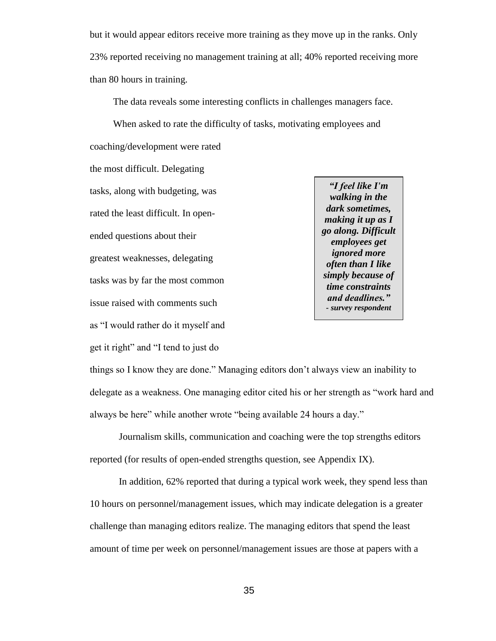but it would appear editors receive more training as they move up in the ranks. Only 23% reported receiving no management training at all; 40% reported receiving more than 80 hours in training.

The data reveals some interesting conflicts in challenges managers face.

When asked to rate the difficulty of tasks, motivating employees and coaching/development were rated

the most difficult. Delegating tasks, along with budgeting, was rated the least difficult. In openended questions about their greatest weaknesses, delegating tasks was by far the most common issue raised with comments such as "I would rather do it myself and

get it right" and "I tend to just do

*"I feel like I'm walking in the dark sometimes, making it up as I go along. Difficult employees get ignored more often than I like simply because of time constraints and deadlines." - survey respondent*

things so I know they are done." Managing editors don't always view an inability to delegate as a weakness. One managing editor cited his or her strength as "work hard and always be here" while another wrote "being available 24 hours a day."

Journalism skills, communication and coaching were the top strengths editors reported (for results of open-ended strengths question, see Appendix IX).

In addition, 62% reported that during a typical work week, they spend less than 10 hours on personnel/management issues, which may indicate delegation is a greater challenge than managing editors realize. The managing editors that spend the least amount of time per week on personnel/management issues are those at papers with a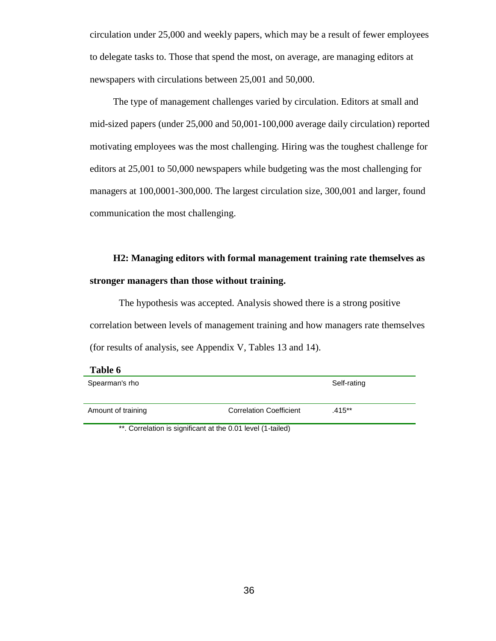circulation under 25,000 and weekly papers, which may be a result of fewer employees to delegate tasks to. Those that spend the most, on average, are managing editors at newspapers with circulations between 25,001 and 50,000.

The type of management challenges varied by circulation. Editors at small and mid-sized papers (under 25,000 and 50,001-100,000 average daily circulation) reported motivating employees was the most challenging. Hiring was the toughest challenge for editors at 25,001 to 50,000 newspapers while budgeting was the most challenging for managers at 100,0001-300,000. The largest circulation size, 300,001 and larger, found communication the most challenging.

# **H2: Managing editors with formal management training rate themselves as stronger managers than those without training.**

The hypothesis was accepted. Analysis showed there is a strong positive correlation between levels of management training and how managers rate themselves (for results of analysis, see Appendix V, Tables 13 and 14).

| Table 6            |                                |             |
|--------------------|--------------------------------|-------------|
| Spearman's rho     |                                | Self-rating |
|                    |                                |             |
| Amount of training | <b>Correlation Coefficient</b> | $.415***$   |

\*\*. Correlation is significant at the 0.01 level (1-tailed)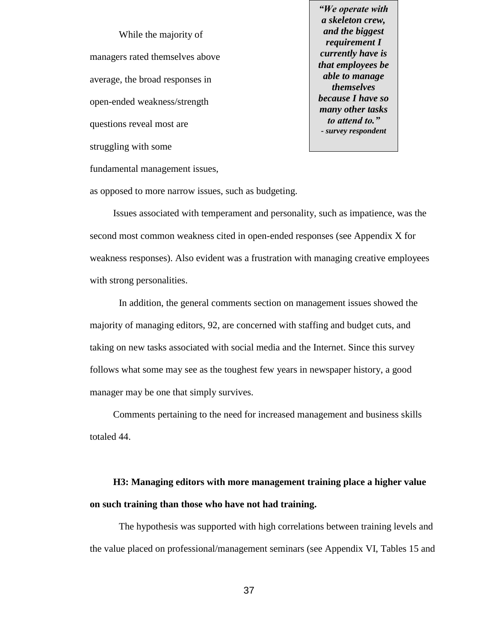While the majority of managers rated themselves above average, the broad responses in open-ended weakness/strength questions reveal most are struggling with some

*"We operate with a skeleton crew, and the biggest requirement I currently have is that employees be able to manage themselves because I have so many other tasks to attend to." - survey respondent*

fundamental management issues,

as opposed to more narrow issues, such as budgeting.

Issues associated with temperament and personality, such as impatience, was the second most common weakness cited in open-ended responses (see Appendix X for weakness responses). Also evident was a frustration with managing creative employees with strong personalities.

In addition, the general comments section on management issues showed the majority of managing editors, 92, are concerned with staffing and budget cuts, and taking on new tasks associated with social media and the Internet. Since this survey follows what some may see as the toughest few years in newspaper history, a good manager may be one that simply survives.

Comments pertaining to the need for increased management and business skills totaled 44.

# **H3: Managing editors with more management training place a higher value on such training than those who have not had training.**

The hypothesis was supported with high correlations between training levels and the value placed on professional/management seminars (see Appendix VI, Tables 15 and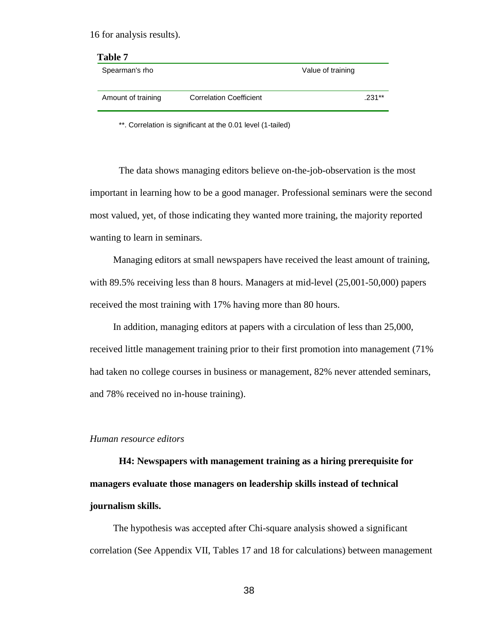16 for analysis results).

| Table 7            |                                |                   |
|--------------------|--------------------------------|-------------------|
| Spearman's rho     |                                | Value of training |
| Amount of training | <b>Correlation Coefficient</b> | $.231**$          |
|                    |                                |                   |

\*\*. Correlation is significant at the 0.01 level (1-tailed)

The data shows managing editors believe on-the-job-observation is the most important in learning how to be a good manager. Professional seminars were the second most valued, yet, of those indicating they wanted more training, the majority reported wanting to learn in seminars.

Managing editors at small newspapers have received the least amount of training, with 89.5% receiving less than 8 hours. Managers at mid-level (25,001-50,000) papers received the most training with 17% having more than 80 hours.

In addition, managing editors at papers with a circulation of less than 25,000, received little management training prior to their first promotion into management (71% had taken no college courses in business or management, 82% never attended seminars, and 78% received no in-house training).

#### *Human resource editors*

**H4: Newspapers with management training as a hiring prerequisite for managers evaluate those managers on leadership skills instead of technical journalism skills.**

The hypothesis was accepted after Chi-square analysis showed a significant correlation (See Appendix VII, Tables 17 and 18 for calculations) between management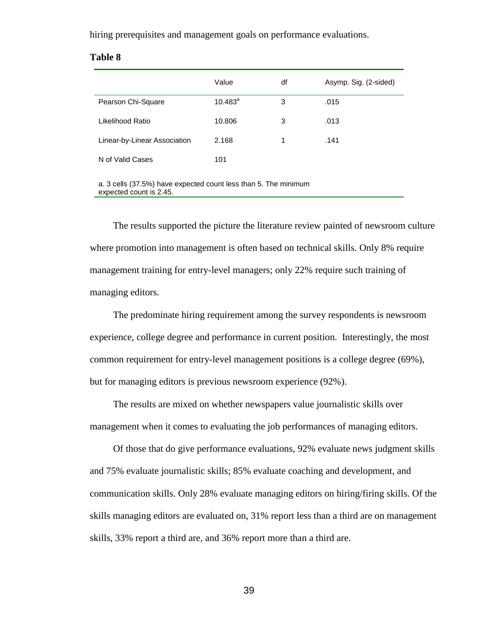hiring prerequisites and management goals on performance evaluations.

| able | Л |
|------|---|
|------|---|

|                              | Value      | df | Asymp. Sig. (2-sided) |
|------------------------------|------------|----|-----------------------|
| Pearson Chi-Square           | $10.483^a$ | 3  | .015                  |
| Likelihood Ratio             | 10.806     | 3  | .013                  |
| Linear-by-Linear Association | 2.168      | 1  | .141                  |
| N of Valid Cases             | 101        |    |                       |

a. 3 cells (37.5%) have expected count less than 5. The minimum expected count is 2.45.

The results supported the picture the literature review painted of newsroom culture where promotion into management is often based on technical skills. Only 8% require management training for entry-level managers; only 22% require such training of managing editors.

The predominate hiring requirement among the survey respondents is newsroom experience, college degree and performance in current position. Interestingly, the most common requirement for entry-level management positions is a college degree (69%), but for managing editors is previous newsroom experience (92%).

The results are mixed on whether newspapers value journalistic skills over management when it comes to evaluating the job performances of managing editors.

Of those that do give performance evaluations, 92% evaluate news judgment skills and 75% evaluate journalistic skills; 85% evaluate coaching and development, and communication skills. Only 28% evaluate managing editors on hiring/firing skills. Of the skills managing editors are evaluated on, 31% report less than a third are on management skills, 33% report a third are, and 36% report more than a third are.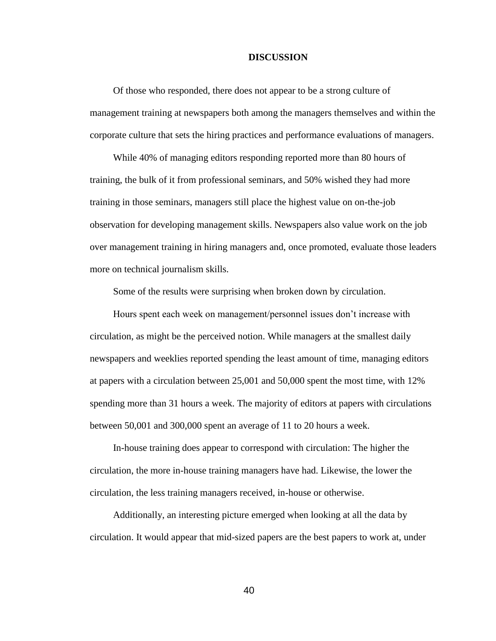#### **DISCUSSION**

Of those who responded, there does not appear to be a strong culture of management training at newspapers both among the managers themselves and within the corporate culture that sets the hiring practices and performance evaluations of managers.

While 40% of managing editors responding reported more than 80 hours of training, the bulk of it from professional seminars, and 50% wished they had more training in those seminars, managers still place the highest value on on-the-job observation for developing management skills. Newspapers also value work on the job over management training in hiring managers and, once promoted, evaluate those leaders more on technical journalism skills.

Some of the results were surprising when broken down by circulation.

Hours spent each week on management/personnel issues don't increase with circulation, as might be the perceived notion. While managers at the smallest daily newspapers and weeklies reported spending the least amount of time, managing editors at papers with a circulation between 25,001 and 50,000 spent the most time, with 12% spending more than 31 hours a week. The majority of editors at papers with circulations between 50,001 and 300,000 spent an average of 11 to 20 hours a week.

In-house training does appear to correspond with circulation: The higher the circulation, the more in-house training managers have had. Likewise, the lower the circulation, the less training managers received, in-house or otherwise.

Additionally, an interesting picture emerged when looking at all the data by circulation. It would appear that mid-sized papers are the best papers to work at, under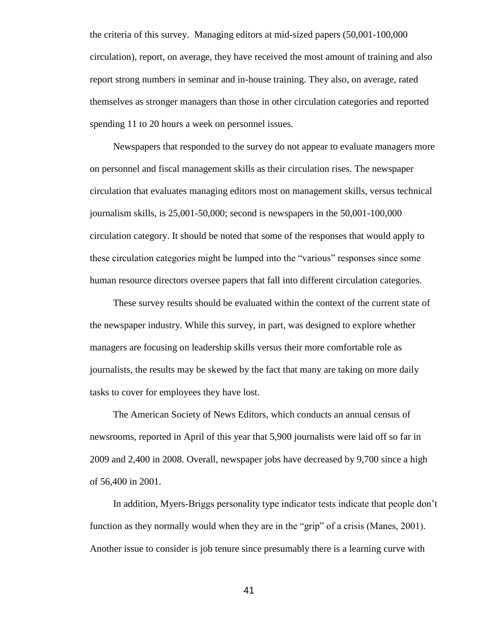the criteria of this survey. Managing editors at mid-sized papers (50,001-100,000 circulation), report, on average, they have received the most amount of training and also report strong numbers in seminar and in-house training. They also, on average, rated themselves as stronger managers than those in other circulation categories and reported spending 11 to 20 hours a week on personnel issues.

Newspapers that responded to the survey do not appear to evaluate managers more on personnel and fiscal management skills as their circulation rises. The newspaper circulation that evaluates managing editors most on management skills, versus technical journalism skills, is 25,001-50,000; second is newspapers in the 50,001-100,000 circulation category. It should be noted that some of the responses that would apply to these circulation categories might be lumped into the "various" responses since some human resource directors oversee papers that fall into different circulation categories.

These survey results should be evaluated within the context of the current state of the newspaper industry. While this survey, in part, was designed to explore whether managers are focusing on leadership skills versus their more comfortable role as journalists, the results may be skewed by the fact that many are taking on more daily tasks to cover for employees they have lost.

The American Society of News Editors, which conducts an annual census of newsrooms, reported in April of this year that 5,900 journalists were laid off so far in 2009 and 2,400 in 2008. Overall, newspaper jobs have decreased by 9,700 since a high of 56,400 in 2001.

In addition, Myers-Briggs personality type indicator tests indicate that people don't function as they normally would when they are in the "grip" of a crisis (Manes, 2001). Another issue to consider is job tenure since presumably there is a learning curve with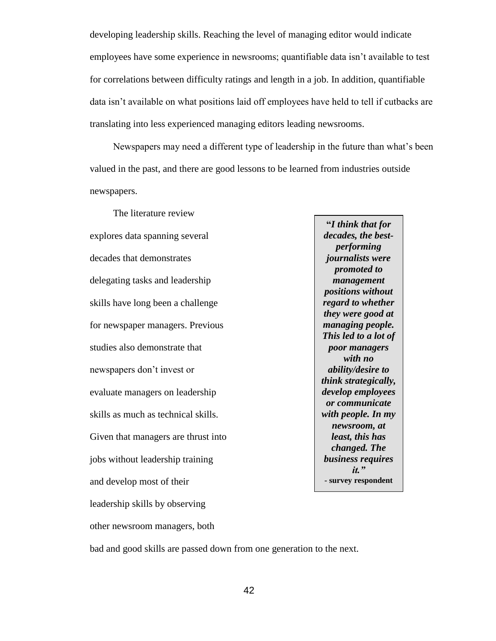developing leadership skills. Reaching the level of managing editor would indicate employees have some experience in newsrooms; quantifiable data isn't available to test for correlations between difficulty ratings and length in a job. In addition, quantifiable data isn't available on what positions laid off employees have held to tell if cutbacks are translating into less experienced managing editors leading newsrooms.

Newspapers may need a different type of leadership in the future than what's been valued in the past, and there are good lessons to be learned from industries outside newspapers.

The literature review explores data spanning several decades that demonstrates delegating tasks and leadership skills have long been a challenge for newspaper managers. Previous studies also demonstrate that newspapers don't invest or evaluate managers on leadership skills as much as technical skills. Given that managers are thrust into jobs without leadership training and develop most of their leadership skills by observing other newsroom managers, both

**"***I think that for decades, the bestperforming journalists were promoted to management positions without regard to whether they were good at managing people. This led to a lot of poor managers with no ability/desire to think strategically, develop employees or communicate with people. In my newsroom, at least, this has changed. The business requires it."* **- survey respondent**

bad and good skills are passed down from one generation to the next.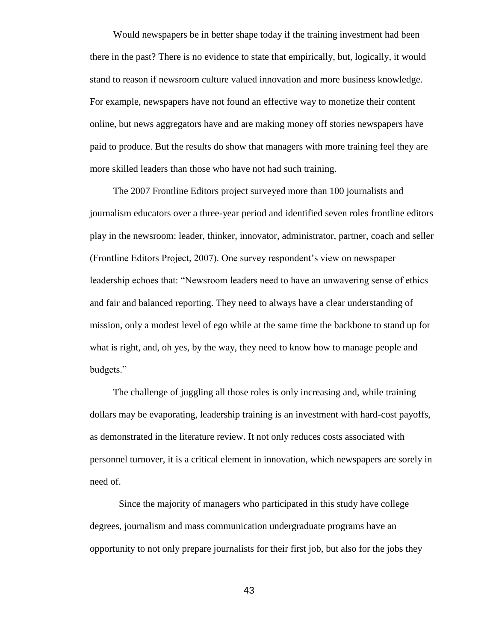Would newspapers be in better shape today if the training investment had been there in the past? There is no evidence to state that empirically, but, logically, it would stand to reason if newsroom culture valued innovation and more business knowledge. For example, newspapers have not found an effective way to monetize their content online, but news aggregators have and are making money off stories newspapers have paid to produce. But the results do show that managers with more training feel they are more skilled leaders than those who have not had such training.

The 2007 Frontline Editors project surveyed more than 100 journalists and journalism educators over a three-year period and identified seven roles frontline editors play in the newsroom: leader, thinker, innovator, administrator, partner, coach and seller (Frontline Editors Project, 2007). One survey respondent's view on newspaper leadership echoes that: "Newsroom leaders need to have an unwavering sense of ethics and fair and balanced reporting. They need to always have a clear understanding of mission, only a modest level of ego while at the same time the backbone to stand up for what is right, and, oh yes, by the way, they need to know how to manage people and budgets."

The challenge of juggling all those roles is only increasing and, while training dollars may be evaporating, leadership training is an investment with hard-cost payoffs, as demonstrated in the literature review. It not only reduces costs associated with personnel turnover, it is a critical element in innovation, which newspapers are sorely in need of.

Since the majority of managers who participated in this study have college degrees, journalism and mass communication undergraduate programs have an opportunity to not only prepare journalists for their first job, but also for the jobs they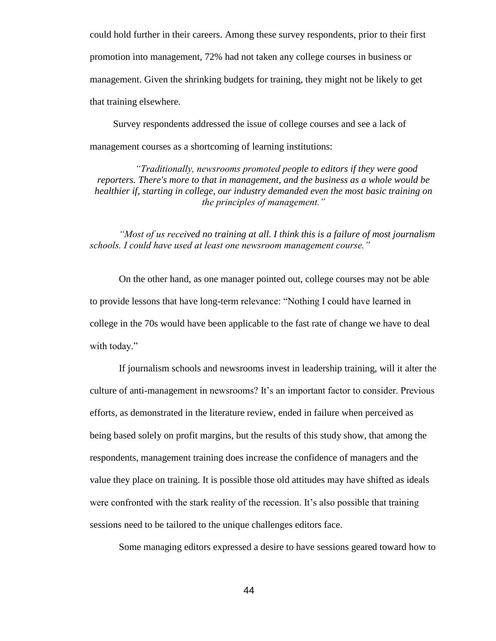could hold further in their careers. Among these survey respondents, prior to their first promotion into management, 72% had not taken any college courses in business or management. Given the shrinking budgets for training, they might not be likely to get that training elsewhere.

Survey respondents addressed the issue of college courses and see a lack of management courses as a shortcoming of learning institutions:

*"Traditionally, newsrooms promoted people to editors if they were good reporters. There's more to that in management, and the business as a whole would be healthier if, starting in college, our industry demanded even the most basic training on the principles of management."*

*"Most of us received no training at all. I think this is a failure of most journalism schools. I could have used at least one newsroom management course."* 

On the other hand, as one manager pointed out, college courses may not be able to provide lessons that have long-term relevance: "Nothing I could have learned in college in the 70s would have been applicable to the fast rate of change we have to deal with today."

If journalism schools and newsrooms invest in leadership training, will it alter the culture of anti-management in newsrooms? It's an important factor to consider. Previous efforts, as demonstrated in the literature review, ended in failure when perceived as being based solely on profit margins, but the results of this study show, that among the respondents, management training does increase the confidence of managers and the value they place on training. It is possible those old attitudes may have shifted as ideals were confronted with the stark reality of the recession. It's also possible that training sessions need to be tailored to the unique challenges editors face.

Some managing editors expressed a desire to have sessions geared toward how to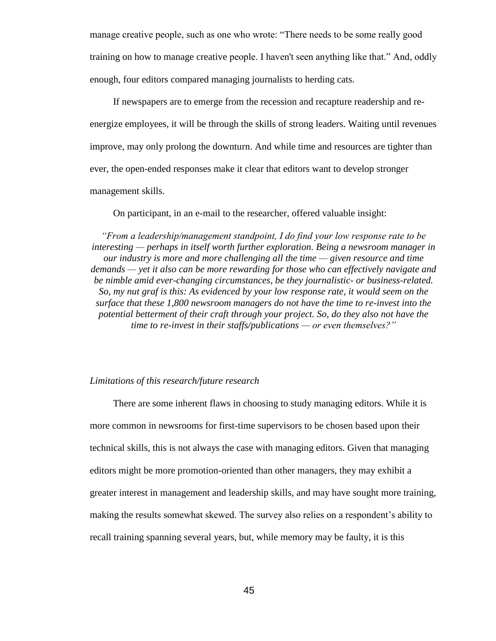manage creative people, such as one who wrote: "There needs to be some really good training on how to manage creative people. I haven't seen anything like that." And, oddly enough, four editors compared managing journalists to herding cats.

If newspapers are to emerge from the recession and recapture readership and reenergize employees, it will be through the skills of strong leaders. Waiting until revenues improve, may only prolong the downturn. And while time and resources are tighter than ever, the open-ended responses make it clear that editors want to develop stronger management skills.

On participant, in an e-mail to the researcher, offered valuable insight:

*"From a leadership/management standpoint, I do find your low response rate to be interesting — perhaps in itself worth further exploration. Being a newsroom manager in our industry is more and more challenging all the time — given resource and time demands — yet it also can be more rewarding for those who can effectively navigate and be nimble amid ever-changing circumstances, be they journalistic- or business-related. So, my nut graf is this: As evidenced by your low response rate, it would seem on the surface that these 1,800 newsroom managers do not have the time to re-invest into the potential betterment of their craft through your project. So, do they also not have the time to re-invest in their staffs/publications — or even themselves?"*

#### *Limitations of this research/future research*

There are some inherent flaws in choosing to study managing editors. While it is more common in newsrooms for first-time supervisors to be chosen based upon their technical skills, this is not always the case with managing editors. Given that managing editors might be more promotion-oriented than other managers, they may exhibit a greater interest in management and leadership skills, and may have sought more training, making the results somewhat skewed. The survey also relies on a respondent's ability to recall training spanning several years, but, while memory may be faulty, it is this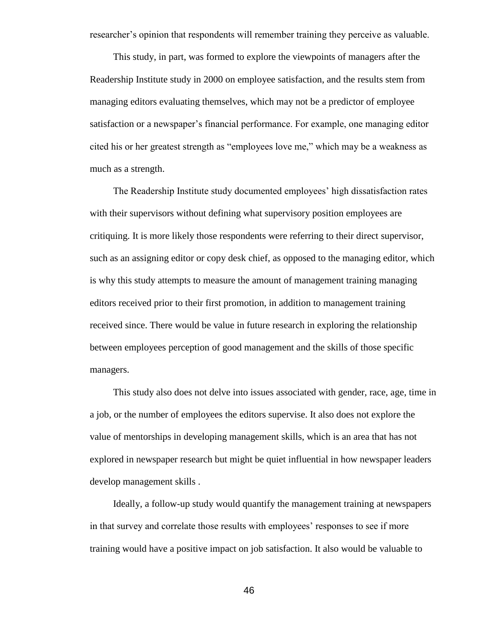researcher's opinion that respondents will remember training they perceive as valuable.

This study, in part, was formed to explore the viewpoints of managers after the Readership Institute study in 2000 on employee satisfaction, and the results stem from managing editors evaluating themselves, which may not be a predictor of employee satisfaction or a newspaper's financial performance. For example, one managing editor cited his or her greatest strength as "employees love me," which may be a weakness as much as a strength.

The Readership Institute study documented employees' high dissatisfaction rates with their supervisors without defining what supervisory position employees are critiquing. It is more likely those respondents were referring to their direct supervisor, such as an assigning editor or copy desk chief, as opposed to the managing editor, which is why this study attempts to measure the amount of management training managing editors received prior to their first promotion, in addition to management training received since. There would be value in future research in exploring the relationship between employees perception of good management and the skills of those specific managers.

This study also does not delve into issues associated with gender, race, age, time in a job, or the number of employees the editors supervise. It also does not explore the value of mentorships in developing management skills, which is an area that has not explored in newspaper research but might be quiet influential in how newspaper leaders develop management skills .

Ideally, a follow-up study would quantify the management training at newspapers in that survey and correlate those results with employees' responses to see if more training would have a positive impact on job satisfaction. It also would be valuable to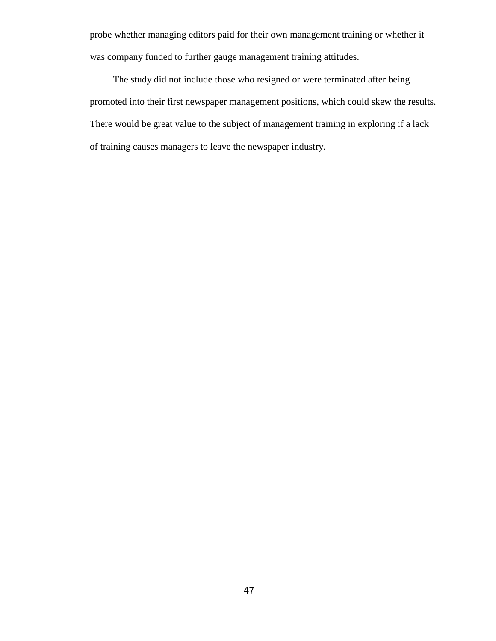probe whether managing editors paid for their own management training or whether it was company funded to further gauge management training attitudes.

The study did not include those who resigned or were terminated after being promoted into their first newspaper management positions, which could skew the results. There would be great value to the subject of management training in exploring if a lack of training causes managers to leave the newspaper industry.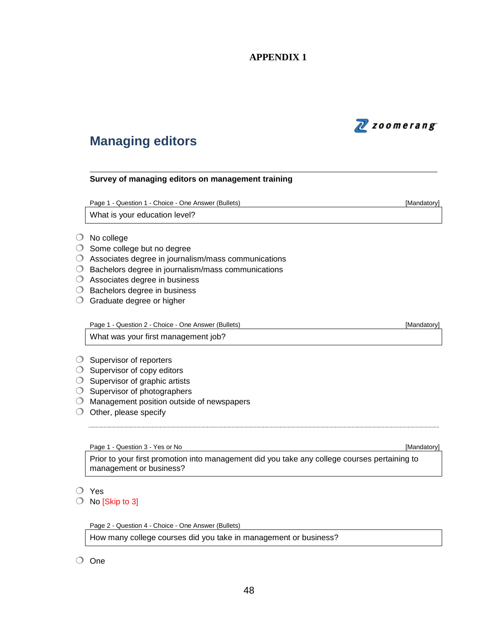## **APPENDIX 1**



# **Managing editors**

#### **Survey of managing editors on management training**

Page 1 - Question 1 - Choice - One Answer (Bullets) **Francisco Community Contract Contract Contract Contract Contract Contract Contract Contract Contract Contract Contract Contract Contract Contract Contract Contract Contr** 

What is your education level?

- No college
- $\bigcirc$  Some college but no degree
- Associates degree in journalism/mass communications
- $\bigcirc$  Bachelors degree in journalism/mass communications
- Associates degree in business
- $\bigcirc$  Bachelors degree in business
- Graduate degree or higher

Page 1 - Question 2 - Choice - One Answer (Bullets) **[Mandatory]** [Mandatory]

What was your first management job?

- $\bigcirc$  Supervisor of reporters
- $\bigcirc$  Supervisor of copy editors
- $\bigcirc$  Supervisor of graphic artists
- $\bigcirc$  Supervisor of photographers
- $\bigcirc$  Management position outside of newspapers
- $\bigcirc$  Other, please specify

Page 1 - Question 3 - Yes or No **Contract Contract Contract Contract Contract Contract Contract Contract Contract Contract Contract Contract Contract Contract Contract Contract Contract Contract Contract Contract Contract** 

Prior to your first promotion into management did you take any college courses pertaining to management or business?

- Yes
- $\bigcirc$  No [Skip to 3]

Page 2 - Question 4 - Choice - One Answer (Bullets)

How many college courses did you take in management or business?

One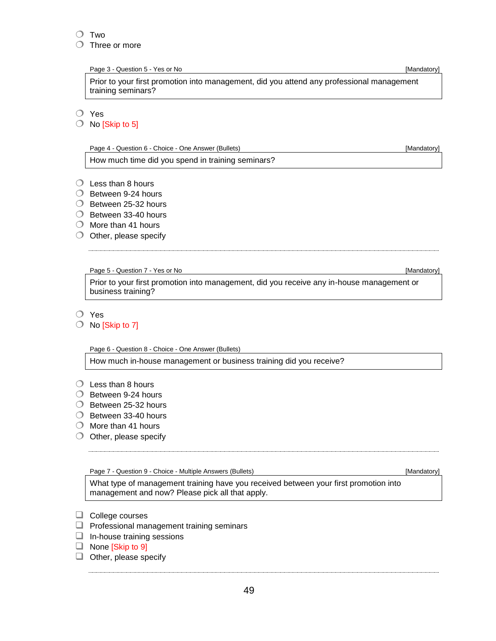#### O Two

Three or more

Page 3 - Question 5 - Yes or No **Contract Contract Contract Contract Contract Contract Contract Contract Contract Contract Contract Contract Contract Contract Contract Contract Contract Contract Contract Contract Contract** 

Prior to your first promotion into management, did you attend any professional management training seminars?

O Yes

 $\bigcirc$  No [Skip to 5]

Page 4 - Question 6 - Choice - One Answer (Bullets) **[Mandatory]** [Mandatory]

How much time did you spend in training seminars?

- $\bigcirc$  Less than 8 hours
- $\bigcirc$  Between 9-24 hours
- $\bigcirc$  Between 25-32 hours
- $\bigcirc$  Between 33-40 hours
- $\bigcirc$  More than 41 hours
- $\bigcirc$  Other, please specify

Page 5 - Question 7 - Yes or No **Contract Contract Contract Contract Contract Contract Contract Contract Contract Contract Contract Contract Contract Contract Contract Contract Contract Contract Contract Contract Contract** 

Prior to your first promotion into management, did you receive any in-house management or business training?

O Yes

 $\bigcirc$  No [Skip to 7]

Page 6 - Question 8 - Choice - One Answer (Bullets)

How much in-house management or business training did you receive?

- $\bigcirc$  Less than 8 hours
- $\bigcirc$  Between 9-24 hours
- $\bigcirc$  Between 25-32 hours
- $\bigcirc$  Between 33-40 hours
- $\bigcirc$  More than 41 hours
- $\bigcirc$  Other, please specify

Page 7 - Question 9 - Choice - Multiple Answers (Bullets) **[Mandatory]** [Mandatory]

What type of management training have you received between your first promotion into management and now? Please pick all that apply.

- $\Box$  College courses
- $\Box$  Professional management training seminars
- $\Box$  In-house training sessions
- None [Skip to 9]

 $\Box$  Other, please specify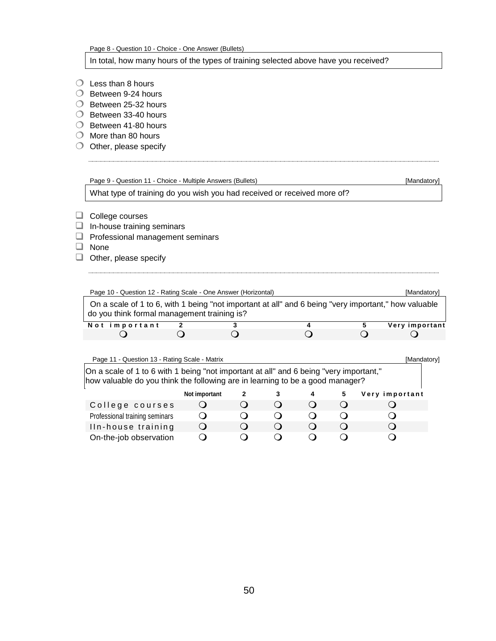Page 8 - Question 10 - Choice - One Answer (Bullets)

In total, how many hours of the types of training selected above have you received?

- $\bigcirc$  Less than 8 hours
- $\bigcirc$  Between 9-24 hours
- $\bigcirc$  Between 25-32 hours
- $\bigcirc$  Between 33-40 hours
- $\bigcirc$  Between 41-80 hours
- $\bigcirc$  More than 80 hours
- $\bigcirc$  Other, please specify

# Page 9 - Question 11 - Choice - Multiple Answers (Bullets) [Mandatory]

What type of training do you wish you had received or received more of?

- $\Box$  College courses
- $\Box$  In-house training seminars
- $\Box$  Professional management seminars
- □ None
- $\Box$  Other, please specify

| Page 10 - Question 12 - Rating Scale - One Answer (Horizontal)                                                                                                          |               |              |                  |                  |                  |   | [Mandatory]    |  |
|-------------------------------------------------------------------------------------------------------------------------------------------------------------------------|---------------|--------------|------------------|------------------|------------------|---|----------------|--|
| On a scale of 1 to 6, with 1 being "not important at all" and 6 being "very important," how valuable<br>do you think formal management training is?                     |               |              |                  |                  |                  |   |                |  |
| Not important                                                                                                                                                           |               |              |                  | 4                |                  | 5 | Very important |  |
|                                                                                                                                                                         |               |              |                  |                  |                  |   |                |  |
| On a scale of 1 to 6 with 1 being "not important at all" and 6 being "very important,"<br>how valuable do you think the following are in learning to be a good manager? |               |              |                  |                  |                  |   |                |  |
|                                                                                                                                                                         | Not important | $\mathbf{2}$ | 3                | 4                | 5                |   | Very important |  |
| College courses                                                                                                                                                         |               |              | $\Omega$         | $\left( \right)$ | $\left( \right)$ |   |                |  |
| Professional training seminars                                                                                                                                          |               |              | $\left( \right)$ | ( )              |                  |   |                |  |
| Iln-house training                                                                                                                                                      |               |              |                  |                  |                  |   |                |  |

On-the-job observation Q Q Q Q Q Q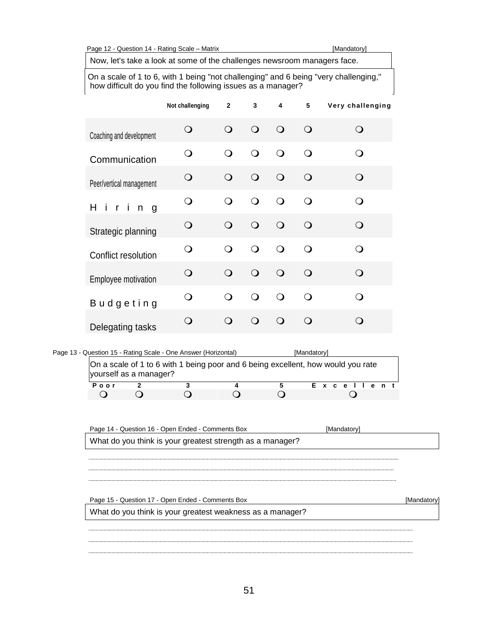Page 12 - Question 14 - Rating Scale – Matrix [Mandatory]

Now, let's take a look at some of the challenges newsroom managers face.

On a scale of 1 to 6, with 1 being "not challenging" and 6 being "very challenging," how difficult do you find the following issues as a manager?

|                                                                                                            | Not challenging | $\mathbf{2}$    | 3              | 4               | 5           | Very challenging                                      |
|------------------------------------------------------------------------------------------------------------|-----------------|-----------------|----------------|-----------------|-------------|-------------------------------------------------------|
| Coaching and development                                                                                   | $\bigcirc$      | $\Omega$        | $\mathsf{O}$   | $\bigcirc$      | $\bigcirc$  | $\bigcirc$                                            |
| Communication                                                                                              | $\bigcirc$      | $\Omega$        | $\Omega$       | $\bigcirc$      | $\bigcirc$  | $\bigcirc$                                            |
| Peer/vertical management                                                                                   | $\bigcirc$      | $\Omega$        | $\bigcirc$     | $\bigcirc$      | $\bigcirc$  | $\bigcirc$                                            |
| H<br>-i<br>$\mathsf{r}$<br>i n<br>g                                                                        | $\mathsf{O}$    | O               | O              | $\Omega$        | $\bigcirc$  | $\bigcirc$                                            |
| Strategic planning                                                                                         | $\circ$         | $\Omega$        | $\Omega$       | O               | $\bigcirc$  | $\bigcirc$                                            |
| Conflict resolution                                                                                        | ∩               | ∩               | $\overline{O}$ | ∩               | $\bigcirc$  | $\bigcirc$                                            |
| Employee motivation                                                                                        | $\bigcirc$      | $\bigcirc$      | $\bigcirc$     | $\bigcirc$      | $\bigcirc$  | $\Omega$                                              |
| <b>Budgeting</b>                                                                                           | $\mathsf{O}$    | ∩               | $\bigcirc$     | $\bigcirc$      | $\bigcirc$  | $\overline{O}$                                        |
| Delegating tasks                                                                                           | $\bigcirc$      | $\Omega$        | O              | $\bigcirc$      | $\bigcirc$  | $\bigcirc$                                            |
| Page 13 - Question 15 - Rating Scale - One Answer (Horizontal)                                             |                 |                 |                |                 | [Mandatory] |                                                       |
| On a scale of 1 to 6 with 1 being poor and 6 being excellent, how would you rate<br>yourself as a manager? |                 |                 |                |                 |             |                                                       |
| Poor<br>2<br>$\bigcirc$<br>$\bigcirc$                                                                      | 3<br>$\bigcirc$ | 4<br>$\bigcirc$ |                | 5<br>$\bigcirc$ | Е           | $x$ $c$<br>n <sub>t</sub><br>e e<br>$\mathbf{e}$<br>Ő |

Page 14 - Question 16 - Open Ended - Comments Box [Mandatory] What do you think is your greatest strength as a manager? Page 15 - Question 17 - Open Ended - Comments Box [Mandatory] What do you think is your greatest weakness as a manager?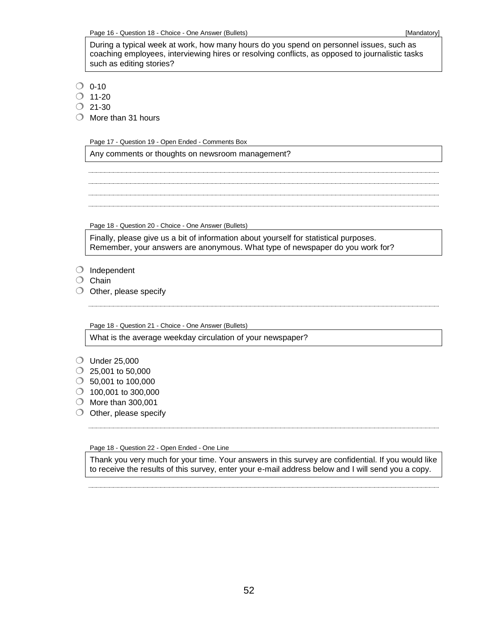During a typical week at work, how many hours do you spend on personnel issues, such as coaching employees, interviewing hires or resolving conflicts, as opposed to journalistic tasks such as editing stories?

 $\bigcirc$  0-10

- $\bigcirc$  11-20
- $O$  21-30
- $\bigcirc$  More than 31 hours

Page 17 - Question 19 - Open Ended - Comments Box

Any comments or thoughts on newsroom management?

Page 18 - Question 20 - Choice - One Answer (Bullets)

Finally, please give us a bit of information about yourself for statistical purposes. Remember, your answers are anonymous. What type of newspaper do you work for?

- $\bigcirc$  Independent
- $O$  Chain
- $\bigcirc$  Other, please specify

Page 18 - Question 21 - Choice - One Answer (Bullets)

What is the average weekday circulation of your newspaper?

- Under 25,000
- $\circ$  25,001 to 50,000
- 50,001 to 100,000
- $\bigcirc$  100,001 to 300,000
- $\bigcirc$  More than 300,001
- $\bigcirc$  Other, please specify

Page 18 - Question 22 - Open Ended - One Line

Thank you very much for your time. Your answers in this survey are confidential. If you would like to receive the results of this survey, enter your e-mail address below and I will send you a copy.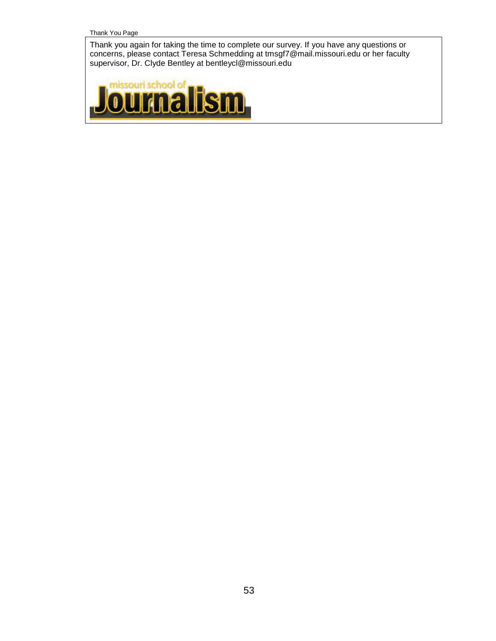Thank You Page

Thank you again for taking the time to complete our survey. If you have any questions or concerns, please contact Teresa Schmedding at tmsgf7@mail.missouri.edu or her faculty supervisor, Dr. Clyde Bentley at bentleycl@missouri.edu

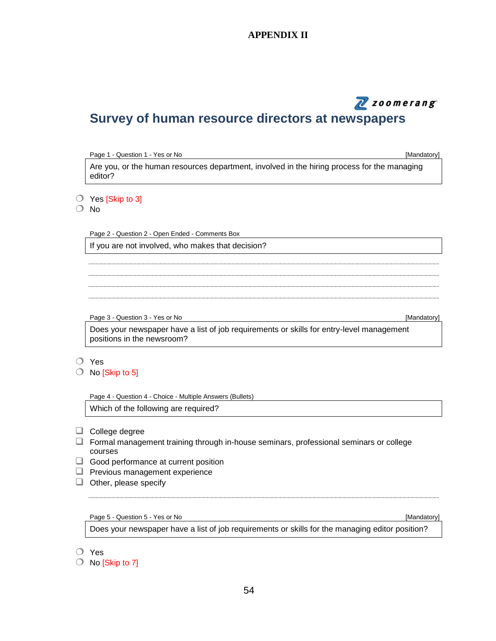### **APPENDIX II**

# N zoomerang

# **Survey of human resource directors at newspapers**

| Page 1 - Question 1 - Yes or No                                                                        | [Mandatory] |
|--------------------------------------------------------------------------------------------------------|-------------|
| Are you, or the human resources department, involved in the hiring process for the managing<br>editor? |             |
| $\bigcirc$ Yes [Skip to 3]<br><b>No</b>                                                                |             |
| Page 2 - Question 2 - Open Ended - Comments Box<br>If you are not involved, who makes that decision?   |             |
|                                                                                                        |             |
|                                                                                                        |             |
| Page 3 - Question 3 - Yes or No                                                                        | [Mandatory] |

Does your newspaper have a list of job requirements or skills for entry-level management positions in the newsroom?

- Yes
- $\bigcirc$  No [Skip to 5]

Page 4 - Question 4 - Choice - Multiple Answers (Bullets)

Which of the following are required?

- $\Box$  College degree
- $\Box$  Formal management training through in-house seminars, professional seminars or college courses
- Good performance at current position
- $\Box$  Previous management experience
- $\Box$  Other, please specify

Page 5 - Question 5 - Yes or No **Contract of Contract of Contract of Contract of Contract of Contract of Contract of Contract of Contract of Contract of Contract of Contract of Contract of Contract of Contract of Contract** 

Does your newspaper have a list of job requirements or skills for the managing editor position?

Yes

 $\bigcirc$  No [Skip to 7]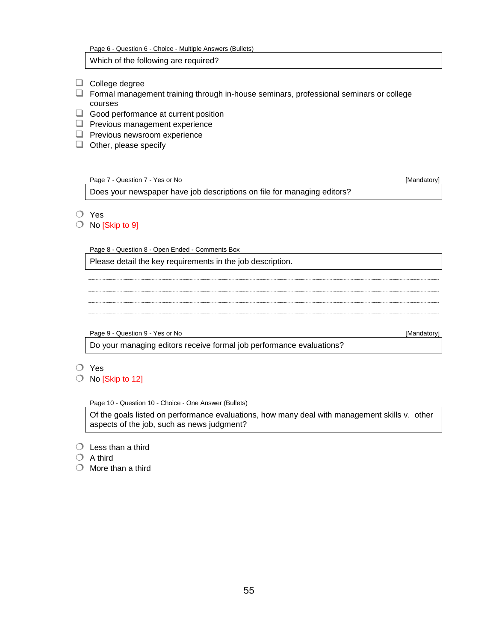| Page 6 - Question 6 - Choice - Multiple Answers (Bullets) |  |  |  |  |
|-----------------------------------------------------------|--|--|--|--|
|-----------------------------------------------------------|--|--|--|--|

Which of the following are required?

- $\Box$  College degree
- Formal management training through in-house seminars, professional seminars or college courses
- $\Box$  Good performance at current position
- **Previous management experience**
- $\Box$  Previous newsroom experience
- $\Box$  Other, please specify

#### Page 7 - Question 7 - Yes or No **Contract Contract Contract Contract Contract Contract Contract Contract Contract Contract Contract Contract Contract Contract Contract Contract Contract Contract Contract Contract Contract**

Does your newspaper have job descriptions on file for managing editors?

- Yes
- No [Skip to 9]

Page 8 - Question 8 - Open Ended - Comments Box

Please detail the key requirements in the job description.

Page 9 - Question 9 - Yes or No **Contract Contract Contract Contract Contract Contract Contract Contract Contract Contract Contract Contract Contract Contract Contract Contract Contract Contract Contract Contract Contract** 

Do your managing editors receive formal job performance evaluations?

- Yes
- $\bigcirc$  No [Skip to 12]

Page 10 - Question 10 - Choice - One Answer (Bullets)

Of the goals listed on performance evaluations, how many deal with management skills v. other aspects of the job, such as news judgment?

- $\bigcirc$  Less than a third
- $\bigcirc$  A third
- $\bigcirc$  More than a third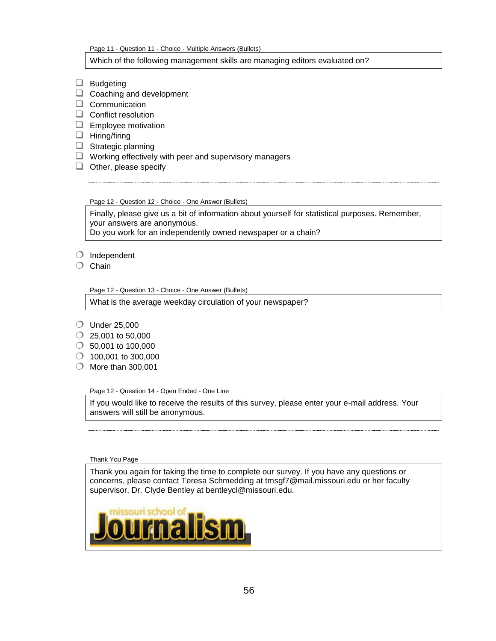Page 11 - Question 11 - Choice - Multiple Answers (Bullets)

#### Which of the following management skills are managing editors evaluated on?

- $\Box$  Budgeting
- $\Box$  Coaching and development
- $\Box$  Communication
- Conflict resolution
- $\Box$  Employee motivation
- $\Box$  Hiring/firing
- $\Box$  Strategic planning
- $\Box$  Working effectively with peer and supervisory managers
- $\Box$  Other, please specify

Page 12 - Question 12 - Choice - One Answer (Bullets)

Finally, please give us a bit of information about yourself for statistical purposes. Remember, your answers are anonymous.

Do you work for an independently owned newspaper or a chain?

- $\bigcirc$  Independent
- $\bigcirc$  Chain

Page 12 - Question 13 - Choice - One Answer (Bullets)

What is the average weekday circulation of your newspaper?

- Under 25,000
- $\circ$  25,001 to 50,000
- $\circ$  50,001 to 100,000
- $\bigcirc$  100,001 to 300,000
- $\bigcirc$  More than 300,001

Page 12 - Question 14 - Open Ended - One Line

If you would like to receive the results of this survey, please enter your e-mail address. Your answers will still be anonymous.

Thank You Page

Thank you again for taking the time to complete our survey. If you have any questions or concerns, please contact Teresa Schmedding at tmsgf7@mail.missouri.edu or her faculty supervisor, Dr. Clyde Bentley at bentleycl@missouri.edu.

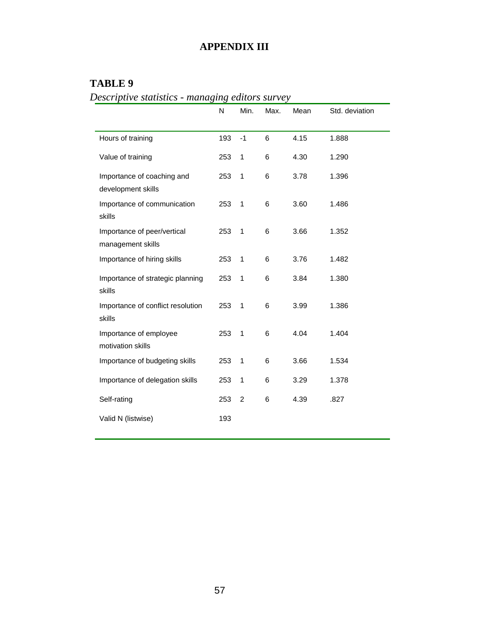# **APPENDIX III**

# **TABLE 9**

*Descriptive statistics - managing editors survey*

|                                                  | N   | Min.           | Max. | Mean | Std. deviation |
|--------------------------------------------------|-----|----------------|------|------|----------------|
| Hours of training                                | 193 | $-1$           | 6    | 4.15 | 1.888          |
| Value of training                                | 253 | 1              | 6    | 4.30 | 1.290          |
| Importance of coaching and<br>development skills | 253 | $\mathbf{1}$   | 6    | 3.78 | 1.396          |
| Importance of communication<br>skills            | 253 | $\mathbf{1}$   | 6    | 3.60 | 1.486          |
| Importance of peer/vertical<br>management skills | 253 | $\mathbf{1}$   | 6    | 3.66 | 1.352          |
| Importance of hiring skills                      | 253 | $\mathbf{1}$   | 6    | 3.76 | 1.482          |
| Importance of strategic planning<br>skills       | 253 | $\mathbf{1}$   | 6    | 3.84 | 1.380          |
| Importance of conflict resolution<br>skills      | 253 | $\mathbf{1}$   | 6    | 3.99 | 1.386          |
| Importance of employee<br>motivation skills      | 253 | 1              | 6    | 4.04 | 1.404          |
| Importance of budgeting skills                   | 253 | 1              | 6    | 3.66 | 1.534          |
| Importance of delegation skills                  | 253 | 1              | 6    | 3.29 | 1.378          |
| Self-rating                                      | 253 | $\overline{c}$ | 6    | 4.39 | .827           |
| Valid N (listwise)                               | 193 |                |      |      |                |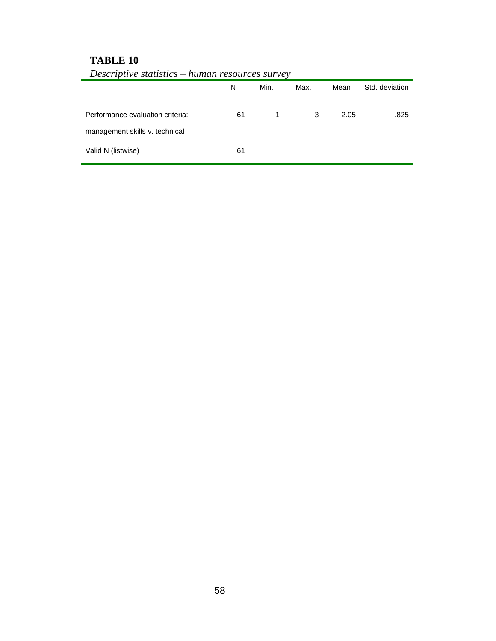## **TABLE 10**

|                                  | N  | Min. | Max. | Mean | Std. deviation |
|----------------------------------|----|------|------|------|----------------|
| Performance evaluation criteria: | 61 | 1    | 3    | 2.05 | .825           |
| management skills v. technical   |    |      |      |      |                |
| Valid N (listwise)               | 61 |      |      |      |                |

*Descriptive statistics – human resources survey*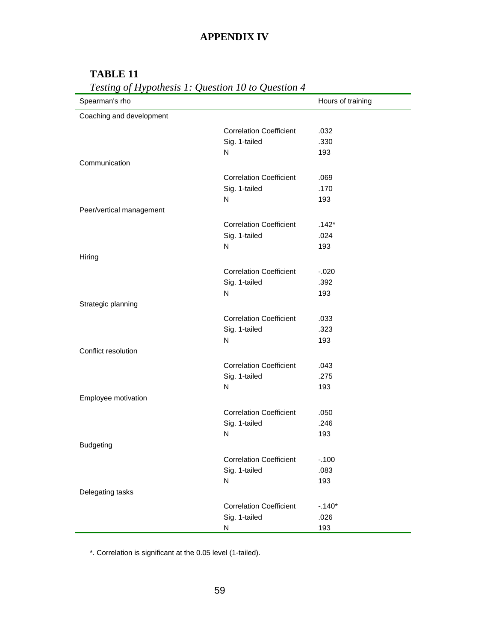# **APPENDIX IV**

# **TABLE 11**

| Spearman's rho           |                                | Hours of training |
|--------------------------|--------------------------------|-------------------|
| Coaching and development |                                |                   |
|                          | <b>Correlation Coefficient</b> | .032              |
|                          | Sig. 1-tailed                  | .330              |
|                          | N                              | 193               |
| Communication            |                                |                   |
|                          | <b>Correlation Coefficient</b> | .069              |
|                          | Sig. 1-tailed                  | .170              |
|                          | N                              | 193               |
| Peer/vertical management |                                |                   |
|                          | <b>Correlation Coefficient</b> | $.142*$           |
|                          | Sig. 1-tailed                  | .024              |
|                          | ${\sf N}$                      | 193               |
| Hiring                   |                                |                   |
|                          | <b>Correlation Coefficient</b> | $-0.020$          |
|                          | Sig. 1-tailed                  | .392              |
|                          | $\mathsf{N}$                   | 193               |
| Strategic planning       |                                |                   |
|                          | <b>Correlation Coefficient</b> | .033              |
|                          | Sig. 1-tailed                  | .323              |
|                          | N                              | 193               |
| Conflict resolution      |                                |                   |
|                          | <b>Correlation Coefficient</b> | .043              |
|                          | Sig. 1-tailed                  | .275              |
|                          | $\mathsf{N}$                   | 193               |
| Employee motivation      |                                |                   |
|                          | <b>Correlation Coefficient</b> | .050              |
|                          | Sig. 1-tailed                  | .246              |
|                          | ${\sf N}$                      | 193               |
| <b>Budgeting</b>         |                                |                   |
|                          | <b>Correlation Coefficient</b> | $-.100$           |
|                          | Sig. 1-tailed                  | .083              |
|                          | ${\sf N}$                      | 193               |
| Delegating tasks         |                                |                   |
|                          | <b>Correlation Coefficient</b> | $-.140*$          |
|                          | Sig. 1-tailed                  | .026              |
|                          | N                              | 193               |

\*. Correlation is significant at the 0.05 level (1-tailed).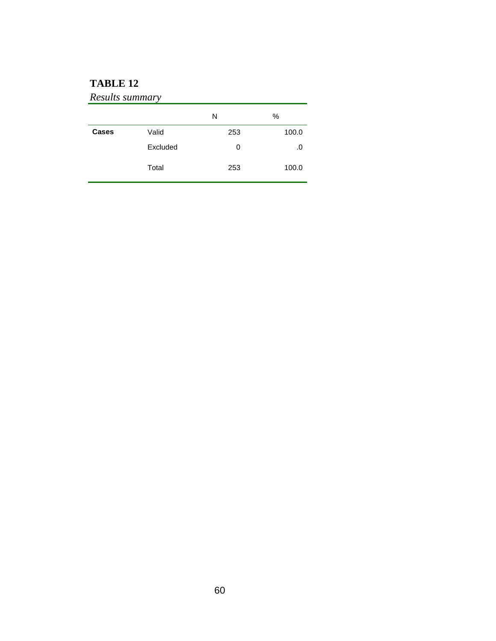# **TABLE 12**

## *Results summary*

|       |          | N   | %     |
|-------|----------|-----|-------|
| Cases | Valid    | 253 | 100.0 |
|       | Excluded | 0   | .0    |
|       | Total    | 253 | 100.0 |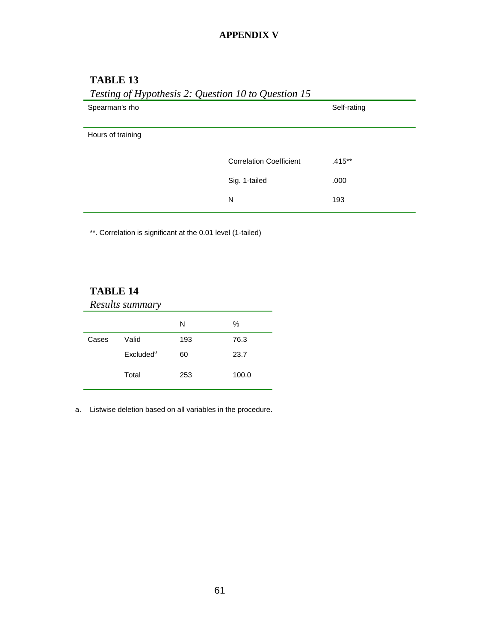### **APPENDIX V**

| Testing of Hypothesis 2: Question 10 to Question 15 |                                |             |  |  |  |
|-----------------------------------------------------|--------------------------------|-------------|--|--|--|
| Spearman's rho                                      |                                | Self-rating |  |  |  |
|                                                     |                                |             |  |  |  |
| Hours of training                                   |                                |             |  |  |  |
|                                                     |                                |             |  |  |  |
|                                                     | <b>Correlation Coefficient</b> | $.415**$    |  |  |  |
|                                                     | Sig. 1-tailed                  | .000        |  |  |  |
|                                                     | N                              | 193         |  |  |  |
|                                                     |                                |             |  |  |  |

### **TABLE 13**

\*\*. Correlation is significant at the 0.01 level (1-tailed)

### **TABLE 14**

|       | Results summary       |     |       |
|-------|-----------------------|-----|-------|
|       |                       | N   | %     |
| Cases | Valid                 | 193 | 76.3  |
|       | Excluded <sup>a</sup> | 60  | 23.7  |
|       | Total                 | 253 | 100.0 |

a. Listwise deletion based on all variables in the procedure.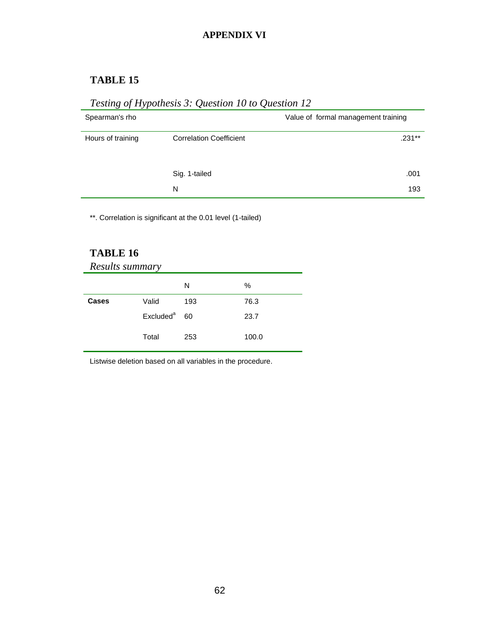### **APPENDIX VI**

## **TABLE 15**

# *Testing of Hypothesis 3: Question 10 to Question 12*

| Spearman's rho    |                                | Value of formal management training |
|-------------------|--------------------------------|-------------------------------------|
| Hours of training | <b>Correlation Coefficient</b> | $.231***$                           |
|                   | Sig. 1-tailed                  | .001                                |
|                   | N                              | 193                                 |

\*\*. Correlation is significant at the 0.01 level (1-tailed)

## **TABLE 16**

| Results summary |                       |     |       |  |  |
|-----------------|-----------------------|-----|-------|--|--|
|                 |                       | N   | %     |  |  |
| Cases           | Valid                 | 193 | 76.3  |  |  |
|                 | Excluded <sup>a</sup> | 60  | 23.7  |  |  |
|                 | Total                 | 253 | 100.0 |  |  |

Listwise deletion based on all variables in the procedure.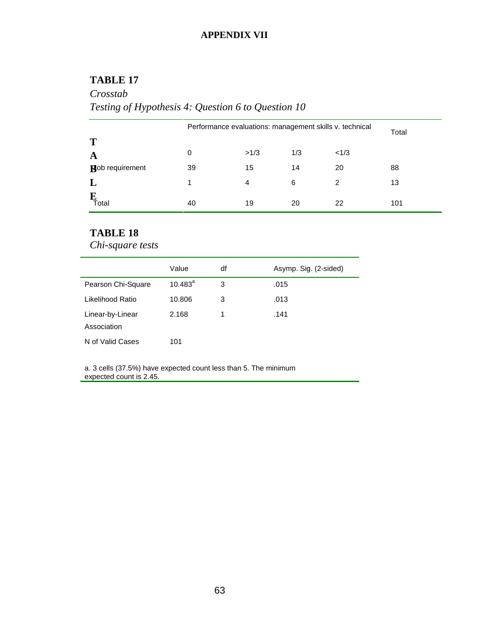### **APPENDIX VII**

### **TABLE 17**

# *Crosstab Testing of Hypothesis 4: Question 6 to Question 10*

|                        | Performance evaluations: management skills v. technical |      |     |      | Total |
|------------------------|---------------------------------------------------------|------|-----|------|-------|
| T                      |                                                         |      |     |      |       |
| A                      | 0                                                       | >1/3 | 1/3 | <1/3 |       |
| <b>Rob</b> requirement | 39                                                      | 15   | 14  | 20   | 88    |
|                        | 1                                                       | 4    | 6   | 2    | 13    |
| Īotal                  | 40                                                      | 19   | 20  | 22   | 101   |

## **TABLE 18**

*Chi-square tests*

|                                 | Value            | df | Asymp. Sig. (2-sided) |
|---------------------------------|------------------|----|-----------------------|
| Pearson Chi-Square              | $10.483^{\circ}$ | 3  | .015                  |
| Likelihood Ratio                | 10.806           | 3  | .013                  |
| Linear-by-Linear<br>Association | 2.168            |    | .141                  |
| N of Valid Cases                | 101              |    |                       |

a. 3 cells (37.5%) have expected count less than 5. The minimum expected count is 2.45.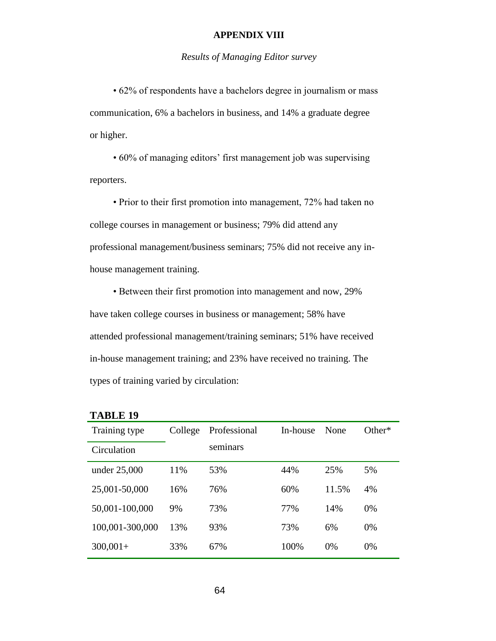#### **APPENDIX VIII**

#### *Results of Managing Editor survey*

• 62% of respondents have a bachelors degree in journalism or mass communication, 6% a bachelors in business, and 14% a graduate degree or higher.

• 60% of managing editors' first management job was supervising reporters.

• Prior to their first promotion into management, 72% had taken no college courses in management or business; 79% did attend any professional management/business seminars; 75% did not receive any inhouse management training.

• Between their first promotion into management and now, 29% have taken college courses in business or management; 58% have attended professional management/training seminars; 51% have received in-house management training; and 23% have received no training. The types of training varied by circulation:

| <b>TABLE 19</b> |
|-----------------|
|-----------------|

| Training type   | College | Professional | In-house | None  | $Other*$ |
|-----------------|---------|--------------|----------|-------|----------|
| Circulation     |         | seminars     |          |       |          |
| under 25,000    | 11%     | 53%          | 44%      | 25%   | 5%       |
| 25,001-50,000   | 16%     | 76%          | 60%      | 11.5% | 4%       |
| 50,001-100,000  | 9%      | 73%          | 77%      | 14%   | 0%       |
| 100,001-300,000 | 13%     | 93%          | 73%      | 6%    | $0\%$    |
| $300,001+$      | 33%     | 67%          | 100%     | 0%    | $0\%$    |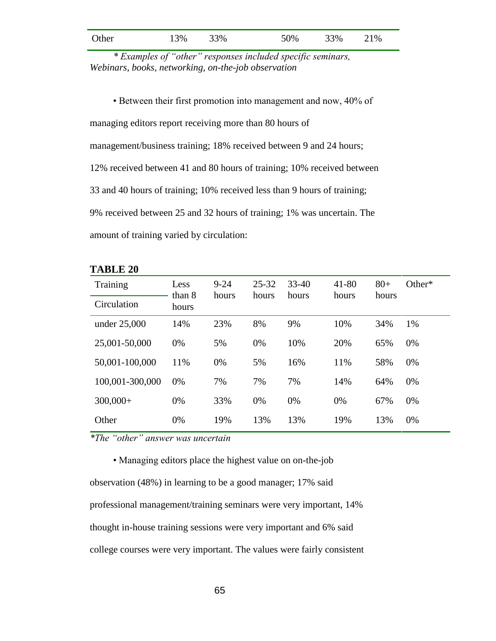| Other | 13% | 33% | 50% | 33% | 21% |
|-------|-----|-----|-----|-----|-----|
|       |     |     |     |     |     |

*\* Examples of "other" responses included specific seminars, Webinars, books, networking, on-the-job observation*

• Between their first promotion into management and now, 40% of managing editors report receiving more than 80 hours of management/business training; 18% received between 9 and 24 hours; 12% received between 41 and 80 hours of training; 10% received between 33 and 40 hours of training; 10% received less than 9 hours of training; 9% received between 25 and 32 hours of training; 1% was uncertain. The amount of training varied by circulation:

| Training        | Less<br>than 8 | $9 - 24$<br>hours | $25 - 32$<br>hours | $33 - 40$<br>hours | $41 - 80$<br>hours | $80+$<br>hours | Other* |
|-----------------|----------------|-------------------|--------------------|--------------------|--------------------|----------------|--------|
| Circulation     | hours          |                   |                    |                    |                    |                |        |
| under $25,000$  | 14%            | 23%               | 8%                 | 9%                 | 10%                | 34%            | 1%     |
| 25,001-50,000   | 0%             | 5%                | 0%                 | 10%                | 20%                | 65%            | 0%     |
| 50,001-100,000  | 11%            | 0%                | 5%                 | 16%                | 11%                | 58%            | 0%     |
| 100,001-300,000 | 0%             | 7%                | 7%                 | 7%                 | 14%                | 64%            | 0%     |
| $300,000+$      | 0%             | 33%               | 0%                 | 0%                 | 0%                 | 67%            | 0%     |
| Other           | 0%             | 19%               | 13%                | 13%                | 19%                | 13%            | 0%     |

**TABLE 20**

 *\*The "other" answer was uncertain*

• Managing editors place the highest value on on-the-job observation (48%) in learning to be a good manager; 17% said professional management/training seminars were very important, 14% thought in-house training sessions were very important and 6% said college courses were very important. The values were fairly consistent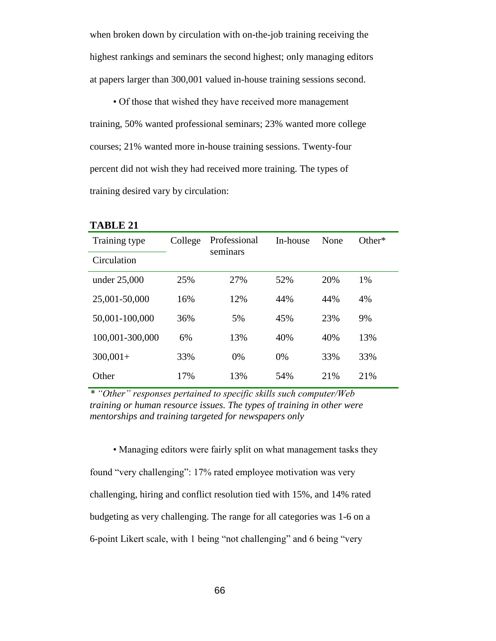when broken down by circulation with on-the-job training receiving the highest rankings and seminars the second highest; only managing editors at papers larger than 300,001 valued in-house training sessions second.

• Of those that wished they have received more management training, 50% wanted professional seminars; 23% wanted more college courses; 21% wanted more in-house training sessions. Twenty-four percent did not wish they had received more training. The types of training desired vary by circulation:

| Training type   | College | Professional<br>seminars | In-house | None | Other $*$ |
|-----------------|---------|--------------------------|----------|------|-----------|
| Circulation     |         |                          |          |      |           |
| under 25,000    | 25%     | 27%                      | 52%      | 20%  | 1%        |
| 25,001-50,000   | 16%     | 12%                      | 44%      | 44%  | 4%        |
| 50,001-100,000  | 36%     | 5%                       | 45%      | 23%  | 9%        |
| 100,001-300,000 | 6%      | 13%                      | 40%      | 40%  | 13%       |
| $300,001+$      | 33%     | 0%                       | 0%       | 33%  | 33%       |
| Other           | 17%     | 13%                      | 54%      | 21%  | 21%       |

**TABLE 21**

*\* "Other" responses pertained to specific skills such computer/Web training or human resource issues. The types of training in other were mentorships and training targeted for newspapers only*

• Managing editors were fairly split on what management tasks they found "very challenging": 17% rated employee motivation was very challenging, hiring and conflict resolution tied with 15%, and 14% rated budgeting as very challenging. The range for all categories was 1-6 on a 6-point Likert scale, with 1 being "not challenging" and 6 being "very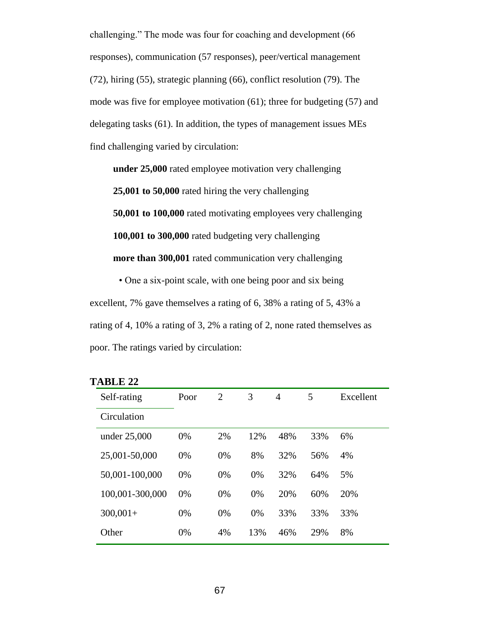challenging." The mode was four for coaching and development (66 responses), communication (57 responses), peer/vertical management (72), hiring (55), strategic planning (66), conflict resolution (79). The mode was five for employee motivation (61); three for budgeting (57) and delegating tasks (61). In addition, the types of management issues MEs find challenging varied by circulation:

**under 25,000** rated employee motivation very challenging **25,001 to 50,000** rated hiring the very challenging **50,001 to 100,000** rated motivating employees very challenging **100,001 to 300,000** rated budgeting very challenging **more than 300,001** rated communication very challenging

• One a six-point scale, with one being poor and six being excellent, 7% gave themselves a rating of 6, 38% a rating of 5, 43% a rating of 4, 10% a rating of 3, 2% a rating of 2, none rated themselves as poor. The ratings varied by circulation:

| Self-rating     | Poor | 2  | 3   | 4   | 5   | Excellent |
|-----------------|------|----|-----|-----|-----|-----------|
| Circulation     |      |    |     |     |     |           |
| under 25,000    | 0%   | 2% | 12% | 48% | 33% | 6%        |
| 25,001-50,000   | 0%   | 0% | 8%  | 32% | 56% | 4%        |
| 50,001-100,000  | 0%   | 0% | 0%  | 32% | 64% | 5%        |
| 100,001-300,000 | 0%   | 0% | 0%  | 20% | 60% | 20%       |
| $300,001+$      | 0%   | 0% | 0%  | 33% | 33% | 33%       |
| Other           | 0%   | 4% | 13% | 46% | 29% | 8%        |
|                 |      |    |     |     |     |           |

| <b>TABLE</b> | າ<br>∸ |
|--------------|--------|
|--------------|--------|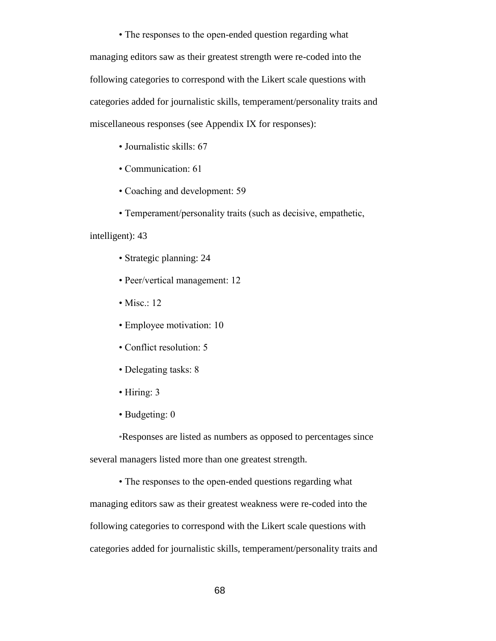• The responses to the open-ended question regarding what managing editors saw as their greatest strength were re-coded into the following categories to correspond with the Likert scale questions with categories added for journalistic skills, temperament/personality traits and miscellaneous responses (see Appendix IX for responses):

- Journalistic skills: 67
- Communication: 61
- Coaching and development: 59
- Temperament/personality traits (such as decisive, empathetic,

#### intelligent): 43

- Strategic planning: 24
- Peer/vertical management: 12
- Misc.: 12
- Employee motivation: 10
- Conflict resolution: 5
- Delegating tasks: 8
- Hiring: 3
- Budgeting: 0

\*Responses are listed as numbers as opposed to percentages since several managers listed more than one greatest strength.

• The responses to the open-ended questions regarding what managing editors saw as their greatest weakness were re-coded into the following categories to correspond with the Likert scale questions with categories added for journalistic skills, temperament/personality traits and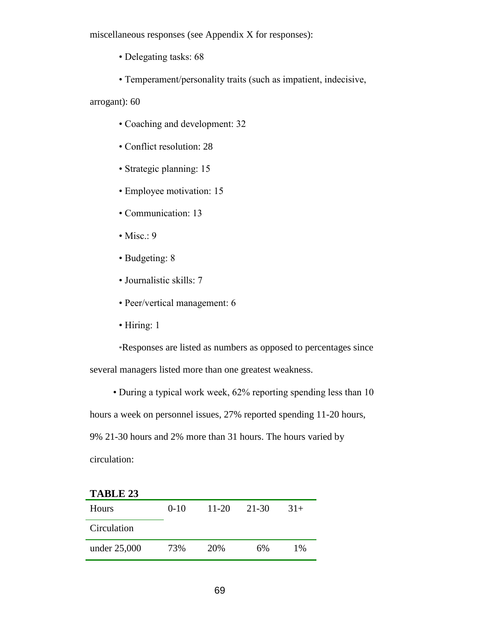miscellaneous responses (see Appendix X for responses):

- Delegating tasks: 68
- Temperament/personality traits (such as impatient, indecisive,

arrogant): 60

- Coaching and development: 32
- Conflict resolution: 28
- Strategic planning: 15
- Employee motivation: 15
- Communication: 13
- Misc.:  $9$
- Budgeting: 8
- Journalistic skills: 7
- Peer/vertical management: 6
- Hiring: 1

\*Responses are listed as numbers as opposed to percentages since several managers listed more than one greatest weakness.

• During a typical work week, 62% reporting spending less than 10

hours a week on personnel issues, 27% reported spending 11-20 hours,

9% 21-30 hours and 2% more than 31 hours. The hours varied by

circulation:

| <b>TABLE 23</b> |        |           |       |       |
|-----------------|--------|-----------|-------|-------|
| <b>Hours</b>    | $0-10$ | $11 - 20$ | 21-30 | $31+$ |
| Circulation     |        |           |       |       |
| under 25,000    | 73%    | 20%       | 6%    | $1\%$ |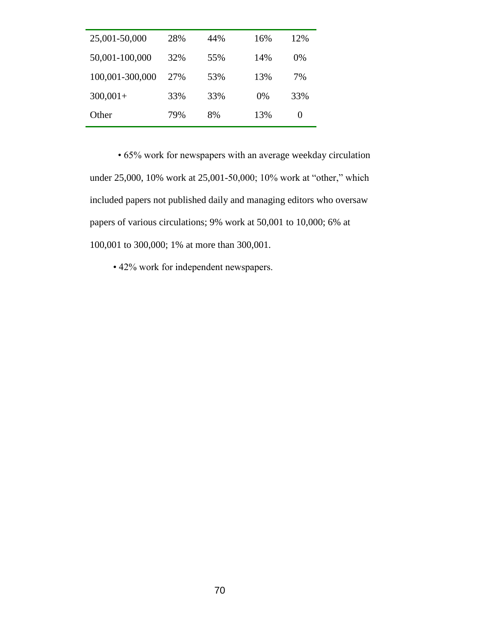| 25,001-50,000   | 28% | 44% | 16%   | 12%   |
|-----------------|-----|-----|-------|-------|
| 50,001-100,000  | 32% | 55% | 14%   | $0\%$ |
| 100,001-300,000 | 27% | 53% | 13%   | 7%    |
| $300,001+$      | 33% | 33% | $0\%$ | 33%   |
| Other           | 79% | 8%  | 13%   | 0     |

 • 65% work for newspapers with an average weekday circulation under 25,000, 10% work at 25,001-50,000; 10% work at "other," which included papers not published daily and managing editors who oversaw papers of various circulations; 9% work at 50,001 to 10,000; 6% at 100,001 to 300,000; 1% at more than 300,001.

• 42% work for independent newspapers.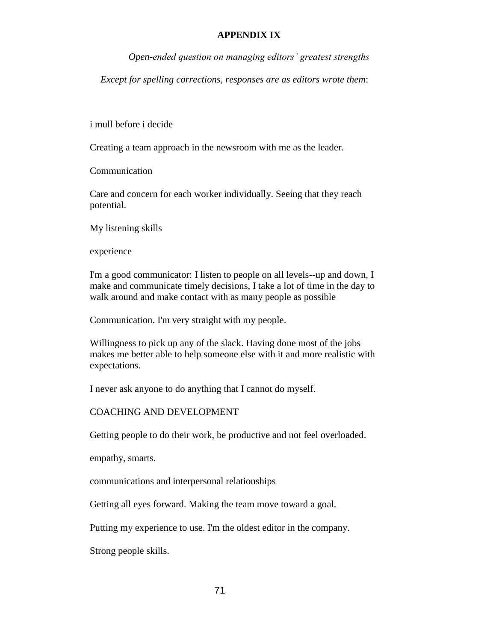## **APPENDIX IX**

*Open-ended question on managing editors' greatest strengths*

*Except for spelling corrections, responses are as editors wrote them*:

i mull before i decide

Creating a team approach in the newsroom with me as the leader.

Communication

Care and concern for each worker individually. Seeing that they reach potential.

My listening skills

experience

I'm a good communicator: I listen to people on all levels--up and down, I make and communicate timely decisions, I take a lot of time in the day to walk around and make contact with as many people as possible

Communication. I'm very straight with my people.

Willingness to pick up any of the slack. Having done most of the jobs makes me better able to help someone else with it and more realistic with expectations.

I never ask anyone to do anything that I cannot do myself.

## COACHING AND DEVELOPMENT

Getting people to do their work, be productive and not feel overloaded.

empathy, smarts.

communications and interpersonal relationships

Getting all eyes forward. Making the team move toward a goal.

Putting my experience to use. I'm the oldest editor in the company.

Strong people skills.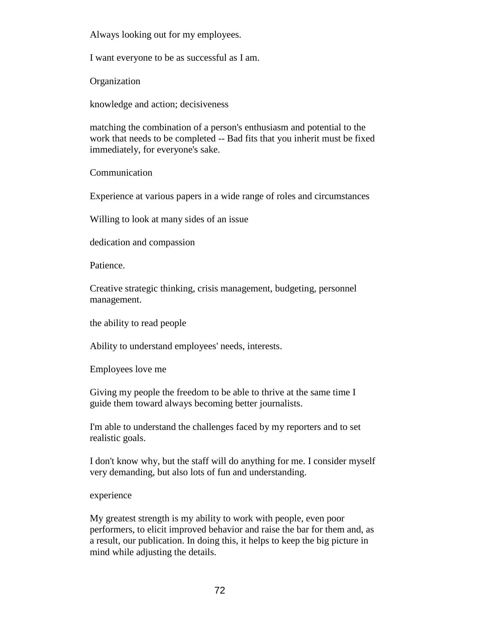Always looking out for my employees.

I want everyone to be as successful as I am.

Organization

knowledge and action; decisiveness

matching the combination of a person's enthusiasm and potential to the work that needs to be completed -- Bad fits that you inherit must be fixed immediately, for everyone's sake.

Communication

Experience at various papers in a wide range of roles and circumstances

Willing to look at many sides of an issue

dedication and compassion

Patience.

Creative strategic thinking, crisis management, budgeting, personnel management.

the ability to read people

Ability to understand employees' needs, interests.

Employees love me

Giving my people the freedom to be able to thrive at the same time I guide them toward always becoming better journalists.

I'm able to understand the challenges faced by my reporters and to set realistic goals.

I don't know why, but the staff will do anything for me. I consider myself very demanding, but also lots of fun and understanding.

experience

My greatest strength is my ability to work with people, even poor performers, to elicit improved behavior and raise the bar for them and, as a result, our publication. In doing this, it helps to keep the big picture in mind while adjusting the details.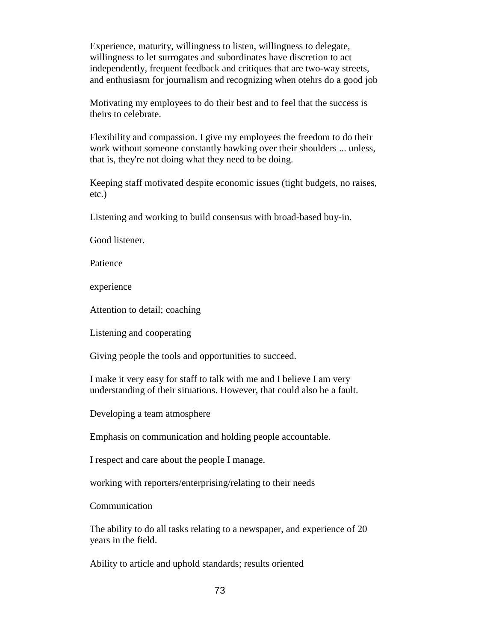Experience, maturity, willingness to listen, willingness to delegate, willingness to let surrogates and subordinates have discretion to act independently, frequent feedback and critiques that are two-way streets, and enthusiasm for journalism and recognizing when otehrs do a good job

Motivating my employees to do their best and to feel that the success is theirs to celebrate.

Flexibility and compassion. I give my employees the freedom to do their work without someone constantly hawking over their shoulders ... unless, that is, they're not doing what they need to be doing.

Keeping staff motivated despite economic issues (tight budgets, no raises, etc.)

Listening and working to build consensus with broad-based buy-in.

Good listener.

Patience

experience

Attention to detail; coaching

Listening and cooperating

Giving people the tools and opportunities to succeed.

I make it very easy for staff to talk with me and I believe I am very understanding of their situations. However, that could also be a fault.

Developing a team atmosphere

Emphasis on communication and holding people accountable.

I respect and care about the people I manage.

working with reporters/enterprising/relating to their needs

Communication

The ability to do all tasks relating to a newspaper, and experience of 20 years in the field.

Ability to article and uphold standards; results oriented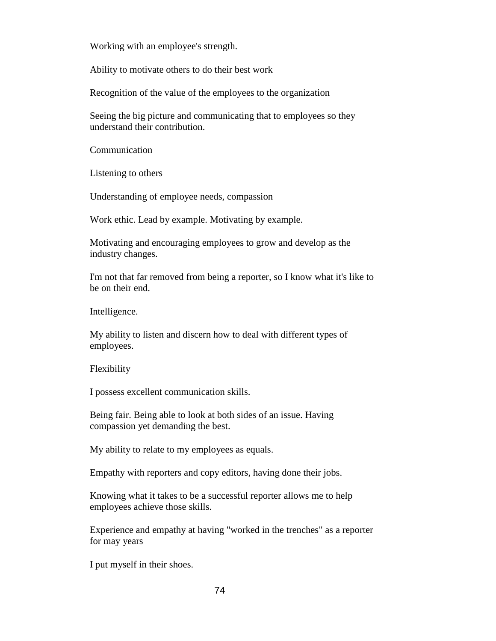Working with an employee's strength.

Ability to motivate others to do their best work

Recognition of the value of the employees to the organization

Seeing the big picture and communicating that to employees so they understand their contribution.

Communication

Listening to others

Understanding of employee needs, compassion

Work ethic. Lead by example. Motivating by example.

Motivating and encouraging employees to grow and develop as the industry changes.

I'm not that far removed from being a reporter, so I know what it's like to be on their end.

Intelligence.

My ability to listen and discern how to deal with different types of employees.

Flexibility

I possess excellent communication skills.

Being fair. Being able to look at both sides of an issue. Having compassion yet demanding the best.

My ability to relate to my employees as equals.

Empathy with reporters and copy editors, having done their jobs.

Knowing what it takes to be a successful reporter allows me to help employees achieve those skills.

Experience and empathy at having "worked in the trenches" as a reporter for may years

I put myself in their shoes.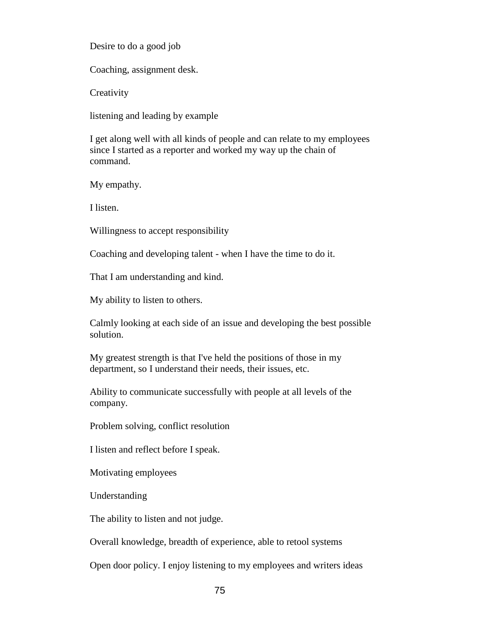Desire to do a good job

Coaching, assignment desk.

**Creativity** 

listening and leading by example

I get along well with all kinds of people and can relate to my employees since I started as a reporter and worked my way up the chain of command.

My empathy.

I listen.

Willingness to accept responsibility

Coaching and developing talent - when I have the time to do it.

That I am understanding and kind.

My ability to listen to others.

Calmly looking at each side of an issue and developing the best possible solution.

My greatest strength is that I've held the positions of those in my department, so I understand their needs, their issues, etc.

Ability to communicate successfully with people at all levels of the company.

Problem solving, conflict resolution

I listen and reflect before I speak.

Motivating employees

Understanding

The ability to listen and not judge.

Overall knowledge, breadth of experience, able to retool systems

Open door policy. I enjoy listening to my employees and writers ideas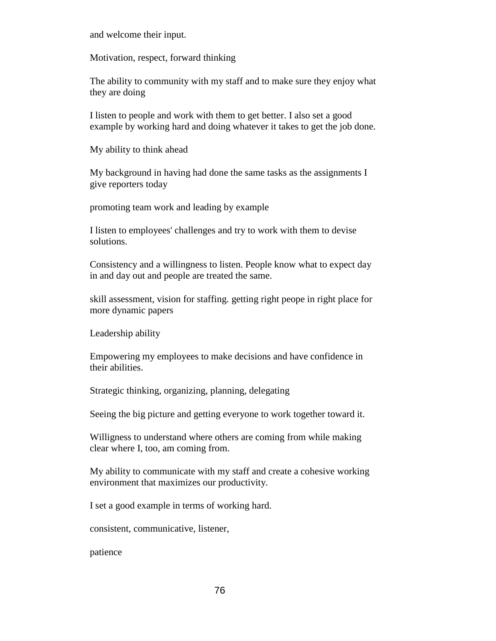and welcome their input.

Motivation, respect, forward thinking

The ability to community with my staff and to make sure they enjoy what they are doing

I listen to people and work with them to get better. I also set a good example by working hard and doing whatever it takes to get the job done.

My ability to think ahead

My background in having had done the same tasks as the assignments I give reporters today

promoting team work and leading by example

I listen to employees' challenges and try to work with them to devise solutions.

Consistency and a willingness to listen. People know what to expect day in and day out and people are treated the same.

skill assessment, vision for staffing. getting right peope in right place for more dynamic papers

Leadership ability

Empowering my employees to make decisions and have confidence in their abilities.

Strategic thinking, organizing, planning, delegating

Seeing the big picture and getting everyone to work together toward it.

Willigness to understand where others are coming from while making clear where I, too, am coming from.

My ability to communicate with my staff and create a cohesive working environment that maximizes our productivity.

I set a good example in terms of working hard.

consistent, communicative, listener,

patience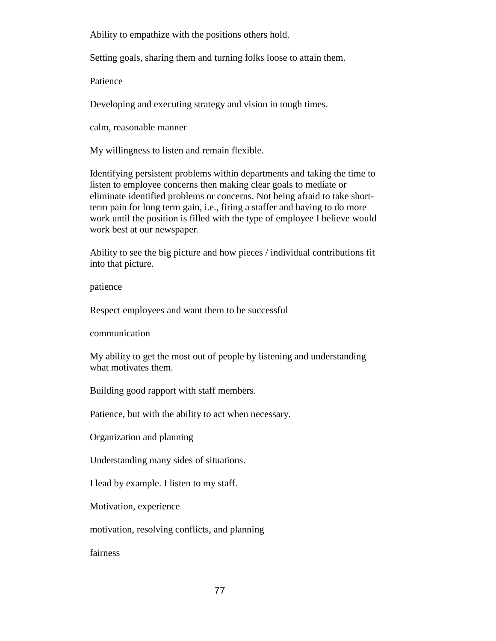Ability to empathize with the positions others hold.

Setting goals, sharing them and turning folks loose to attain them.

Patience

Developing and executing strategy and vision in tough times.

calm, reasonable manner

My willingness to listen and remain flexible.

Identifying persistent problems within departments and taking the time to listen to employee concerns then making clear goals to mediate or eliminate identified problems or concerns. Not being afraid to take shortterm pain for long term gain, i.e., firing a staffer and having to do more work until the position is filled with the type of employee I believe would work best at our newspaper.

Ability to see the big picture and how pieces / individual contributions fit into that picture.

patience

Respect employees and want them to be successful

communication

My ability to get the most out of people by listening and understanding what motivates them.

Building good rapport with staff members.

Patience, but with the ability to act when necessary.

Organization and planning

Understanding many sides of situations.

I lead by example. I listen to my staff.

Motivation, experience

motivation, resolving conflicts, and planning

fairness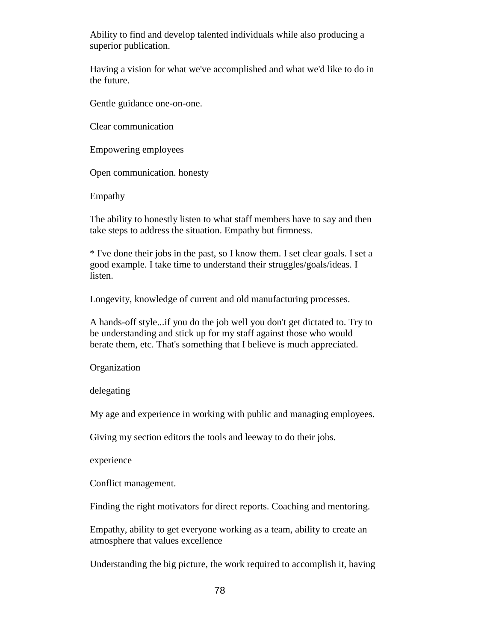Ability to find and develop talented individuals while also producing a superior publication.

Having a vision for what we've accomplished and what we'd like to do in the future.

Gentle guidance one-on-one.

Clear communication

Empowering employees

Open communication. honesty

Empathy

The ability to honestly listen to what staff members have to say and then take steps to address the situation. Empathy but firmness.

\* I've done their jobs in the past, so I know them. I set clear goals. I set a good example. I take time to understand their struggles/goals/ideas. I listen.

Longevity, knowledge of current and old manufacturing processes.

A hands-off style...if you do the job well you don't get dictated to. Try to be understanding and stick up for my staff against those who would berate them, etc. That's something that I believe is much appreciated.

Organization

delegating

My age and experience in working with public and managing employees.

Giving my section editors the tools and leeway to do their jobs.

experience

Conflict management.

Finding the right motivators for direct reports. Coaching and mentoring.

Empathy, ability to get everyone working as a team, ability to create an atmosphere that values excellence

Understanding the big picture, the work required to accomplish it, having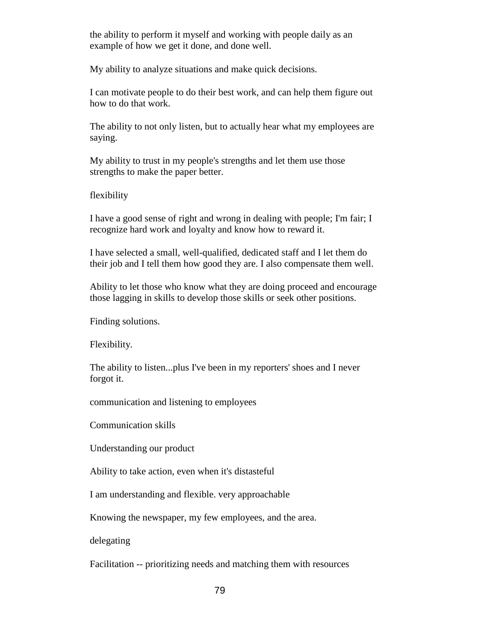the ability to perform it myself and working with people daily as an example of how we get it done, and done well.

My ability to analyze situations and make quick decisions.

I can motivate people to do their best work, and can help them figure out how to do that work.

The ability to not only listen, but to actually hear what my employees are saying.

My ability to trust in my people's strengths and let them use those strengths to make the paper better.

flexibility

I have a good sense of right and wrong in dealing with people; I'm fair; I recognize hard work and loyalty and know how to reward it.

I have selected a small, well-qualified, dedicated staff and I let them do their job and I tell them how good they are. I also compensate them well.

Ability to let those who know what they are doing proceed and encourage those lagging in skills to develop those skills or seek other positions.

Finding solutions.

Flexibility.

The ability to listen...plus I've been in my reporters' shoes and I never forgot it.

communication and listening to employees

Communication skills

Understanding our product

Ability to take action, even when it's distasteful

I am understanding and flexible. very approachable

Knowing the newspaper, my few employees, and the area.

delegating

Facilitation -- prioritizing needs and matching them with resources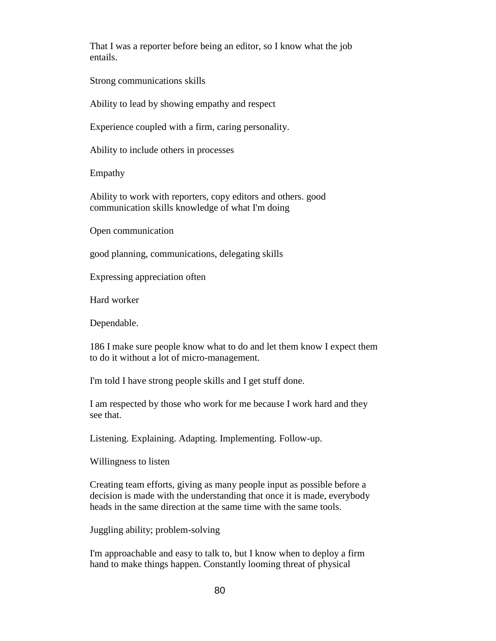That I was a reporter before being an editor, so I know what the job entails.

Strong communications skills

Ability to lead by showing empathy and respect

Experience coupled with a firm, caring personality.

Ability to include others in processes

Empathy

Ability to work with reporters, copy editors and others. good communication skills knowledge of what I'm doing

Open communication

good planning, communications, delegating skills

Expressing appreciation often

Hard worker

Dependable.

186 I make sure people know what to do and let them know I expect them to do it without a lot of micro-management.

I'm told I have strong people skills and I get stuff done.

I am respected by those who work for me because I work hard and they see that.

Listening. Explaining. Adapting. Implementing. Follow-up.

Willingness to listen

Creating team efforts, giving as many people input as possible before a decision is made with the understanding that once it is made, everybody heads in the same direction at the same time with the same tools.

Juggling ability; problem-solving

I'm approachable and easy to talk to, but I know when to deploy a firm hand to make things happen. Constantly looming threat of physical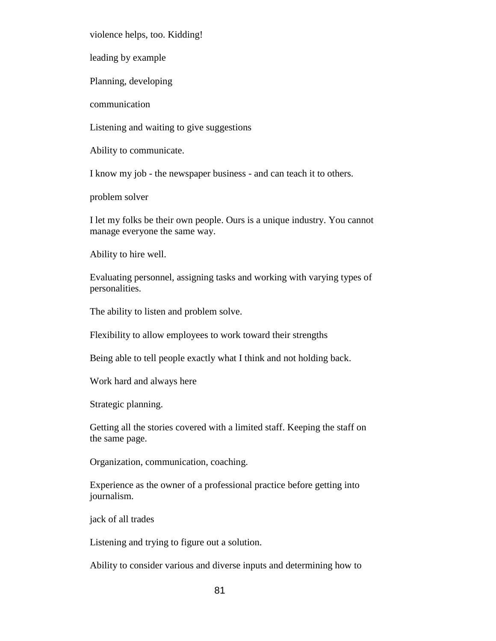violence helps, too. Kidding!

leading by example

Planning, developing

communication

Listening and waiting to give suggestions

Ability to communicate.

I know my job - the newspaper business - and can teach it to others.

problem solver

I let my folks be their own people. Ours is a unique industry. You cannot manage everyone the same way.

Ability to hire well.

Evaluating personnel, assigning tasks and working with varying types of personalities.

The ability to listen and problem solve.

Flexibility to allow employees to work toward their strengths

Being able to tell people exactly what I think and not holding back.

Work hard and always here

Strategic planning.

Getting all the stories covered with a limited staff. Keeping the staff on the same page.

Organization, communication, coaching.

Experience as the owner of a professional practice before getting into journalism.

jack of all trades

Listening and trying to figure out a solution.

Ability to consider various and diverse inputs and determining how to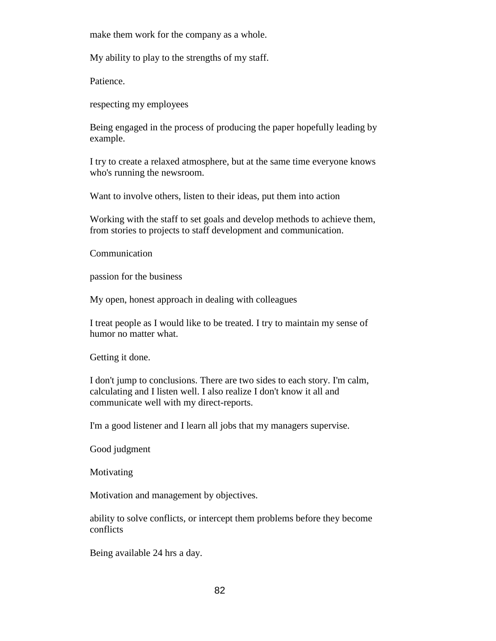make them work for the company as a whole.

My ability to play to the strengths of my staff.

Patience.

respecting my employees

Being engaged in the process of producing the paper hopefully leading by example.

I try to create a relaxed atmosphere, but at the same time everyone knows who's running the newsroom.

Want to involve others, listen to their ideas, put them into action

Working with the staff to set goals and develop methods to achieve them, from stories to projects to staff development and communication.

Communication

passion for the business

My open, honest approach in dealing with colleagues

I treat people as I would like to be treated. I try to maintain my sense of humor no matter what.

Getting it done.

I don't jump to conclusions. There are two sides to each story. I'm calm, calculating and I listen well. I also realize I don't know it all and communicate well with my direct-reports.

I'm a good listener and I learn all jobs that my managers supervise.

Good judgment

Motivating

Motivation and management by objectives.

ability to solve conflicts, or intercept them problems before they become conflicts

Being available 24 hrs a day.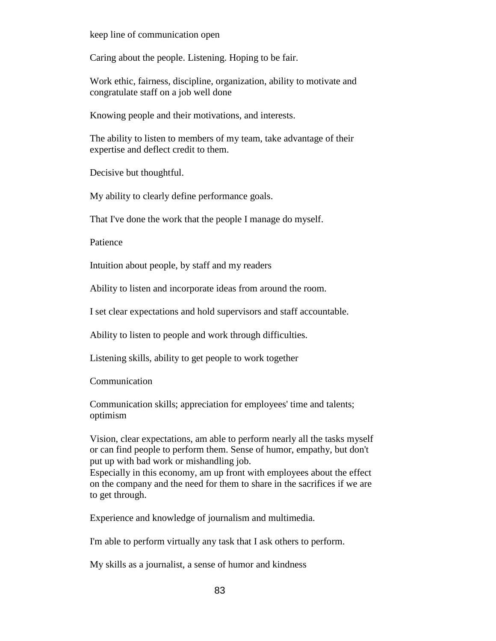keep line of communication open

Caring about the people. Listening. Hoping to be fair.

Work ethic, fairness, discipline, organization, ability to motivate and congratulate staff on a job well done

Knowing people and their motivations, and interests.

The ability to listen to members of my team, take advantage of their expertise and deflect credit to them.

Decisive but thoughtful.

My ability to clearly define performance goals.

That I've done the work that the people I manage do myself.

Patience

Intuition about people, by staff and my readers

Ability to listen and incorporate ideas from around the room.

I set clear expectations and hold supervisors and staff accountable.

Ability to listen to people and work through difficulties.

Listening skills, ability to get people to work together

Communication

Communication skills; appreciation for employees' time and talents; optimism

Vision, clear expectations, am able to perform nearly all the tasks myself or can find people to perform them. Sense of humor, empathy, but don't put up with bad work or mishandling job.

Especially in this economy, am up front with employees about the effect on the company and the need for them to share in the sacrifices if we are to get through.

Experience and knowledge of journalism and multimedia.

I'm able to perform virtually any task that I ask others to perform.

My skills as a journalist, a sense of humor and kindness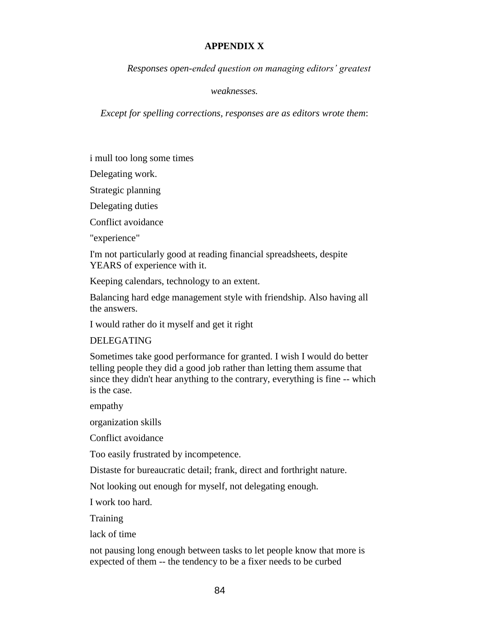## **APPENDIX X**

*Responses open-ended question on managing editors' greatest* 

*weaknesses.*

*Except for spelling corrections, responses are as editors wrote them*:

i mull too long some times

Delegating work.

Strategic planning

Delegating duties

Conflict avoidance

"experience"

I'm not particularly good at reading financial spreadsheets, despite YEARS of experience with it.

Keeping calendars, technology to an extent.

Balancing hard edge management style with friendship. Also having all the answers.

I would rather do it myself and get it right

## DELEGATING

Sometimes take good performance for granted. I wish I would do better telling people they did a good job rather than letting them assume that since they didn't hear anything to the contrary, everything is fine -- which is the case.

empathy

organization skills

Conflict avoidance

Too easily frustrated by incompetence.

Distaste for bureaucratic detail; frank, direct and forthright nature.

Not looking out enough for myself, not delegating enough.

I work too hard.

**Training** 

lack of time

not pausing long enough between tasks to let people know that more is expected of them -- the tendency to be a fixer needs to be curbed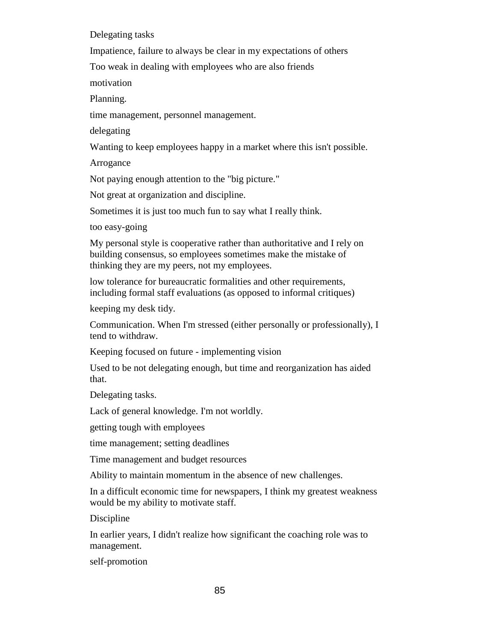Delegating tasks

Impatience, failure to always be clear in my expectations of others

Too weak in dealing with employees who are also friends

motivation

Planning.

time management, personnel management.

delegating

Wanting to keep employees happy in a market where this isn't possible.

Arrogance

Not paying enough attention to the "big picture."

Not great at organization and discipline.

Sometimes it is just too much fun to say what I really think.

too easy-going

My personal style is cooperative rather than authoritative and I rely on building consensus, so employees sometimes make the mistake of thinking they are my peers, not my employees.

low tolerance for bureaucratic formalities and other requirements, including formal staff evaluations (as opposed to informal critiques)

keeping my desk tidy.

Communication. When I'm stressed (either personally or professionally), I tend to withdraw.

Keeping focused on future - implementing vision

Used to be not delegating enough, but time and reorganization has aided that.

Delegating tasks.

Lack of general knowledge. I'm not worldly.

getting tough with employees

time management; setting deadlines

Time management and budget resources

Ability to maintain momentum in the absence of new challenges.

In a difficult economic time for newspapers, I think my greatest weakness would be my ability to motivate staff.

Discipline

In earlier years, I didn't realize how significant the coaching role was to management.

self-promotion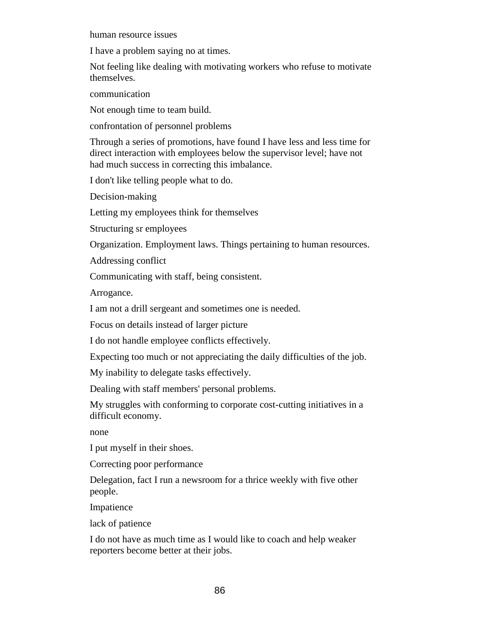human resource issues

I have a problem saying no at times.

Not feeling like dealing with motivating workers who refuse to motivate themselves.

communication

Not enough time to team build.

confrontation of personnel problems

Through a series of promotions, have found I have less and less time for direct interaction with employees below the supervisor level; have not had much success in correcting this imbalance.

I don't like telling people what to do.

Decision-making

Letting my employees think for themselves

Structuring sr employees

Organization. Employment laws. Things pertaining to human resources.

Addressing conflict

Communicating with staff, being consistent.

Arrogance.

I am not a drill sergeant and sometimes one is needed.

Focus on details instead of larger picture

I do not handle employee conflicts effectively.

Expecting too much or not appreciating the daily difficulties of the job.

My inability to delegate tasks effectively.

Dealing with staff members' personal problems.

My struggles with conforming to corporate cost-cutting initiatives in a difficult economy.

none

I put myself in their shoes.

Correcting poor performance

Delegation, fact I run a newsroom for a thrice weekly with five other people.

Impatience

lack of patience

I do not have as much time as I would like to coach and help weaker reporters become better at their jobs.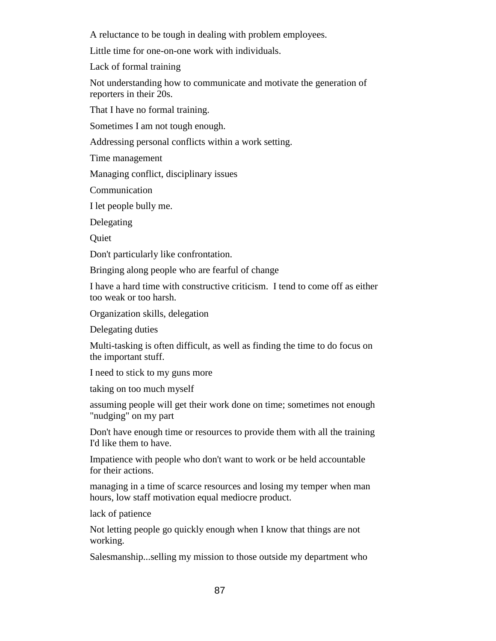A reluctance to be tough in dealing with problem employees.

Little time for one-on-one work with individuals.

Lack of formal training

Not understanding how to communicate and motivate the generation of reporters in their 20s.

That I have no formal training.

Sometimes I am not tough enough.

Addressing personal conflicts within a work setting.

Time management

Managing conflict, disciplinary issues

**Communication** 

I let people bully me.

Delegating

Quiet

Don't particularly like confrontation.

Bringing along people who are fearful of change

I have a hard time with constructive criticism. I tend to come off as either too weak or too harsh.

Organization skills, delegation

Delegating duties

Multi-tasking is often difficult, as well as finding the time to do focus on the important stuff.

I need to stick to my guns more

taking on too much myself

assuming people will get their work done on time; sometimes not enough "nudging" on my part

Don't have enough time or resources to provide them with all the training I'd like them to have.

Impatience with people who don't want to work or be held accountable for their actions.

managing in a time of scarce resources and losing my temper when man hours, low staff motivation equal mediocre product.

lack of patience

Not letting people go quickly enough when I know that things are not working.

Salesmanship...selling my mission to those outside my department who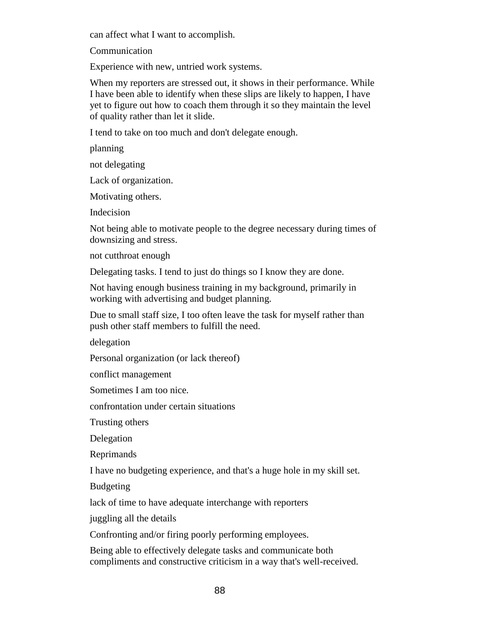can affect what I want to accomplish.

Communication

Experience with new, untried work systems.

When my reporters are stressed out, it shows in their performance. While I have been able to identify when these slips are likely to happen, I have yet to figure out how to coach them through it so they maintain the level of quality rather than let it slide.

I tend to take on too much and don't delegate enough.

planning

not delegating

Lack of organization.

Motivating others.

Indecision

Not being able to motivate people to the degree necessary during times of downsizing and stress.

not cutthroat enough

Delegating tasks. I tend to just do things so I know they are done.

Not having enough business training in my background, primarily in working with advertising and budget planning.

Due to small staff size, I too often leave the task for myself rather than push other staff members to fulfill the need.

delegation

Personal organization (or lack thereof)

conflict management

Sometimes I am too nice.

confrontation under certain situations

Trusting others

Delegation

Reprimands

I have no budgeting experience, and that's a huge hole in my skill set.

Budgeting

lack of time to have adequate interchange with reporters

juggling all the details

Confronting and/or firing poorly performing employees.

Being able to effectively delegate tasks and communicate both compliments and constructive criticism in a way that's well-received.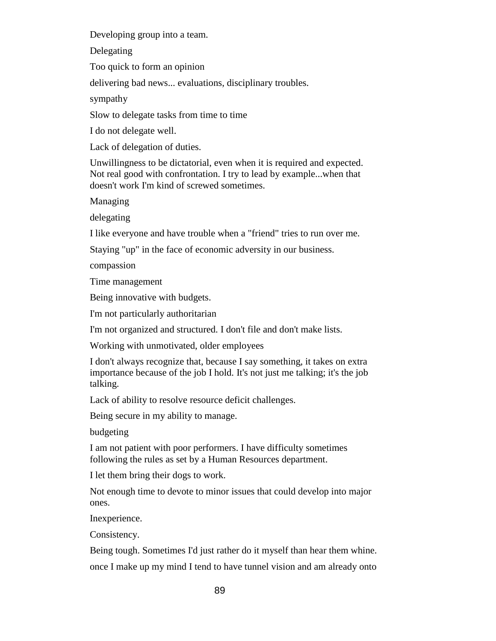Developing group into a team.

Delegating

Too quick to form an opinion

delivering bad news... evaluations, disciplinary troubles.

sympathy

Slow to delegate tasks from time to time

I do not delegate well.

Lack of delegation of duties.

Unwillingness to be dictatorial, even when it is required and expected. Not real good with confrontation. I try to lead by example...when that doesn't work I'm kind of screwed sometimes.

Managing

delegating

I like everyone and have trouble when a "friend" tries to run over me.

Staying "up" in the face of economic adversity in our business.

compassion

Time management

Being innovative with budgets.

I'm not particularly authoritarian

I'm not organized and structured. I don't file and don't make lists.

Working with unmotivated, older employees

I don't always recognize that, because I say something, it takes on extra importance because of the job I hold. It's not just me talking; it's the job talking.

Lack of ability to resolve resource deficit challenges.

Being secure in my ability to manage.

budgeting

I am not patient with poor performers. I have difficulty sometimes following the rules as set by a Human Resources department.

I let them bring their dogs to work.

Not enough time to devote to minor issues that could develop into major ones.

Inexperience.

Consistency.

Being tough. Sometimes I'd just rather do it myself than hear them whine.

once I make up my mind I tend to have tunnel vision and am already onto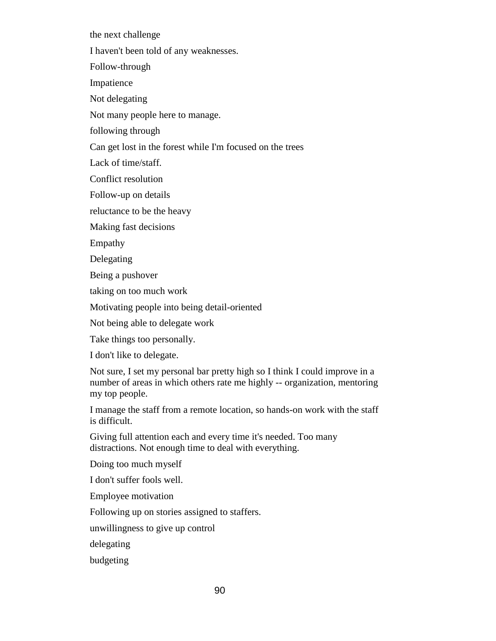the next challenge

I haven't been told of any weaknesses.

Follow-through

Impatience

Not delegating

Not many people here to manage.

following through

Can get lost in the forest while I'm focused on the trees

Lack of time/staff.

Conflict resolution

Follow-up on details

reluctance to be the heavy

Making fast decisions

Empathy

Delegating

Being a pushover

taking on too much work

Motivating people into being detail-oriented

Not being able to delegate work

Take things too personally.

I don't like to delegate.

Not sure, I set my personal bar pretty high so I think I could improve in a number of areas in which others rate me highly -- organization, mentoring my top people.

I manage the staff from a remote location, so hands-on work with the staff is difficult.

Giving full attention each and every time it's needed. Too many distractions. Not enough time to deal with everything.

Doing too much myself

I don't suffer fools well.

Employee motivation

Following up on stories assigned to staffers.

unwillingness to give up control

delegating

budgeting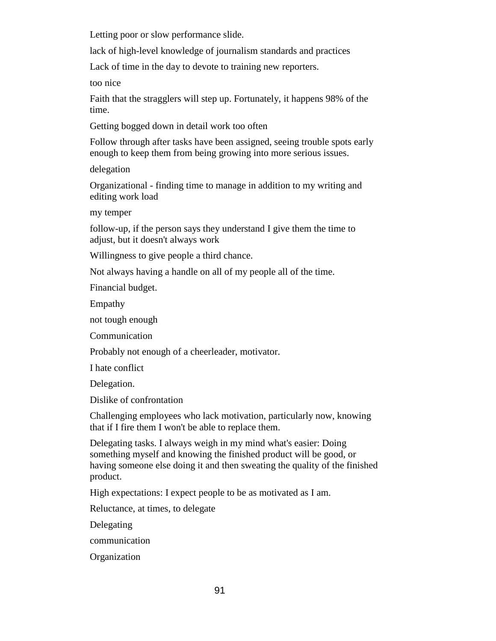Letting poor or slow performance slide.

lack of high-level knowledge of journalism standards and practices

Lack of time in the day to devote to training new reporters.

too nice

Faith that the stragglers will step up. Fortunately, it happens 98% of the time.

Getting bogged down in detail work too often

Follow through after tasks have been assigned, seeing trouble spots early enough to keep them from being growing into more serious issues.

delegation

Organizational - finding time to manage in addition to my writing and editing work load

my temper

follow-up, if the person says they understand I give them the time to adjust, but it doesn't always work

Willingness to give people a third chance.

Not always having a handle on all of my people all of the time.

Financial budget.

Empathy

not tough enough

Communication

Probably not enough of a cheerleader, motivator.

I hate conflict

Delegation.

Dislike of confrontation

Challenging employees who lack motivation, particularly now, knowing that if I fire them I won't be able to replace them.

Delegating tasks. I always weigh in my mind what's easier: Doing something myself and knowing the finished product will be good, or having someone else doing it and then sweating the quality of the finished product.

High expectations: I expect people to be as motivated as I am.

Reluctance, at times, to delegate

Delegating

communication

**Organization**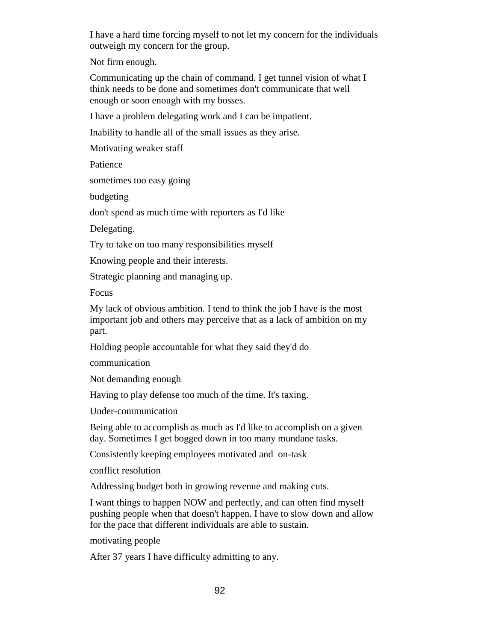I have a hard time forcing myself to not let my concern for the individuals outweigh my concern for the group.

Not firm enough.

Communicating up the chain of command. I get tunnel vision of what I think needs to be done and sometimes don't communicate that well enough or soon enough with my bosses.

I have a problem delegating work and I can be impatient.

Inability to handle all of the small issues as they arise.

Motivating weaker staff

Patience

sometimes too easy going

budgeting

don't spend as much time with reporters as I'd like

Delegating.

Try to take on too many responsibilities myself

Knowing people and their interests.

Strategic planning and managing up.

Focus

My lack of obvious ambition. I tend to think the job I have is the most important job and others may perceive that as a lack of ambition on my part.

Holding people accountable for what they said they'd do

communication

Not demanding enough

Having to play defense too much of the time. It's taxing.

Under-communication

Being able to accomplish as much as I'd like to accomplish on a given day. Sometimes I get bogged down in too many mundane tasks.

Consistently keeping employees motivated and on-task

conflict resolution

Addressing budget both in growing revenue and making cuts.

I want things to happen NOW and perfectly, and can often find myself pushing people when that doesn't happen. I have to slow down and allow for the pace that different individuals are able to sustain.

motivating people

After 37 years I have difficulty admitting to any.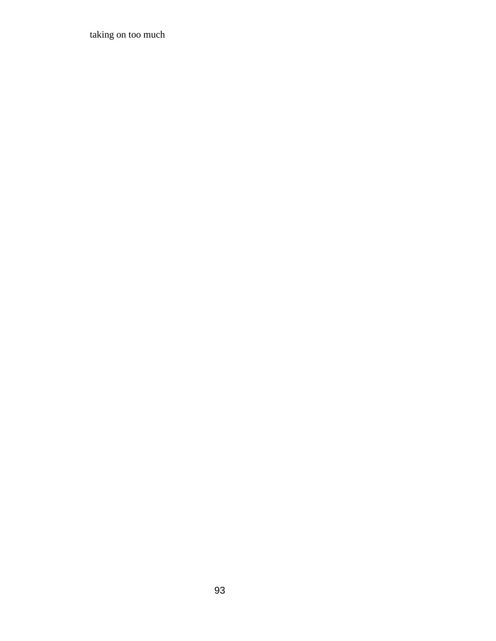taking on too much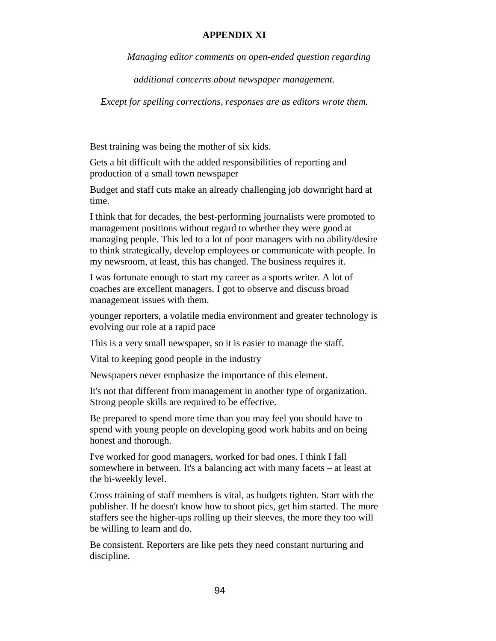## **APPENDIX XI**

*Managing editor comments on open-ended question regarding* 

*additional concerns about newspaper management.*

*Except for spelling corrections, responses are as editors wrote them.*

Best training was being the mother of six kids.

Gets a bit difficult with the added responsibilities of reporting and production of a small town newspaper

Budget and staff cuts make an already challenging job downright hard at time.

I think that for decades, the best-performing journalists were promoted to management positions without regard to whether they were good at managing people. This led to a lot of poor managers with no ability/desire to think strategically, develop employees or communicate with people. In my newsroom, at least, this has changed. The business requires it.

I was fortunate enough to start my career as a sports writer. A lot of coaches are excellent managers. I got to observe and discuss broad management issues with them.

younger reporters, a volatile media environment and greater technology is evolving our role at a rapid pace

This is a very small newspaper, so it is easier to manage the staff.

Vital to keeping good people in the industry

Newspapers never emphasize the importance of this element.

It's not that different from management in another type of organization. Strong people skills are required to be effective.

Be prepared to spend more time than you may feel you should have to spend with young people on developing good work habits and on being honest and thorough.

I've worked for good managers, worked for bad ones. I think I fall somewhere in between. It's a balancing act with many facets – at least at the bi-weekly level.

Cross training of staff members is vital, as budgets tighten. Start with the publisher. If he doesn't know how to shoot pics, get him started. The more staffers see the higher-ups rolling up their sleeves, the more they too will be willing to learn and do.

Be consistent. Reporters are like pets they need constant nurturing and discipline.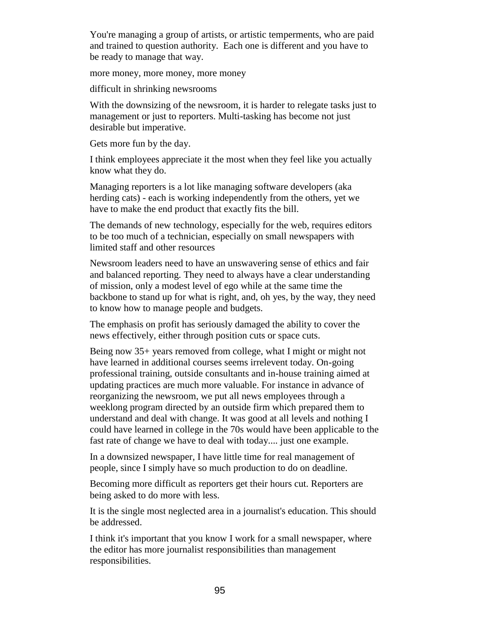You're managing a group of artists, or artistic temperments, who are paid and trained to question authority. Each one is different and you have to be ready to manage that way.

more money, more money, more money

difficult in shrinking newsrooms

With the downsizing of the newsroom, it is harder to relegate tasks just to management or just to reporters. Multi-tasking has become not just desirable but imperative.

Gets more fun by the day.

I think employees appreciate it the most when they feel like you actually know what they do.

Managing reporters is a lot like managing software developers (aka herding cats) - each is working independently from the others, yet we have to make the end product that exactly fits the bill.

The demands of new technology, especially for the web, requires editors to be too much of a technician, especially on small newspapers with limited staff and other resources

Newsroom leaders need to have an unswavering sense of ethics and fair and balanced reporting. They need to always have a clear understanding of mission, only a modest level of ego while at the same time the backbone to stand up for what is right, and, oh yes, by the way, they need to know how to manage people and budgets.

The emphasis on profit has seriously damaged the ability to cover the news effectively, either through position cuts or space cuts.

Being now 35+ years removed from college, what I might or might not have learned in additional courses seems irrelevent today. On-going professional training, outside consultants and in-house training aimed at updating practices are much more valuable. For instance in advance of reorganizing the newsroom, we put all news employees through a weeklong program directed by an outside firm which prepared them to understand and deal with change. It was good at all levels and nothing I could have learned in college in the 70s would have been applicable to the fast rate of change we have to deal with today.... just one example.

In a downsized newspaper, I have little time for real management of people, since I simply have so much production to do on deadline.

Becoming more difficult as reporters get their hours cut. Reporters are being asked to do more with less.

It is the single most neglected area in a journalist's education. This should be addressed.

I think it's important that you know I work for a small newspaper, where the editor has more journalist responsibilities than management responsibilities.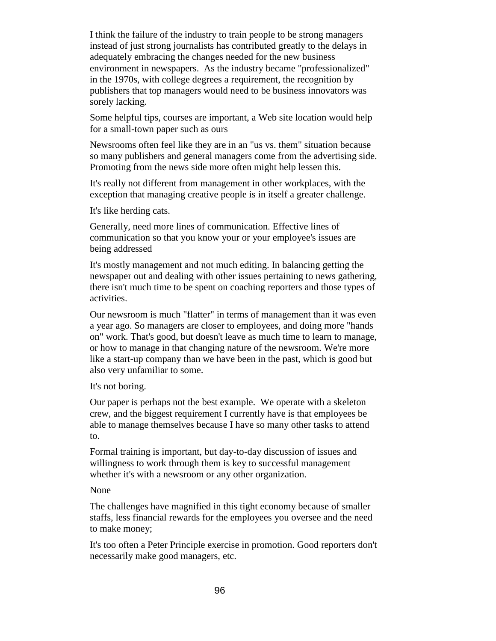I think the failure of the industry to train people to be strong managers instead of just strong journalists has contributed greatly to the delays in adequately embracing the changes needed for the new business environment in newspapers. As the industry became "professionalized" in the 1970s, with college degrees a requirement, the recognition by publishers that top managers would need to be business innovators was sorely lacking.

Some helpful tips, courses are important, a Web site location would help for a small-town paper such as ours

Newsrooms often feel like they are in an "us vs. them" situation because so many publishers and general managers come from the advertising side. Promoting from the news side more often might help lessen this.

It's really not different from management in other workplaces, with the exception that managing creative people is in itself a greater challenge.

It's like herding cats.

Generally, need more lines of communication. Effective lines of communication so that you know your or your employee's issues are being addressed

It's mostly management and not much editing. In balancing getting the newspaper out and dealing with other issues pertaining to news gathering, there isn't much time to be spent on coaching reporters and those types of activities.

Our newsroom is much "flatter" in terms of management than it was even a year ago. So managers are closer to employees, and doing more "hands on" work. That's good, but doesn't leave as much time to learn to manage, or how to manage in that changing nature of the newsroom. We're more like a start-up company than we have been in the past, which is good but also very unfamiliar to some.

It's not boring.

Our paper is perhaps not the best example. We operate with a skeleton crew, and the biggest requirement I currently have is that employees be able to manage themselves because I have so many other tasks to attend to.

Formal training is important, but day-to-day discussion of issues and willingness to work through them is key to successful management whether it's with a newsroom or any other organization.

# None

The challenges have magnified in this tight economy because of smaller staffs, less financial rewards for the employees you oversee and the need to make money;

It's too often a Peter Principle exercise in promotion. Good reporters don't necessarily make good managers, etc.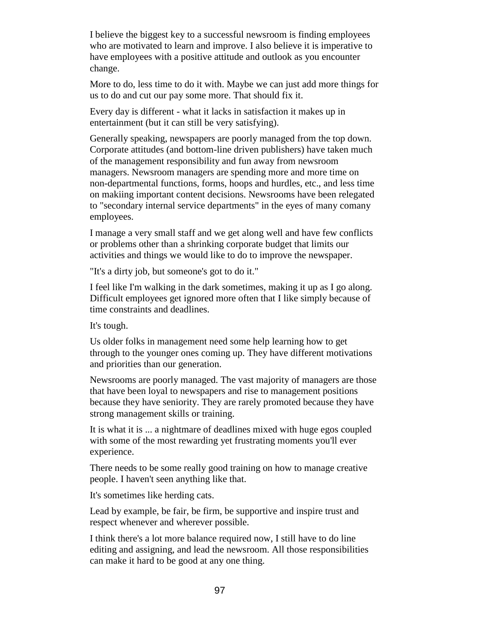I believe the biggest key to a successful newsroom is finding employees who are motivated to learn and improve. I also believe it is imperative to have employees with a positive attitude and outlook as you encounter change.

More to do, less time to do it with. Maybe we can just add more things for us to do and cut our pay some more. That should fix it.

Every day is different - what it lacks in satisfaction it makes up in entertainment (but it can still be very satisfying).

Generally speaking, newspapers are poorly managed from the top down. Corporate attitudes (and bottom-line driven publishers) have taken much of the management responsibility and fun away from newsroom managers. Newsroom managers are spending more and more time on non-departmental functions, forms, hoops and hurdles, etc., and less time on makiing important content decisions. Newsrooms have been relegated to "secondary internal service departments" in the eyes of many comany employees.

I manage a very small staff and we get along well and have few conflicts or problems other than a shrinking corporate budget that limits our activities and things we would like to do to improve the newspaper.

"It's a dirty job, but someone's got to do it."

I feel like I'm walking in the dark sometimes, making it up as I go along. Difficult employees get ignored more often that I like simply because of time constraints and deadlines.

It's tough.

Us older folks in management need some help learning how to get through to the younger ones coming up. They have different motivations and priorities than our generation.

Newsrooms are poorly managed. The vast majority of managers are those that have been loyal to newspapers and rise to management positions because they have seniority. They are rarely promoted because they have strong management skills or training.

It is what it is ... a nightmare of deadlines mixed with huge egos coupled with some of the most rewarding yet frustrating moments you'll ever experience.

There needs to be some really good training on how to manage creative people. I haven't seen anything like that.

It's sometimes like herding cats.

Lead by example, be fair, be firm, be supportive and inspire trust and respect whenever and wherever possible.

I think there's a lot more balance required now, I still have to do line editing and assigning, and lead the newsroom. All those responsibilities can make it hard to be good at any one thing.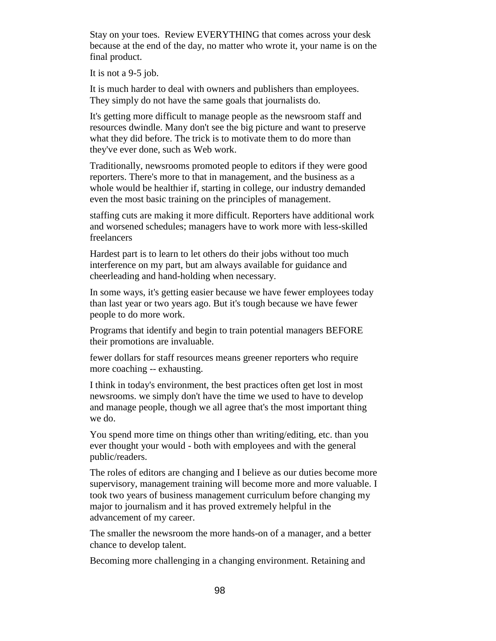Stay on your toes. Review EVERYTHING that comes across your desk because at the end of the day, no matter who wrote it, your name is on the final product.

It is not a 9-5 job.

It is much harder to deal with owners and publishers than employees. They simply do not have the same goals that journalists do.

It's getting more difficult to manage people as the newsroom staff and resources dwindle. Many don't see the big picture and want to preserve what they did before. The trick is to motivate them to do more than they've ever done, such as Web work.

Traditionally, newsrooms promoted people to editors if they were good reporters. There's more to that in management, and the business as a whole would be healthier if, starting in college, our industry demanded even the most basic training on the principles of management.

staffing cuts are making it more difficult. Reporters have additional work and worsened schedules; managers have to work more with less-skilled freelancers

Hardest part is to learn to let others do their jobs without too much interference on my part, but am always available for guidance and cheerleading and hand-holding when necessary.

In some ways, it's getting easier because we have fewer employees today than last year or two years ago. But it's tough because we have fewer people to do more work.

Programs that identify and begin to train potential managers BEFORE their promotions are invaluable.

fewer dollars for staff resources means greener reporters who require more coaching -- exhausting.

I think in today's environment, the best practices often get lost in most newsrooms. we simply don't have the time we used to have to develop and manage people, though we all agree that's the most important thing we do.

You spend more time on things other than writing/editing, etc. than you ever thought your would - both with employees and with the general public/readers.

The roles of editors are changing and I believe as our duties become more supervisory, management training will become more and more valuable. I took two years of business management curriculum before changing my major to journalism and it has proved extremely helpful in the advancement of my career.

The smaller the newsroom the more hands-on of a manager, and a better chance to develop talent.

Becoming more challenging in a changing environment. Retaining and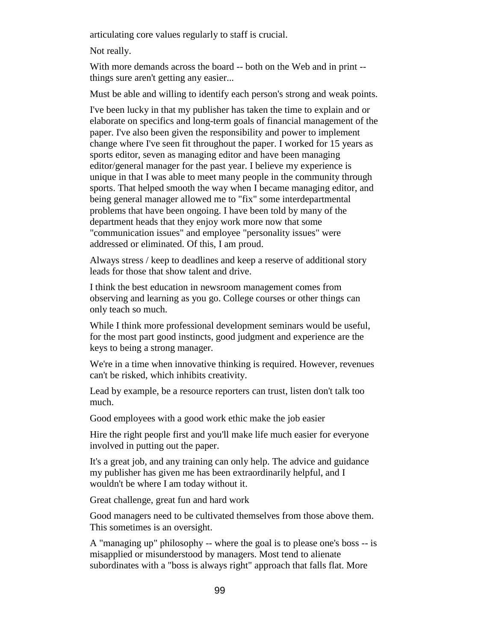articulating core values regularly to staff is crucial.

Not really.

With more demands across the board -- both on the Web and in print - things sure aren't getting any easier...

Must be able and willing to identify each person's strong and weak points.

I've been lucky in that my publisher has taken the time to explain and or elaborate on specifics and long-term goals of financial management of the paper. I've also been given the responsibility and power to implement change where I've seen fit throughout the paper. I worked for 15 years as sports editor, seven as managing editor and have been managing editor/general manager for the past year. I believe my experience is unique in that I was able to meet many people in the community through sports. That helped smooth the way when I became managing editor, and being general manager allowed me to "fix" some interdepartmental problems that have been ongoing. I have been told by many of the department heads that they enjoy work more now that some "communication issues" and employee "personality issues" were addressed or eliminated. Of this, I am proud.

Always stress / keep to deadlines and keep a reserve of additional story leads for those that show talent and drive.

I think the best education in newsroom management comes from observing and learning as you go. College courses or other things can only teach so much.

While I think more professional development seminars would be useful, for the most part good instincts, good judgment and experience are the keys to being a strong manager.

We're in a time when innovative thinking is required. However, revenues can't be risked, which inhibits creativity.

Lead by example, be a resource reporters can trust, listen don't talk too much.

Good employees with a good work ethic make the job easier

Hire the right people first and you'll make life much easier for everyone involved in putting out the paper.

It's a great job, and any training can only help. The advice and guidance my publisher has given me has been extraordinarily helpful, and I wouldn't be where I am today without it.

Great challenge, great fun and hard work

Good managers need to be cultivated themselves from those above them. This sometimes is an oversight.

A "managing up" philosophy -- where the goal is to please one's boss -- is misapplied or misunderstood by managers. Most tend to alienate subordinates with a "boss is always right" approach that falls flat. More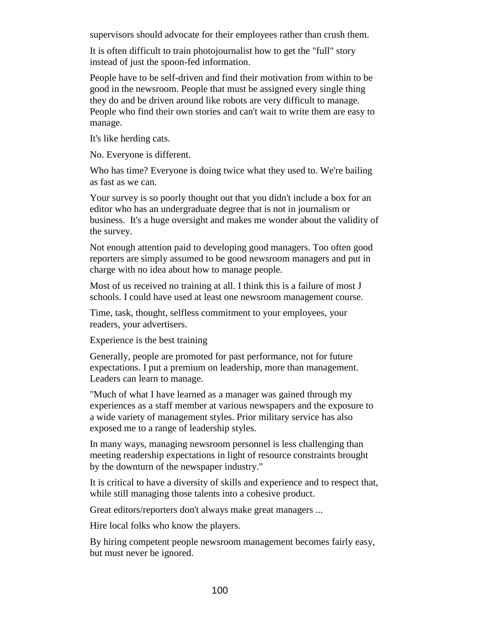supervisors should advocate for their employees rather than crush them.

It is often difficult to train photojournalist how to get the "full" story instead of just the spoon-fed information.

People have to be self-driven and find their motivation from within to be good in the newsroom. People that must be assigned every single thing they do and be driven around like robots are very difficult to manage. People who find their own stories and can't wait to write them are easy to manage.

It's like herding cats.

No. Everyone is different.

Who has time? Everyone is doing twice what they used to. We're bailing as fast as we can.

Your survey is so poorly thought out that you didn't include a box for an editor who has an undergraduate degree that is not in journalism or business. It's a huge oversight and makes me wonder about the validity of the survey.

Not enough attention paid to developing good managers. Too often good reporters are simply assumed to be good newsroom managers and put in charge with no idea about how to manage people.

Most of us received no training at all. I think this is a failure of most J schools. I could have used at least one newsroom management course.

Time, task, thought, selfless commitment to your employees, your readers, your advertisers.

Experience is the best training

Generally, people are promoted for past performance, not for future expectations. I put a premium on leadership, more than management. Leaders can learn to manage.

"Much of what I have learned as a manager was gained through my experiences as a staff member at various newspapers and the exposure to a wide variety of management styles. Prior military service has also exposed me to a range of leadership styles.

In many ways, managing newsroom personnel is less challenging than meeting readership expectations in light of resource constraints brought by the downturn of the newspaper industry."

It is critical to have a diversity of skills and experience and to respect that, while still managing those talents into a cohesive product.

Great editors/reporters don't always make great managers ...

Hire local folks who know the players.

By hiring competent people newsroom management becomes fairly easy, but must never be ignored.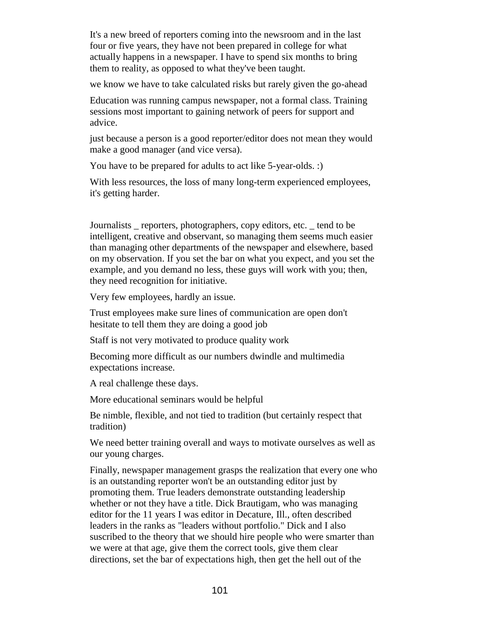It's a new breed of reporters coming into the newsroom and in the last four or five years, they have not been prepared in college for what actually happens in a newspaper. I have to spend six months to bring them to reality, as opposed to what they've been taught.

we know we have to take calculated risks but rarely given the go-ahead

Education was running campus newspaper, not a formal class. Training sessions most important to gaining network of peers for support and advice.

just because a person is a good reporter/editor does not mean they would make a good manager (and vice versa).

You have to be prepared for adults to act like 5-year-olds. :)

With less resources, the loss of many long-term experienced employees, it's getting harder.

Journalists \_ reporters, photographers, copy editors, etc. \_ tend to be intelligent, creative and observant, so managing them seems much easier than managing other departments of the newspaper and elsewhere, based on my observation. If you set the bar on what you expect, and you set the example, and you demand no less, these guys will work with you; then, they need recognition for initiative.

Very few employees, hardly an issue.

Trust employees make sure lines of communication are open don't hesitate to tell them they are doing a good job

Staff is not very motivated to produce quality work

Becoming more difficult as our numbers dwindle and multimedia expectations increase.

A real challenge these days.

More educational seminars would be helpful

Be nimble, flexible, and not tied to tradition (but certainly respect that tradition)

We need better training overall and ways to motivate ourselves as well as our young charges.

Finally, newspaper management grasps the realization that every one who is an outstanding reporter won't be an outstanding editor just by promoting them. True leaders demonstrate outstanding leadership whether or not they have a title. Dick Brautigam, who was managing editor for the 11 years I was editor in Decature, Ill., often described leaders in the ranks as "leaders without portfolio." Dick and I also suscribed to the theory that we should hire people who were smarter than we were at that age, give them the correct tools, give them clear directions, set the bar of expectations high, then get the hell out of the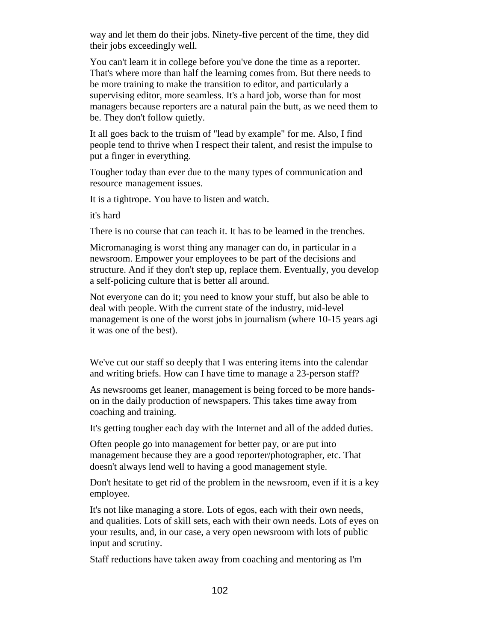way and let them do their jobs. Ninety-five percent of the time, they did their jobs exceedingly well.

You can't learn it in college before you've done the time as a reporter. That's where more than half the learning comes from. But there needs to be more training to make the transition to editor, and particularly a supervising editor, more seamless. It's a hard job, worse than for most managers because reporters are a natural pain the butt, as we need them to be. They don't follow quietly.

It all goes back to the truism of "lead by example" for me. Also, I find people tend to thrive when I respect their talent, and resist the impulse to put a finger in everything.

Tougher today than ever due to the many types of communication and resource management issues.

It is a tightrope. You have to listen and watch.

it's hard

There is no course that can teach it. It has to be learned in the trenches.

Micromanaging is worst thing any manager can do, in particular in a newsroom. Empower your employees to be part of the decisions and structure. And if they don't step up, replace them. Eventually, you develop a self-policing culture that is better all around.

Not everyone can do it; you need to know your stuff, but also be able to deal with people. With the current state of the industry, mid-level management is one of the worst jobs in journalism (where 10-15 years agi it was one of the best).

We've cut our staff so deeply that I was entering items into the calendar and writing briefs. How can I have time to manage a 23-person staff?

As newsrooms get leaner, management is being forced to be more handson in the daily production of newspapers. This takes time away from coaching and training.

It's getting tougher each day with the Internet and all of the added duties.

Often people go into management for better pay, or are put into management because they are a good reporter/photographer, etc. That doesn't always lend well to having a good management style.

Don't hesitate to get rid of the problem in the newsroom, even if it is a key employee.

It's not like managing a store. Lots of egos, each with their own needs, and qualities. Lots of skill sets, each with their own needs. Lots of eyes on your results, and, in our case, a very open newsroom with lots of public input and scrutiny.

Staff reductions have taken away from coaching and mentoring as I'm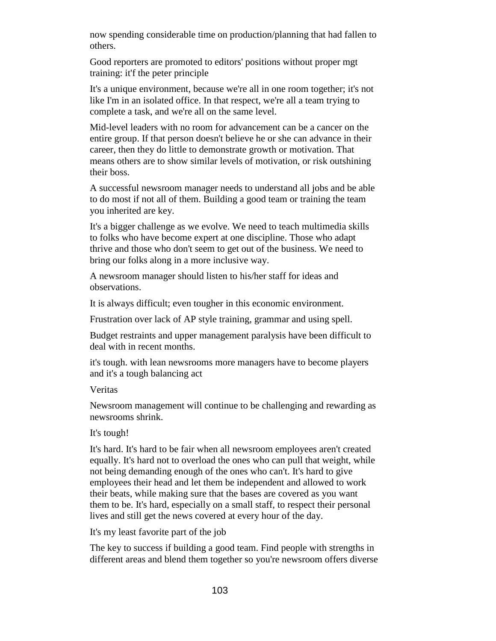now spending considerable time on production/planning that had fallen to others.

Good reporters are promoted to editors' positions without proper mgt training: it'f the peter principle

It's a unique environment, because we're all in one room together; it's not like I'm in an isolated office. In that respect, we're all a team trying to complete a task, and we're all on the same level.

Mid-level leaders with no room for advancement can be a cancer on the entire group. If that person doesn't believe he or she can advance in their career, then they do little to demonstrate growth or motivation. That means others are to show similar levels of motivation, or risk outshining their boss.

A successful newsroom manager needs to understand all jobs and be able to do most if not all of them. Building a good team or training the team you inherited are key.

It's a bigger challenge as we evolve. We need to teach multimedia skills to folks who have become expert at one discipline. Those who adapt thrive and those who don't seem to get out of the business. We need to bring our folks along in a more inclusive way.

A newsroom manager should listen to his/her staff for ideas and observations.

It is always difficult; even tougher in this economic environment.

Frustration over lack of AP style training, grammar and using spell.

Budget restraints and upper management paralysis have been difficult to deal with in recent months.

it's tough. with lean newsrooms more managers have to become players and it's a tough balancing act

Veritas

Newsroom management will continue to be challenging and rewarding as newsrooms shrink.

# It's tough!

It's hard. It's hard to be fair when all newsroom employees aren't created equally. It's hard not to overload the ones who can pull that weight, while not being demanding enough of the ones who can't. It's hard to give employees their head and let them be independent and allowed to work their beats, while making sure that the bases are covered as you want them to be. It's hard, especially on a small staff, to respect their personal lives and still get the news covered at every hour of the day.

It's my least favorite part of the job

The key to success if building a good team. Find people with strengths in different areas and blend them together so you're newsroom offers diverse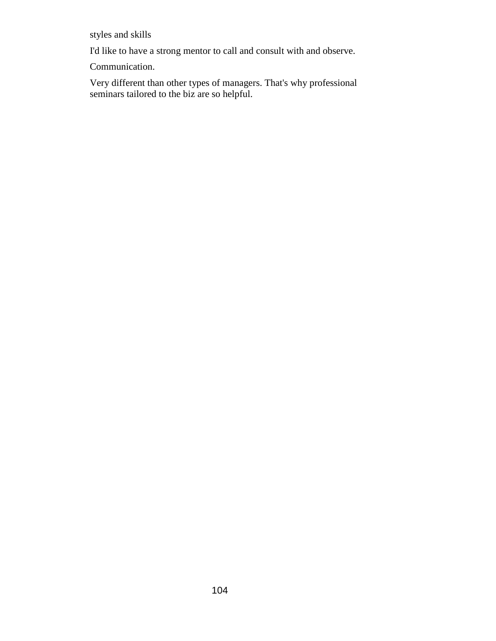styles and skills

I'd like to have a strong mentor to call and consult with and observe.

Communication.

Very different than other types of managers. That's why professional seminars tailored to the biz are so helpful.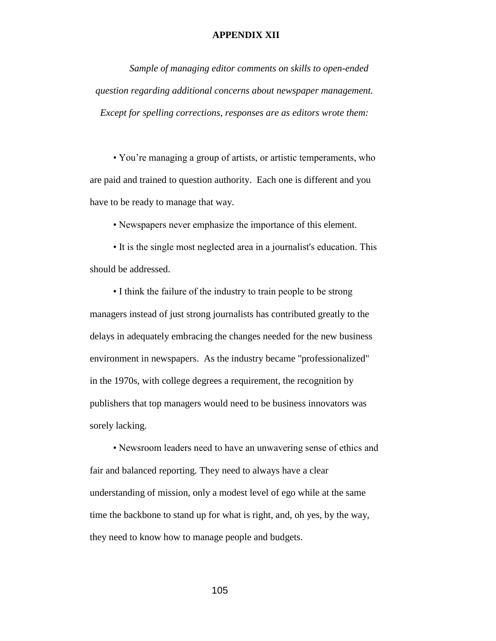### **APPENDIX XII**

*Sample of managing editor comments on skills to open-ended question regarding additional concerns about newspaper management. Except for spelling corrections, responses are as editors wrote them:*

• You're managing a group of artists, or artistic temperaments, who are paid and trained to question authority. Each one is different and you have to be ready to manage that way.

• Newspapers never emphasize the importance of this element.

• It is the single most neglected area in a journalist's education. This should be addressed.

• I think the failure of the industry to train people to be strong managers instead of just strong journalists has contributed greatly to the delays in adequately embracing the changes needed for the new business environment in newspapers. As the industry became "professionalized" in the 1970s, with college degrees a requirement, the recognition by publishers that top managers would need to be business innovators was sorely lacking.

• Newsroom leaders need to have an unwavering sense of ethics and fair and balanced reporting. They need to always have a clear understanding of mission, only a modest level of ego while at the same time the backbone to stand up for what is right, and, oh yes, by the way, they need to know how to manage people and budgets.

105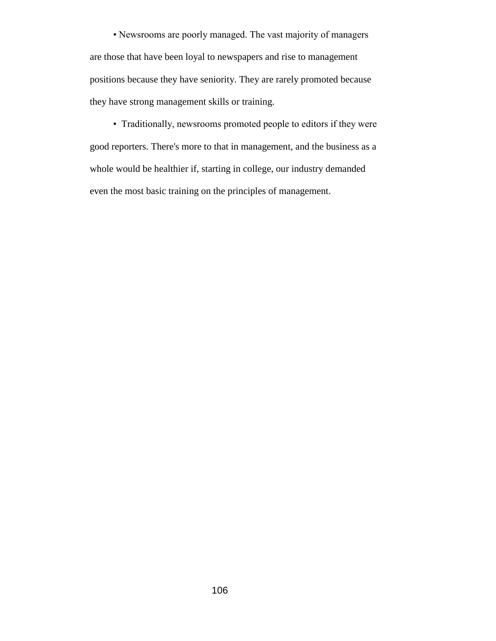• Newsrooms are poorly managed. The vast majority of managers are those that have been loyal to newspapers and rise to management positions because they have seniority. They are rarely promoted because they have strong management skills or training.

• Traditionally, newsrooms promoted people to editors if they were good reporters. There's more to that in management, and the business as a whole would be healthier if, starting in college, our industry demanded even the most basic training on the principles of management.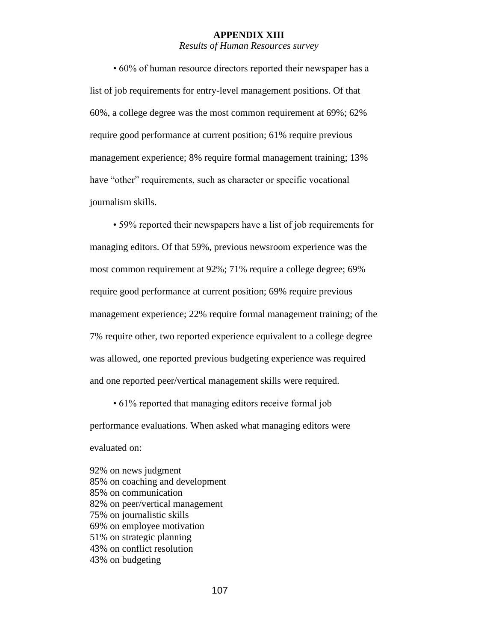#### **APPENDIX XIII**

## *Results of Human Resources survey*

• 60% of human resource directors reported their newspaper has a list of job requirements for entry-level management positions. Of that 60%, a college degree was the most common requirement at 69%; 62% require good performance at current position; 61% require previous management experience; 8% require formal management training; 13% have "other" requirements, such as character or specific vocational journalism skills.

• 59% reported their newspapers have a list of job requirements for managing editors. Of that 59%, previous newsroom experience was the most common requirement at 92%; 71% require a college degree; 69% require good performance at current position; 69% require previous management experience; 22% require formal management training; of the 7% require other, two reported experience equivalent to a college degree was allowed, one reported previous budgeting experience was required and one reported peer/vertical management skills were required.

• 61% reported that managing editors receive formal job performance evaluations. When asked what managing editors were evaluated on:

92% on news judgment 85% on coaching and development 85% on communication 82% on peer/vertical management 75% on journalistic skills 69% on employee motivation 51% on strategic planning 43% on conflict resolution 43% on budgeting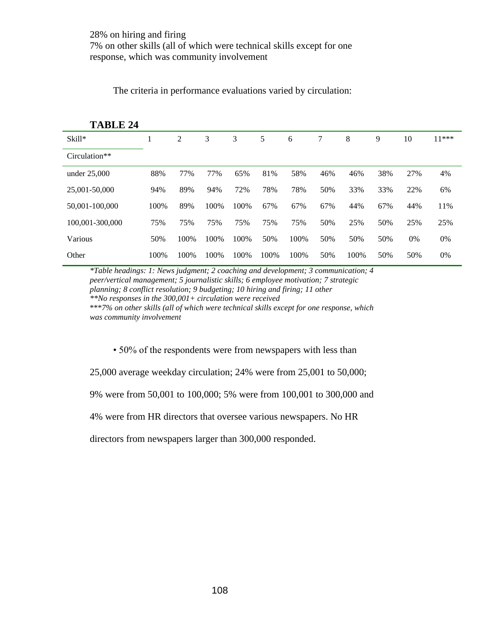| <b>TABLE 24</b> |      |      |      |      |      |      |     |      |     |     |         |
|-----------------|------|------|------|------|------|------|-----|------|-----|-----|---------|
| $Skill*$        |      | 2    | 3    | 3    | 5    | 6    | 7   | 8    | 9   | 10  | $11***$ |
| Circulation**   |      |      |      |      |      |      |     |      |     |     |         |
| under $25,000$  | 88%  | 77%  | 77%  | 65%  | 81%  | 58%  | 46% | 46%  | 38% | 27% | 4%      |
| 25,001-50,000   | 94%  | 89%  | 94%  | 72%  | 78%  | 78%  | 50% | 33%  | 33% | 22% | 6%      |
| 50,001-100,000  | 100% | 89%  | 100% | 100% | 67%  | 67%  | 67% | 44%  | 67% | 44% | 11%     |
| 100.001-300.000 | 75%  | 75%  | 75%  | 75%  | 75%  | 75%  | 50% | 25%  | 50% | 25% | 25%     |
| Various         | 50%  | 100% | 100% | 100% | 50%  | 100% | 50% | 50%  | 50% | 0%  | 0%      |
| Other           | 100% | 100% | 100% | 100% | 100% | 100% | 50% | 100% | 50% | 50% | 0%      |

The criteria in performance evaluations varied by circulation:

*\*Table headings: 1: News judgment; 2 coaching and development; 3 communication; 4 peer/vertical management; 5 journalistic skills; 6 employee motivation; 7 strategic planning; 8 conflict resolution; 9 budgeting; 10 hiring and firing; 11 other \*\*No responses in the 300,001+ circulation were received* \*\*\**7% on other skills (all of which were technical skills except for one response, which* 

*was community involvement*

• 50% of the respondents were from newspapers with less than

25,000 average weekday circulation; 24% were from 25,001 to 50,000;

9% were from 50,001 to 100,000; 5% were from 100,001 to 300,000 and

4% were from HR directors that oversee various newspapers. No HR

directors from newspapers larger than 300,000 responded.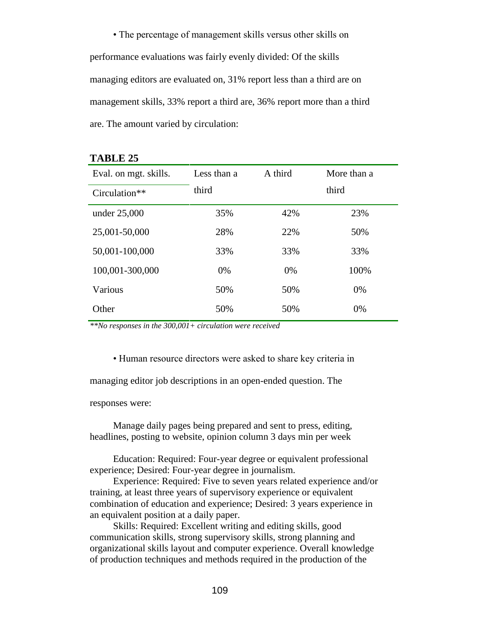• The percentage of management skills versus other skills on performance evaluations was fairly evenly divided: Of the skills managing editors are evaluated on, 31% report less than a third are on management skills, 33% report a third are, 36% report more than a third are. The amount varied by circulation:

| Eval. on mgt. skills. | Less than a | A third | More than a |
|-----------------------|-------------|---------|-------------|
| Circulation**         | third       |         | third       |
| under 25,000          | 35%         | 42%     | 23%         |
| 25,001-50,000         | 28%         | 22%     | 50%         |
| 50,001-100,000        | 33%         | 33%     | 33%         |
| 100,001-300,000       | 0%          | 0%      | 100%        |
| Various               | 50%         | 50%     | 0%          |
| Other                 | 50%         | 50%     | 0%          |

#### **TABLE 25**

*\*\*No responses in the 300,001+ circulation were received*

• Human resource directors were asked to share key criteria in

managing editor job descriptions in an open-ended question. The

responses were:

Manage daily pages being prepared and sent to press, editing, headlines, posting to website, opinion column 3 days min per week

Education: Required: Four-year degree or equivalent professional experience; Desired: Four-year degree in journalism.

Experience: Required: Five to seven years related experience and/or training, at least three years of supervisory experience or equivalent combination of education and experience; Desired: 3 years experience in an equivalent position at a daily paper.

Skills: Required: Excellent writing and editing skills, good communication skills, strong supervisory skills, strong planning and organizational skills layout and computer experience. Overall knowledge of production techniques and methods required in the production of the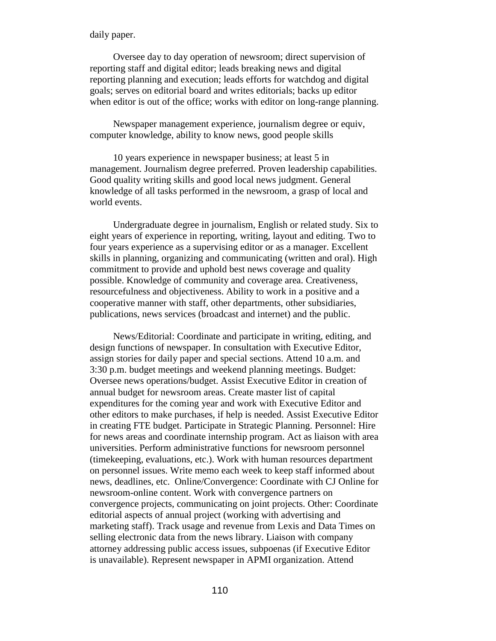daily paper.

Oversee day to day operation of newsroom; direct supervision of reporting staff and digital editor; leads breaking news and digital reporting planning and execution; leads efforts for watchdog and digital goals; serves on editorial board and writes editorials; backs up editor when editor is out of the office; works with editor on long-range planning.

Newspaper management experience, journalism degree or equiv, computer knowledge, ability to know news, good people skills

10 years experience in newspaper business; at least 5 in management. Journalism degree preferred. Proven leadership capabilities. Good quality writing skills and good local news judgment. General knowledge of all tasks performed in the newsroom, a grasp of local and world events.

Undergraduate degree in journalism, English or related study. Six to eight years of experience in reporting, writing, layout and editing. Two to four years experience as a supervising editor or as a manager. Excellent skills in planning, organizing and communicating (written and oral). High commitment to provide and uphold best news coverage and quality possible. Knowledge of community and coverage area. Creativeness, resourcefulness and objectiveness. Ability to work in a positive and a cooperative manner with staff, other departments, other subsidiaries, publications, news services (broadcast and internet) and the public.

News/Editorial: Coordinate and participate in writing, editing, and design functions of newspaper. In consultation with Executive Editor, assign stories for daily paper and special sections. Attend 10 a.m. and 3:30 p.m. budget meetings and weekend planning meetings. Budget: Oversee news operations/budget. Assist Executive Editor in creation of annual budget for newsroom areas. Create master list of capital expenditures for the coming year and work with Executive Editor and other editors to make purchases, if help is needed. Assist Executive Editor in creating FTE budget. Participate in Strategic Planning. Personnel: Hire for news areas and coordinate internship program. Act as liaison with area universities. Perform administrative functions for newsroom personnel (timekeeping, evaluations, etc.). Work with human resources department on personnel issues. Write memo each week to keep staff informed about news, deadlines, etc. Online/Convergence: Coordinate with CJ Online for newsroom-online content. Work with convergence partners on convergence projects, communicating on joint projects. Other: Coordinate editorial aspects of annual project (working with advertising and marketing staff). Track usage and revenue from Lexis and Data Times on selling electronic data from the news library. Liaison with company attorney addressing public access issues, subpoenas (if Executive Editor is unavailable). Represent newspaper in APMI organization. Attend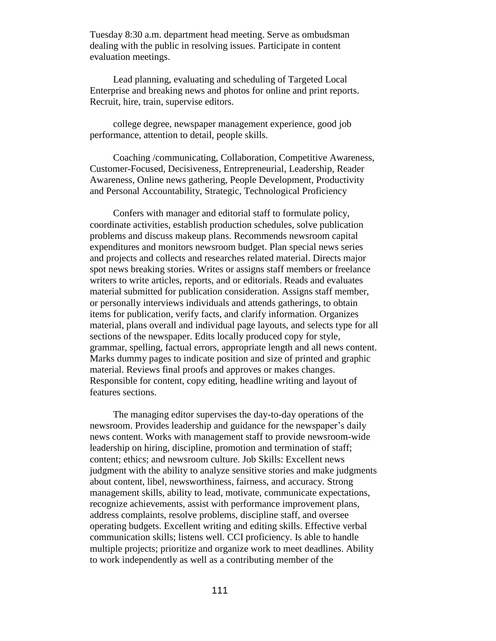Tuesday 8:30 a.m. department head meeting. Serve as ombudsman dealing with the public in resolving issues. Participate in content evaluation meetings.

Lead planning, evaluating and scheduling of Targeted Local Enterprise and breaking news and photos for online and print reports. Recruit, hire, train, supervise editors.

college degree, newspaper management experience, good job performance, attention to detail, people skills.

Coaching /communicating, Collaboration, Competitive Awareness, Customer-Focused, Decisiveness, Entrepreneurial, Leadership, Reader Awareness, Online news gathering, People Development, Productivity and Personal Accountability, Strategic, Technological Proficiency

Confers with manager and editorial staff to formulate policy, coordinate activities, establish production schedules, solve publication problems and discuss makeup plans. Recommends newsroom capital expenditures and monitors newsroom budget. Plan special news series and projects and collects and researches related material. Directs major spot news breaking stories. Writes or assigns staff members or freelance writers to write articles, reports, and or editorials. Reads and evaluates material submitted for publication consideration. Assigns staff member, or personally interviews individuals and attends gatherings, to obtain items for publication, verify facts, and clarify information. Organizes material, plans overall and individual page layouts, and selects type for all sections of the newspaper. Edits locally produced copy for style, grammar, spelling, factual errors, appropriate length and all news content. Marks dummy pages to indicate position and size of printed and graphic material. Reviews final proofs and approves or makes changes. Responsible for content, copy editing, headline writing and layout of features sections.

The managing editor supervises the day-to-day operations of the newsroom. Provides leadership and guidance for the newspaper's daily news content. Works with management staff to provide newsroom-wide leadership on hiring, discipline, promotion and termination of staff; content; ethics; and newsroom culture. Job Skills: Excellent news judgment with the ability to analyze sensitive stories and make judgments about content, libel, newsworthiness, fairness, and accuracy. Strong management skills, ability to lead, motivate, communicate expectations, recognize achievements, assist with performance improvement plans, address complaints, resolve problems, discipline staff, and oversee operating budgets. Excellent writing and editing skills. Effective verbal communication skills; listens well. CCI proficiency. Is able to handle multiple projects; prioritize and organize work to meet deadlines. Ability to work independently as well as a contributing member of the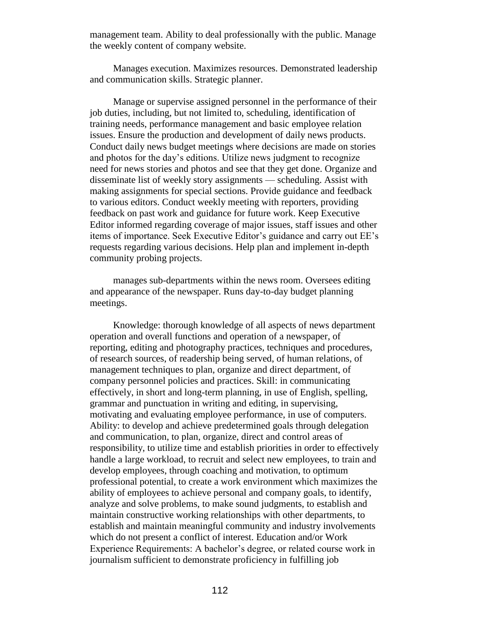management team. Ability to deal professionally with the public. Manage the weekly content of company website.

Manages execution. Maximizes resources. Demonstrated leadership and communication skills. Strategic planner.

Manage or supervise assigned personnel in the performance of their job duties, including, but not limited to, scheduling, identification of training needs, performance management and basic employee relation issues. Ensure the production and development of daily news products. Conduct daily news budget meetings where decisions are made on stories and photos for the day's editions. Utilize news judgment to recognize need for news stories and photos and see that they get done. Organize and disseminate list of weekly story assignments — scheduling. Assist with making assignments for special sections. Provide guidance and feedback to various editors. Conduct weekly meeting with reporters, providing feedback on past work and guidance for future work. Keep Executive Editor informed regarding coverage of major issues, staff issues and other items of importance. Seek Executive Editor's guidance and carry out EE's requests regarding various decisions. Help plan and implement in-depth community probing projects.

manages sub-departments within the news room. Oversees editing and appearance of the newspaper. Runs day-to-day budget planning meetings.

Knowledge: thorough knowledge of all aspects of news department operation and overall functions and operation of a newspaper, of reporting, editing and photography practices, techniques and procedures, of research sources, of readership being served, of human relations, of management techniques to plan, organize and direct department, of company personnel policies and practices. Skill: in communicating effectively, in short and long-term planning, in use of English, spelling, grammar and punctuation in writing and editing, in supervising, motivating and evaluating employee performance, in use of computers. Ability: to develop and achieve predetermined goals through delegation and communication, to plan, organize, direct and control areas of responsibility, to utilize time and establish priorities in order to effectively handle a large workload, to recruit and select new employees, to train and develop employees, through coaching and motivation, to optimum professional potential, to create a work environment which maximizes the ability of employees to achieve personal and company goals, to identify, analyze and solve problems, to make sound judgments, to establish and maintain constructive working relationships with other departments, to establish and maintain meaningful community and industry involvements which do not present a conflict of interest. Education and/or Work Experience Requirements: A bachelor's degree, or related course work in journalism sufficient to demonstrate proficiency in fulfilling job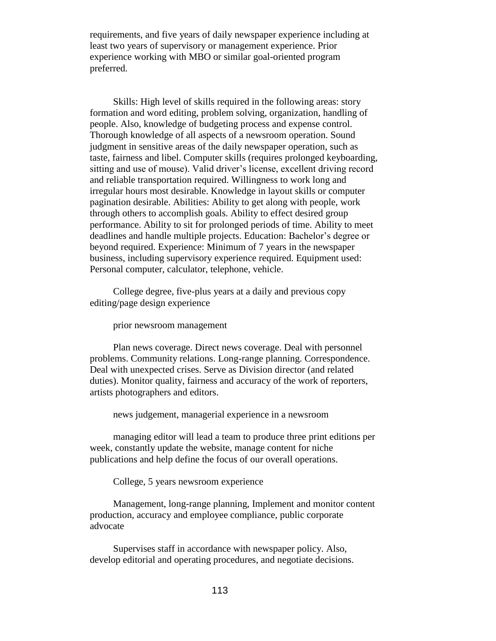requirements, and five years of daily newspaper experience including at least two years of supervisory or management experience. Prior experience working with MBO or similar goal-oriented program preferred.

Skills: High level of skills required in the following areas: story formation and word editing, problem solving, organization, handling of people. Also, knowledge of budgeting process and expense control. Thorough knowledge of all aspects of a newsroom operation. Sound judgment in sensitive areas of the daily newspaper operation, such as taste, fairness and libel. Computer skills (requires prolonged keyboarding, sitting and use of mouse). Valid driver's license, excellent driving record and reliable transportation required. Willingness to work long and irregular hours most desirable. Knowledge in layout skills or computer pagination desirable. Abilities: Ability to get along with people, work through others to accomplish goals. Ability to effect desired group performance. Ability to sit for prolonged periods of time. Ability to meet deadlines and handle multiple projects. Education: Bachelor's degree or beyond required. Experience: Minimum of 7 years in the newspaper business, including supervisory experience required. Equipment used: Personal computer, calculator, telephone, vehicle.

College degree, five-plus years at a daily and previous copy editing/page design experience

prior newsroom management

Plan news coverage. Direct news coverage. Deal with personnel problems. Community relations. Long-range planning. Correspondence. Deal with unexpected crises. Serve as Division director (and related duties). Monitor quality, fairness and accuracy of the work of reporters, artists photographers and editors.

news judgement, managerial experience in a newsroom

managing editor will lead a team to produce three print editions per week, constantly update the website, manage content for niche publications and help define the focus of our overall operations.

College, 5 years newsroom experience

Management, long-range planning, Implement and monitor content production, accuracy and employee compliance, public corporate advocate

Supervises staff in accordance with newspaper policy. Also, develop editorial and operating procedures, and negotiate decisions.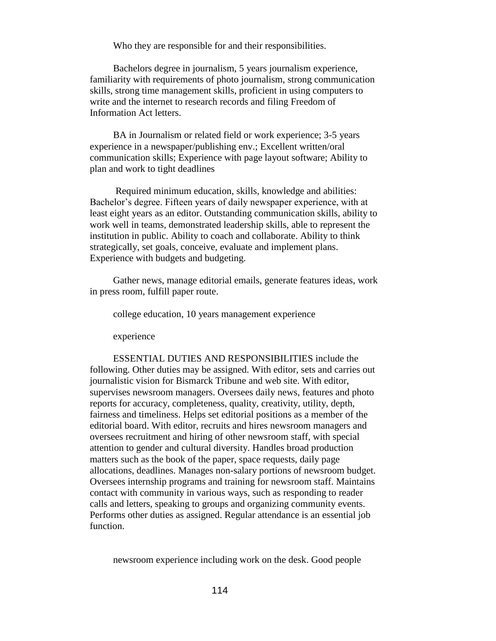Who they are responsible for and their responsibilities.

Bachelors degree in journalism, 5 years journalism experience, familiarity with requirements of photo journalism, strong communication skills, strong time management skills, proficient in using computers to write and the internet to research records and filing Freedom of Information Act letters.

BA in Journalism or related field or work experience; 3-5 years experience in a newspaper/publishing env.; Excellent written/oral communication skills; Experience with page layout software; Ability to plan and work to tight deadlines

Required minimum education, skills, knowledge and abilities: Bachelor's degree. Fifteen years of daily newspaper experience, with at least eight years as an editor. Outstanding communication skills, ability to work well in teams, demonstrated leadership skills, able to represent the institution in public. Ability to coach and collaborate. Ability to think strategically, set goals, conceive, evaluate and implement plans. Experience with budgets and budgeting.

Gather news, manage editorial emails, generate features ideas, work in press room, fulfill paper route.

college education, 10 years management experience

experience

ESSENTIAL DUTIES AND RESPONSIBILITIES include the following. Other duties may be assigned. With editor, sets and carries out journalistic vision for Bismarck Tribune and web site. With editor, supervises newsroom managers. Oversees daily news, features and photo reports for accuracy, completeness, quality, creativity, utility, depth, fairness and timeliness. Helps set editorial positions as a member of the editorial board. With editor, recruits and hires newsroom managers and oversees recruitment and hiring of other newsroom staff, with special attention to gender and cultural diversity. Handles broad production matters such as the book of the paper, space requests, daily page allocations, deadlines. Manages non-salary portions of newsroom budget. Oversees internship programs and training for newsroom staff. Maintains contact with community in various ways, such as responding to reader calls and letters, speaking to groups and organizing community events. Performs other duties as assigned. Regular attendance is an essential job function.

newsroom experience including work on the desk. Good people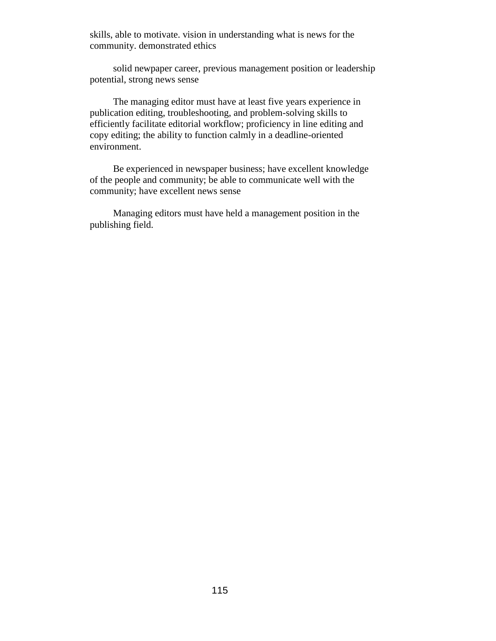skills, able to motivate. vision in understanding what is news for the community. demonstrated ethics

solid newpaper career, previous management position or leadership potential, strong news sense

The managing editor must have at least five years experience in publication editing, troubleshooting, and problem-solving skills to efficiently facilitate editorial workflow; proficiency in line editing and copy editing; the ability to function calmly in a deadline-oriented environment.

Be experienced in newspaper business; have excellent knowledge of the people and community; be able to communicate well with the community; have excellent news sense

Managing editors must have held a management position in the publishing field.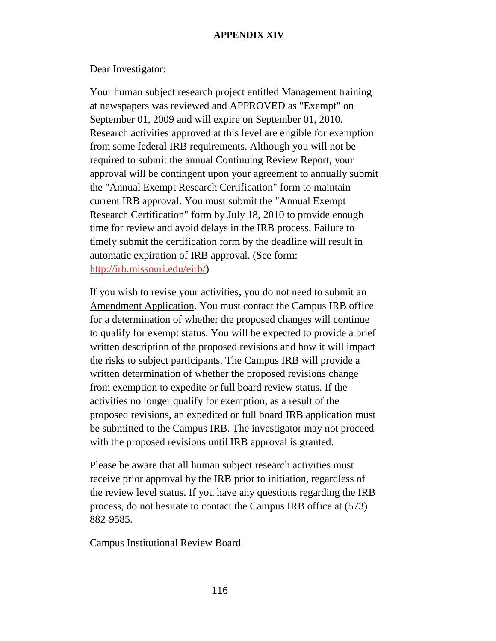# **APPENDIX XIV**

Dear Investigator:

Your human subject research project entitled Management training at newspapers was reviewed and APPROVED as "Exempt" on September 01, 2009 and will expire on September 01, 2010. Research activities approved at this level are eligible for exemption from some federal IRB requirements. Although you will not be required to submit the annual Continuing Review Report, your approval will be contingent upon your agreement to annually submit the "Annual Exempt Research Certification" form to maintain current IRB approval. You must submit the "Annual Exempt Research Certification" form by July 18, 2010 to provide enough time for review and avoid delays in the IRB process. Failure to timely submit the certification form by the deadline will result in automatic expiration of IRB approval. (See form: [http://irb.missouri.edu/eirb/\)](https://pod51000.outlook.com/owa/redir.aspx?C=b41eda51c3944f8fb766344931e01c30&URL=http%3a%2f%2fresearch.missouri.edu%2fcirb%2f)

If you wish to revise your activities, you do not need to submit an Amendment Application. You must contact the Campus IRB office for a determination of whether the proposed changes will continue to qualify for exempt status. You will be expected to provide a brief written description of the proposed revisions and how it will impact the risks to subject participants. The Campus IRB will provide a written determination of whether the proposed revisions change from exemption to expedite or full board review status. If the activities no longer qualify for exemption, as a result of the proposed revisions, an expedited or full board IRB application must be submitted to the Campus IRB. The investigator may not proceed with the proposed revisions until IRB approval is granted.

Please be aware that all human subject research activities must receive prior approval by the IRB prior to initiation, regardless of the review level status. If you have any questions regarding the IRB process, do not hesitate to contact the Campus IRB office at (573) 882-9585.

Campus Institutional Review Board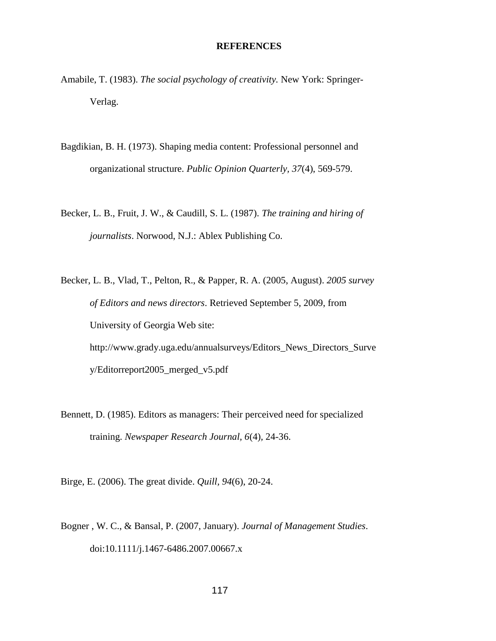#### **REFERENCES**

- Amabile, T. (1983). *The social psychology of creativity.* New York: Springer-Verlag.
- Bagdikian, B. H. (1973). Shaping media content: Professional personnel and organizational structure. *Public Opinion Quarterly, 37*(4), 569-579.
- Becker, L. B., Fruit, J. W., & Caudill, S. L. (1987). *The training and hiring of journalists*. Norwood, N.J.: Ablex Publishing Co.
- Becker, L. B., Vlad, T., Pelton, R., & Papper, R. A. (2005, August). *2005 survey of Editors and news directors*. Retrieved September 5, 2009, from University of Georgia Web site: http://www.grady.uga.edu/annualsurveys/Editors\_News\_Directors\_Surve y/Editorreport2005\_merged\_v5.pdf
- Bennett, D. (1985). Editors as managers: Their perceived need for specialized training. *Newspaper Research Journal, 6*(4)*,* 24-36.
- Birge, E. (2006). The great divide. *Quill, 94*(6), 20-24.
- Bogner , W. C., & Bansal, P. (2007, January). *Journal of Management Studies*. doi:10.1111/j.1467-6486.2007.00667.x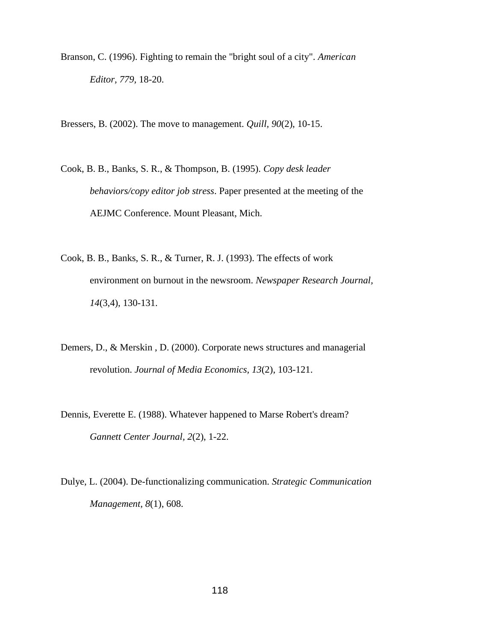- Branson, C. (1996). Fighting to remain the "bright soul of a city". *American Editor, 779,* 18-20.
- Bressers, B. (2002). The move to management. *Quill, 90*(2), 10-15.
- Cook, B. B., Banks, S. R., & Thompson, B. (1995). *Copy desk leader behaviors/copy editor job stress*. Paper presented at the meeting of the AEJMC Conference. Mount Pleasant, Mich.
- Cook, B. B., Banks, S. R., & Turner, R. J. (1993). The effects of work environment on burnout in the newsroom. *Newspaper Research Journal, 14*(3,4), 130-131.
- Demers, D., & Merskin , D. (2000). Corporate news structures and managerial revolution. *Journal of Media Economics, 13*(2), 103-121.
- Dennis, Everette E. (1988). Whatever happened to Marse Robert's dream? *Gannett Center Journal, 2*(2), 1-22.
- Dulye, L. (2004). De-functionalizing communication. *Strategic Communication Management, 8*(1), 608.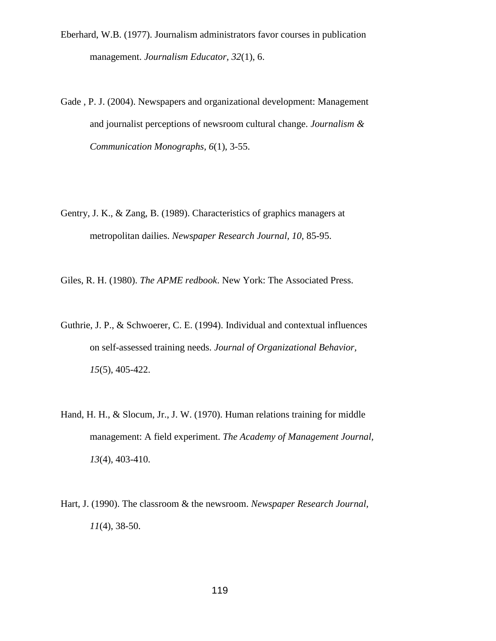- Eberhard, W.B. (1977). Journalism administrators favor courses in publication management. *Journalism Educator, 32*(1), 6.
- Gade , P. J. (2004). Newspapers and organizational development: Management and journalist perceptions of newsroom cultural change. *Journalism & Communication Monographs, 6*(1), 3-55.
- Gentry, J. K., & Zang, B. (1989). Characteristics of graphics managers at metropolitan dailies. *Newspaper Research Journal, 10,* 85-95.
- Giles, R. H. (1980). *The APME redbook*. New York: The Associated Press.
- Guthrie, J. P., & Schwoerer, C. E. (1994). Individual and contextual influences on self-assessed training needs. *Journal of Organizational Behavior, 15*(5), 405-422.
- Hand, H. H., & Slocum, Jr., J. W. (1970). Human relations training for middle management: A field experiment. *The Academy of Management Journal, 13*(4), 403-410.
- Hart, J. (1990). The classroom & the newsroom. *Newspaper Research Journal, 11*(4), 38-50.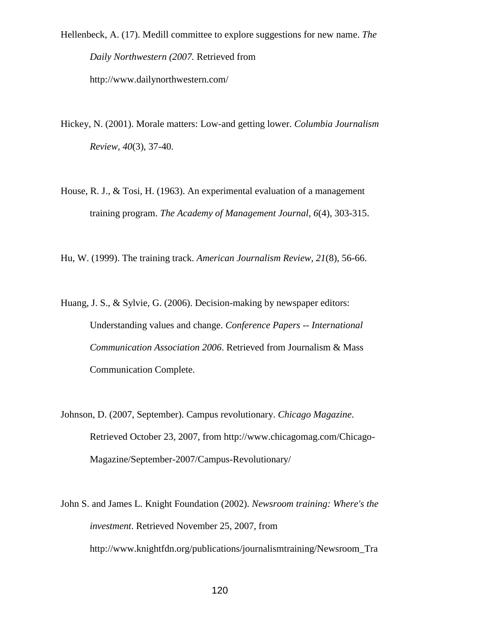Hellenbeck, A. (17). Medill committee to explore suggestions for new name. *The Daily Northwestern (2007.* Retrieved from

http://www.dailynorthwestern.com/

- Hickey, N. (2001). Morale matters: Low-and getting lower. *Columbia Journalism Review, 40*(3), 37-40.
- House, R. J., & Tosi, H. (1963). An experimental evaluation of a management training program. *The Academy of Management Journal, 6*(4), 303-315.

Hu, W. (1999). The training track. *American Journalism Review, 21*(8), 56-66.

Huang, J. S., & Sylvie, G. (2006). Decision-making by newspaper editors: Understanding values and change. *Conference Papers -- International Communication Association 2006*. Retrieved from Journalism & Mass Communication Complete.

- Johnson, D. (2007, September). Campus revolutionary. *Chicago Magazine*. Retrieved October 23, 2007, from http://www.chicagomag.com/Chicago-Magazine/September-2007/Campus-Revolutionary/
- John S. and James L. Knight Foundation (2002). *Newsroom training: Where's the investment*. Retrieved November 25, 2007, from http://www.knightfdn.org/publications/journalismtraining/Newsroom\_Tra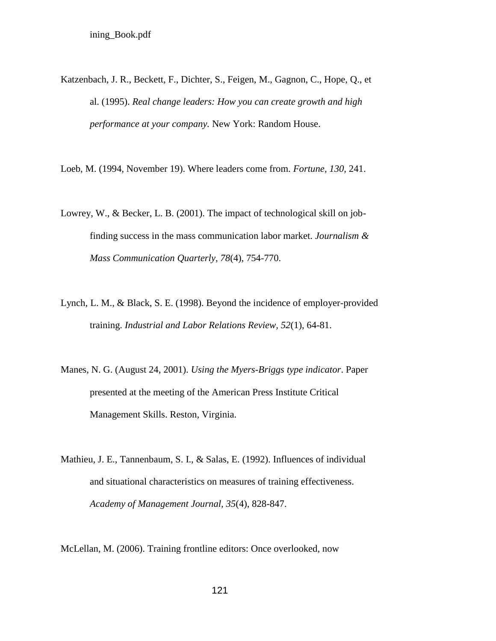Katzenbach, J. R., Beckett, F., Dichter, S., Feigen, M., Gagnon, C., Hope, Q., et al. (1995). *Real change leaders: How you can create growth and high performance at your company.* New York: Random House.

Loeb, M. (1994, November 19). Where leaders come from. *Fortune, 130,* 241.

- Lowrey, W., & Becker, L. B. (2001). The impact of technological skill on jobfinding success in the mass communication labor market. *Journalism & Mass Communication Quarterly, 78*(4), 754-770.
- Lynch, L. M., & Black, S. E. (1998). Beyond the incidence of employer-provided training. *Industrial and Labor Relations Review, 52*(1), 64-81.
- Manes, N. G. (August 24, 2001). *Using the Myers-Briggs type indicator*. Paper presented at the meeting of the American Press Institute Critical Management Skills. Reston, Virginia.
- Mathieu, J. E., Tannenbaum, S. I., & Salas, E. (1992). Influences of individual and situational characteristics on measures of training effectiveness. *Academy of Management Journal, 35*(4), 828-847.

McLellan, M. (2006). Training frontline editors: Once overlooked, now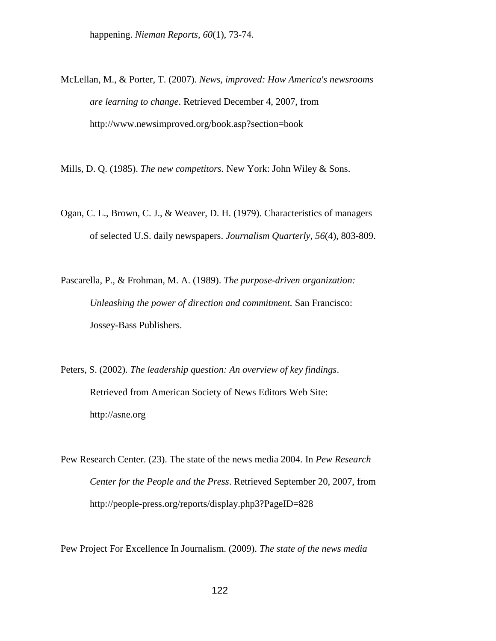happening. *Nieman Reports, 60*(1), 73-74.

McLellan, M., & Porter, T. (2007). *News, improved: How America's newsrooms are learning to change*. Retrieved December 4, 2007, from http://www.newsimproved.org/book.asp?section=book

Mills, D. Q. (1985). *The new competitors.* New York: John Wiley & Sons.

- Ogan, C. L., Brown, C. J., & Weaver, D. H. (1979). Characteristics of managers of selected U.S. daily newspapers. *Journalism Quarterly, 56*(4), 803-809.
- Pascarella, P., & Frohman, M. A. (1989). *The purpose-driven organization: Unleashing the power of direction and commitment.* San Francisco: Jossey-Bass Publishers.
- Peters, S. (2002). *The leadership question: An overview of key findings*. Retrieved from American Society of News Editors Web Site: http://asne.org
- Pew Research Center. (23). The state of the news media 2004. In *Pew Research Center for the People and the Press*. Retrieved September 20, 2007, from http://people-press.org/reports/display.php3?PageID=828

Pew Project For Excellence In Journalism. (2009). *The state of the news media*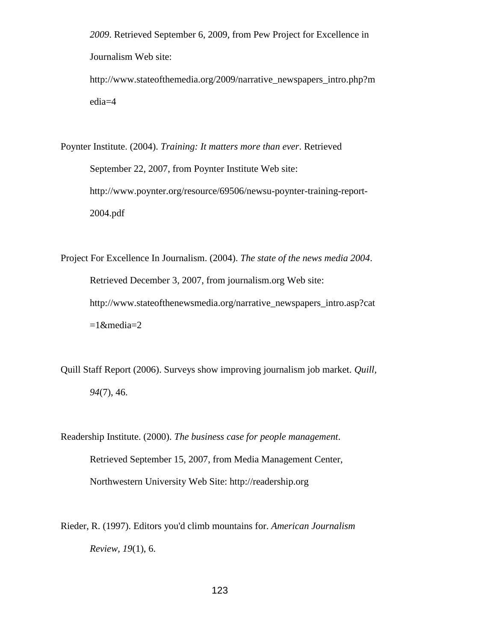*2009*. Retrieved September 6, 2009, from Pew Project for Excellence in Journalism Web site:

http://www.stateofthemedia.org/2009/narrative\_newspapers\_intro.php?m edia=4

Poynter Institute. (2004). *Training: It matters more than ever*. Retrieved September 22, 2007, from Poynter Institute Web site: [http://www.poynter.org/resource/69506/newsu-poynter-training-report-](http://www.poynter.org/resource/69506/newsu-poynter-training-report-2004.pdf)[2004.pdf](http://www.poynter.org/resource/69506/newsu-poynter-training-report-2004.pdf)

Project For Excellence In Journalism. (2004). *The state of the news media 2004*. Retrieved December 3, 2007, from journalism.org Web site: http://www.stateofthenewsmedia.org/narrative\_newspapers\_intro.asp?cat  $=1$ &media=2

Quill Staff Report (2006). Surveys show improving journalism job market. *Quill, 94*(7), 46.

Readership Institute. (2000). *The business case for people management*. Retrieved September 15, 2007, from Media Management Center, Northwestern University Web Site: http://readership.org

Rieder, R. (1997). Editors you'd climb mountains for. *American Journalism Review, 19*(1), 6.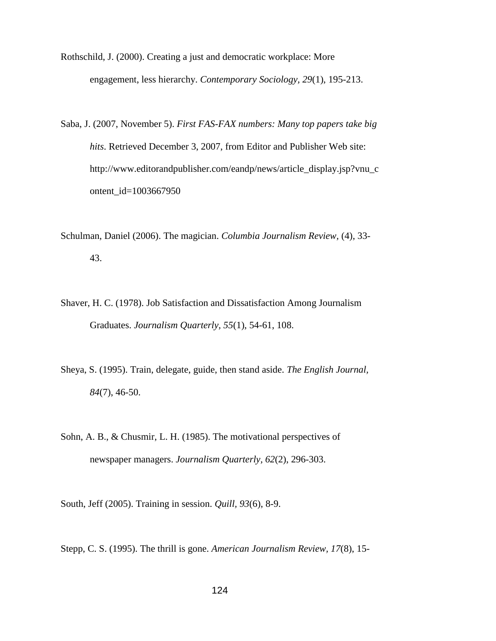Rothschild, J. (2000). Creating a just and democratic workplace: More engagement, less hierarchy. *Contemporary Sociology, 29*(1), 195-213.

- Saba, J. (2007, November 5). *First FAS-FAX numbers: Many top papers take big hits*. Retrieved December 3, 2007, from Editor and Publisher Web site: http://www.editorandpublisher.com/eandp/news/article\_display.jsp?vnu\_c ontent\_id=1003667950
- Schulman, Daniel (2006). The magician. *Columbia Journalism Review,* (4), 33- 43.
- Shaver, H. C. (1978). Job Satisfaction and Dissatisfaction Among Journalism Graduates. *Journalism Quarterly, 55*(1), 54-61, 108.
- Sheya, S. (1995). Train, delegate, guide, then stand aside. *The English Journal, 84*(7), 46-50.
- Sohn, A. B., & Chusmir, L. H. (1985). The motivational perspectives of newspaper managers. *Journalism Quarterly, 62*(2), 296-303.

South, Jeff (2005). Training in session. *Quill, 93*(6), 8-9.

Stepp, C. S. (1995). The thrill is gone. *American Journalism Review, 17*(8), 15-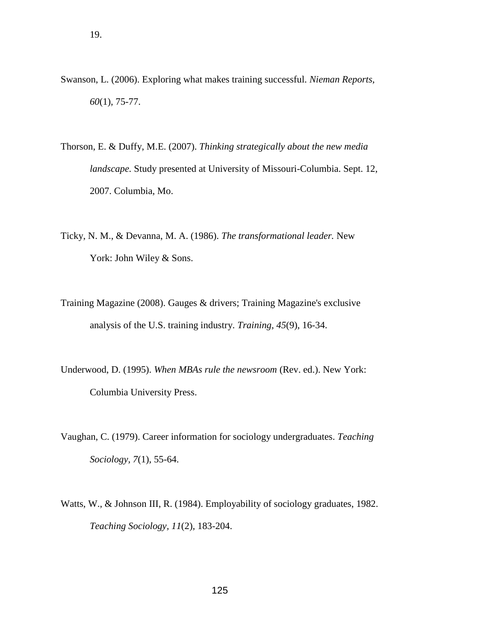- Swanson, L. (2006). Exploring what makes training successful. *Nieman Reports, 60*(1), 75-77.
- Thorson, E. & Duffy, M.E. (2007). *Thinking strategically about the new media landscape.* Study presented at University of Missouri-Columbia. Sept. 12, 2007. Columbia, Mo.
- Ticky, N. M., & Devanna, M. A. (1986). *The transformational leader.* New York: John Wiley & Sons.
- Training Magazine (2008). Gauges & drivers; Training Magazine's exclusive analysis of the U.S. training industry. *Training, 45*(9), 16-34.
- Underwood, D. (1995). *When MBAs rule the newsroom* (Rev. ed.). New York: Columbia University Press.
- Vaughan, C. (1979). Career information for sociology undergraduates. *Teaching Sociology, 7*(1), 55-64.
- Watts, W., & Johnson III, R. (1984). Employability of sociology graduates, 1982. *Teaching Sociology, 11*(2), 183-204.